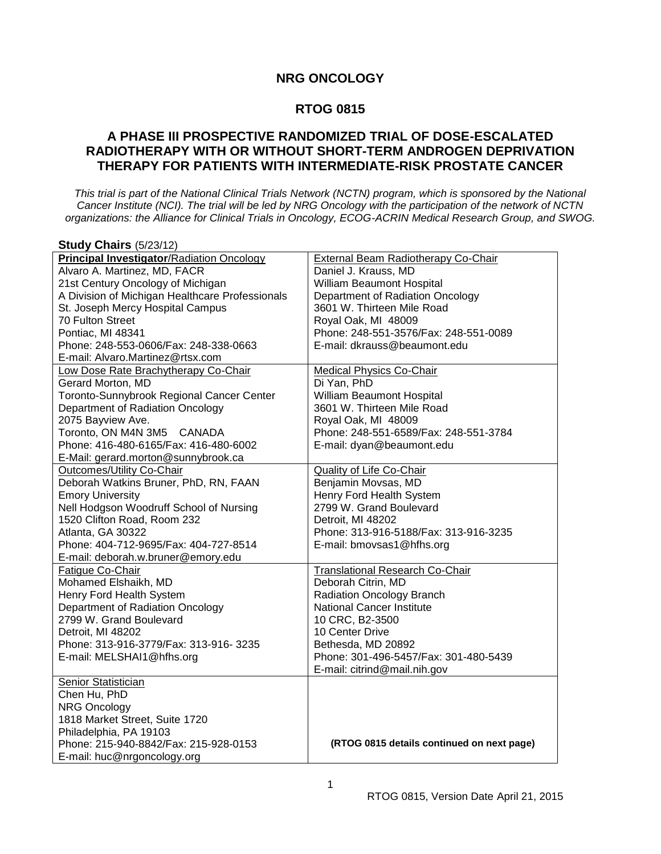## **RTOG 0815**

# **A PHASE III PROSPECTIVE RANDOMIZED TRIAL OF DOSE-ESCALATED RADIOTHERAPY WITH OR WITHOUT SHORT-TERM ANDROGEN DEPRIVATION THERAPY FOR PATIENTS WITH INTERMEDIATE-RISK PROSTATE CANCER**

*This trial is part of the National Clinical Trials Network (NCTN) program, which is sponsored by the National Cancer Institute (NCI). The trial will be led by NRG Oncology with the participation of the network of NCTN organizations: the Alliance for Clinical Trials in Oncology, ECOG-ACRIN Medical Research Group, and SWOG.*

| <b>Study Chairs (5/23/12)</b>                    |                                            |
|--------------------------------------------------|--------------------------------------------|
| <b>Principal Investigator/Radiation Oncology</b> | <b>External Beam Radiotherapy Co-Chair</b> |
| Alvaro A. Martinez, MD, FACR                     | Daniel J. Krauss, MD                       |
| 21st Century Oncology of Michigan                | William Beaumont Hospital                  |
| A Division of Michigan Healthcare Professionals  | Department of Radiation Oncology           |
| St. Joseph Mercy Hospital Campus                 | 3601 W. Thirteen Mile Road                 |
| 70 Fulton Street                                 | Royal Oak, MI 48009                        |
| Pontiac, MI 48341                                | Phone: 248-551-3576/Fax: 248-551-0089      |
| Phone: 248-553-0606/Fax: 248-338-0663            | E-mail: dkrauss@beaumont.edu               |
| E-mail: Alvaro.Martinez@rtsx.com                 |                                            |
| Low Dose Rate Brachytherapy Co-Chair             | <b>Medical Physics Co-Chair</b>            |
| Gerard Morton, MD                                | Di Yan, PhD                                |
| Toronto-Sunnybrook Regional Cancer Center        | William Beaumont Hospital                  |
| Department of Radiation Oncology                 | 3601 W. Thirteen Mile Road                 |
| 2075 Bayview Ave.                                | Royal Oak, MI 48009                        |
| Toronto, ON M4N 3M5 CANADA                       | Phone: 248-551-6589/Fax: 248-551-3784      |
| Phone: 416-480-6165/Fax: 416-480-6002            | E-mail: dyan@beaumont.edu                  |
| E-Mail: gerard.morton@sunnybrook.ca              |                                            |
| Outcomes/Utility Co-Chair                        | Quality of Life Co-Chair                   |
| Deborah Watkins Bruner, PhD, RN, FAAN            | Benjamin Movsas, MD                        |
| <b>Emory University</b>                          | Henry Ford Health System                   |
| Nell Hodgson Woodruff School of Nursing          | 2799 W. Grand Boulevard                    |
| 1520 Clifton Road, Room 232                      | Detroit, MI 48202                          |
| Atlanta, GA 30322                                | Phone: 313-916-5188/Fax: 313-916-3235      |
| Phone: 404-712-9695/Fax: 404-727-8514            | E-mail: bmovsas1@hfhs.org                  |
| E-mail: deborah.w.bruner@emory.edu               |                                            |
| Fatigue Co-Chair                                 | <b>Translational Research Co-Chair</b>     |
| Mohamed Elshaikh, MD                             | Deborah Citrin, MD                         |
| Henry Ford Health System                         | <b>Radiation Oncology Branch</b>           |
| Department of Radiation Oncology                 | National Cancer Institute                  |
| 2799 W. Grand Boulevard                          | 10 CRC, B2-3500                            |
| Detroit, MI 48202                                | 10 Center Drive                            |
| Phone: 313-916-3779/Fax: 313-916- 3235           | Bethesda, MD 20892                         |
| E-mail: MELSHAI1@hfhs.org                        | Phone: 301-496-5457/Fax: 301-480-5439      |
|                                                  | E-mail: citrind@mail.nih.gov               |
| <b>Senior Statistician</b>                       |                                            |
| Chen Hu, PhD                                     |                                            |
| <b>NRG Oncology</b>                              |                                            |
| 1818 Market Street, Suite 1720                   |                                            |
| Philadelphia, PA 19103                           |                                            |
| Phone: 215-940-8842/Fax: 215-928-0153            | (RTOG 0815 details continued on next page) |
| E-mail: huc@nrgoncology.org                      |                                            |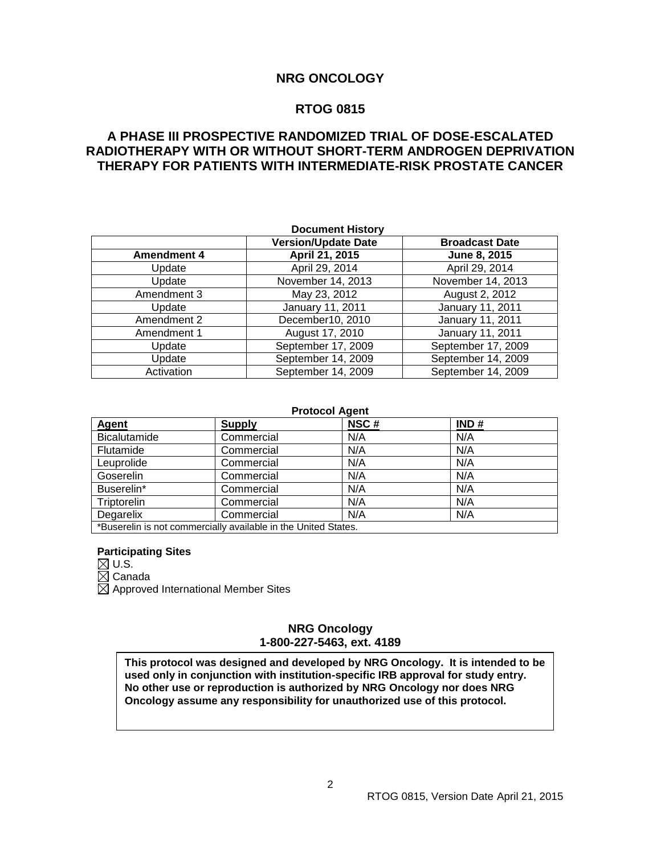# **RTOG 0815**

# **A PHASE III PROSPECTIVE RANDOMIZED TRIAL OF DOSE-ESCALATED RADIOTHERAPY WITH OR WITHOUT SHORT-TERM ANDROGEN DEPRIVATION THERAPY FOR PATIENTS WITH INTERMEDIATE-RISK PROSTATE CANCER**

| <b>Document History</b> |                                                     |                    |  |
|-------------------------|-----------------------------------------------------|--------------------|--|
|                         | <b>Version/Update Date</b><br><b>Broadcast Date</b> |                    |  |
| <b>Amendment 4</b>      | April 21, 2015                                      | June 8, 2015       |  |
| Update                  | April 29, 2014                                      | April 29, 2014     |  |
| Update                  | November 14, 2013                                   | November 14, 2013  |  |
| Amendment 3             | May 23, 2012                                        | August 2, 2012     |  |
| Update                  | January 11, 2011                                    | January 11, 2011   |  |
| Amendment 2             | December10, 2010                                    | January 11, 2011   |  |
| Amendment 1             | August 17, 2010                                     | January 11, 2011   |  |
| Update                  | September 17, 2009                                  | September 17, 2009 |  |
| Update                  | September 14, 2009                                  | September 14, 2009 |  |
| Activation              | September 14, 2009                                  | September 14, 2009 |  |

#### **Protocol Agent**

| Agent                                                          | <b>Supply</b> | NSC# | IND# |
|----------------------------------------------------------------|---------------|------|------|
| <b>Bicalutamide</b>                                            | Commercial    | N/A  | N/A  |
| Flutamide                                                      | Commercial    | N/A  | N/A  |
| Leuprolide                                                     | Commercial    | N/A  | N/A  |
| Goserelin                                                      | Commercial    | N/A  | N/A  |
| Buserelin*                                                     | Commercial    | N/A  | N/A  |
| Triptorelin                                                    | Commercial    | N/A  | N/A  |
| Degarelix                                                      | Commercial    | N/A  | N/A  |
| *Buserelin is not commercially available in the United States. |               |      |      |

# **Participating Sites**

 $\boxtimes$  U.S.

 $\boxtimes$  Canada

 $\boxtimes$  Approved International Member Sites

## **NRG Oncology 1-800-227-5463, ext. 4189**

**This protocol was designed and developed by NRG Oncology. It is intended to be used only in conjunction with institution-specific IRB approval for study entry. No other use or reproduction is authorized by NRG Oncology nor does NRG Oncology assume any responsibility for unauthorized use of this protocol.**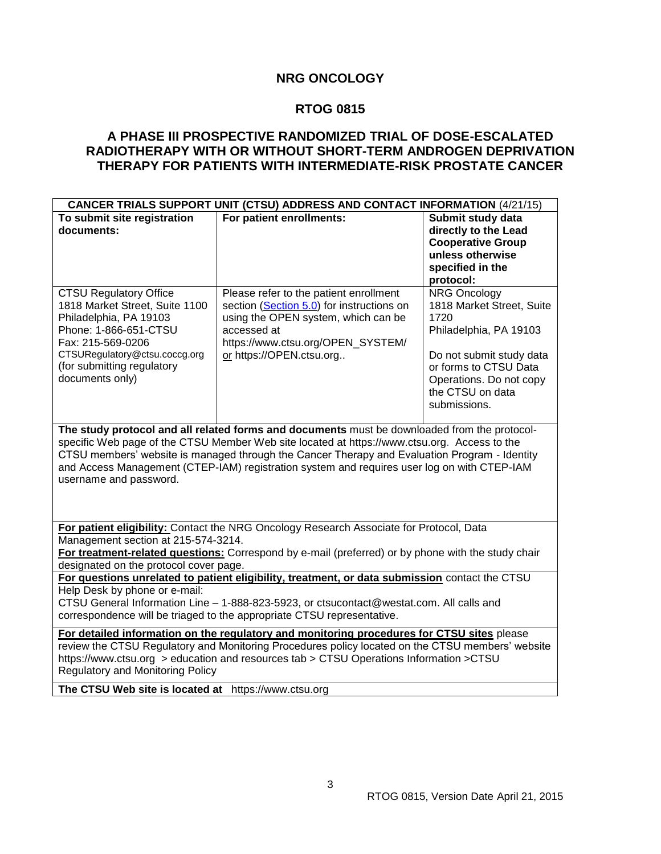# **RTOG 0815**

# **A PHASE III PROSPECTIVE RANDOMIZED TRIAL OF DOSE-ESCALATED RADIOTHERAPY WITH OR WITHOUT SHORT-TERM ANDROGEN DEPRIVATION THERAPY FOR PATIENTS WITH INTERMEDIATE-RISK PROSTATE CANCER**

| <b>CANCER TRIALS SUPPORT UNIT (CTSU) ADDRESS AND CONTACT INFORMATION (4/21/15)</b>                                                                                                                                                                                                                                                                                                                                     |                                                                                                                                                                                                                                                                      |                                                                                                                                                                                                        |
|------------------------------------------------------------------------------------------------------------------------------------------------------------------------------------------------------------------------------------------------------------------------------------------------------------------------------------------------------------------------------------------------------------------------|----------------------------------------------------------------------------------------------------------------------------------------------------------------------------------------------------------------------------------------------------------------------|--------------------------------------------------------------------------------------------------------------------------------------------------------------------------------------------------------|
| To submit site registration<br>documents:                                                                                                                                                                                                                                                                                                                                                                              | For patient enrollments:                                                                                                                                                                                                                                             | Submit study data<br>directly to the Lead<br><b>Cooperative Group</b><br>unless otherwise<br>specified in the<br>protocol:                                                                             |
| <b>CTSU Regulatory Office</b><br>1818 Market Street, Suite 1100<br>Philadelphia, PA 19103<br>Phone: 1-866-651-CTSU<br>Fax: 215-569-0206<br>CTSURegulatory@ctsu.coccg.org<br>(for submitting regulatory<br>documents only)                                                                                                                                                                                              | Please refer to the patient enrollment<br>section (Section 5.0) for instructions on<br>using the OPEN system, which can be<br>accessed at<br>https://www.ctsu.org/OPEN_SYSTEM/<br>or https://OPEN.ctsu.org                                                           | <b>NRG Oncology</b><br>1818 Market Street, Suite<br>1720<br>Philadelphia, PA 19103<br>Do not submit study data<br>or forms to CTSU Data<br>Operations. Do not copy<br>the CTSU on data<br>submissions. |
| The study protocol and all related forms and documents must be downloaded from the protocol-<br>specific Web page of the CTSU Member Web site located at https://www.ctsu.org. Access to the<br>CTSU members' website is managed through the Cancer Therapy and Evaluation Program - Identity<br>and Access Management (CTEP-IAM) registration system and requires user log on with CTEP-IAM<br>username and password. |                                                                                                                                                                                                                                                                      |                                                                                                                                                                                                        |
| Management section at 215-574-3214.<br>designated on the protocol cover page.                                                                                                                                                                                                                                                                                                                                          | For patient eligibility: Contact the NRG Oncology Research Associate for Protocol, Data<br>For treatment-related questions: Correspond by e-mail (preferred) or by phone with the study chair                                                                        |                                                                                                                                                                                                        |
| Help Desk by phone or e-mail:                                                                                                                                                                                                                                                                                                                                                                                          | For questions unrelated to patient eligibility, treatment, or data submission contact the CTSU<br>CTSU General Information Line - 1-888-823-5923, or ctsucontact@westat.com. All calls and<br>correspondence will be triaged to the appropriate CTSU representative. |                                                                                                                                                                                                        |
| For detailed information on the regulatory and monitoring procedures for CTSU sites please<br>review the CTSU Regulatory and Monitoring Procedures policy located on the CTSU members' website<br>https://www.ctsu.org > education and resources tab > CTSU Operations Information > CTSU<br><b>Regulatory and Monitoring Policy</b>                                                                                   |                                                                                                                                                                                                                                                                      |                                                                                                                                                                                                        |

**The CTSU Web site is located at** https://www.ctsu.org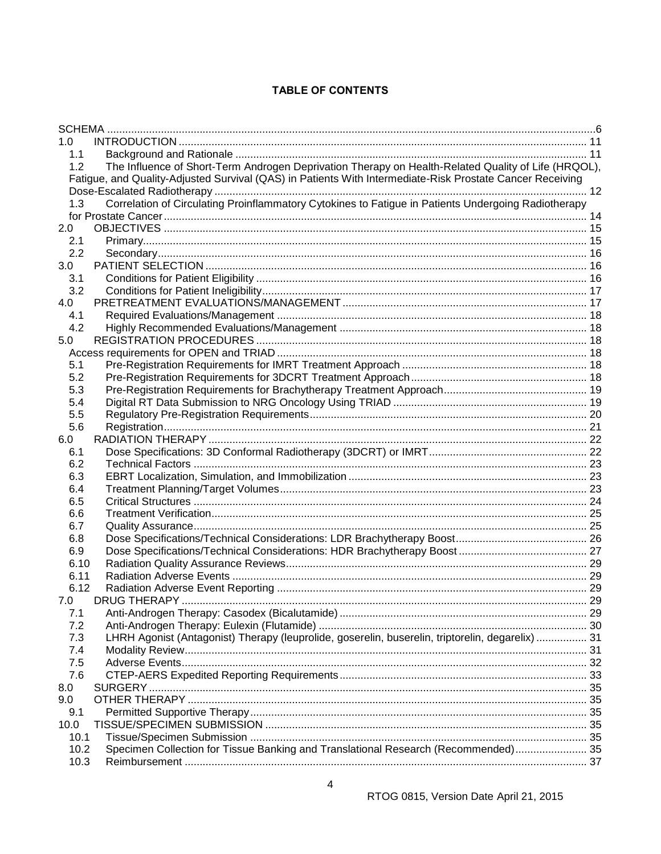# **TABLE OF CONTENTS**

| 1.0     |                                                                                                           |  |
|---------|-----------------------------------------------------------------------------------------------------------|--|
| 1.1     |                                                                                                           |  |
| 1.2     | The Influence of Short-Term Androgen Deprivation Therapy on Health-Related Quality of Life (HRQOL),       |  |
|         | Fatigue, and Quality-Adjusted Survival (QAS) in Patients With Intermediate-Risk Prostate Cancer Receiving |  |
|         |                                                                                                           |  |
| 1.3     | Correlation of Circulating Proinflammatory Cytokines to Fatigue in Patients Undergoing Radiotherapy       |  |
|         |                                                                                                           |  |
| $2.0\,$ |                                                                                                           |  |
| 2.1     |                                                                                                           |  |
| 2.2     |                                                                                                           |  |
| 3.0     |                                                                                                           |  |
| 3.1     |                                                                                                           |  |
| 3.2     |                                                                                                           |  |
| 4.0     |                                                                                                           |  |
| 4.1     |                                                                                                           |  |
| 4.2     |                                                                                                           |  |
| 5.0     |                                                                                                           |  |
|         |                                                                                                           |  |
| 5.1     |                                                                                                           |  |
| 5.2     |                                                                                                           |  |
| 5.3     |                                                                                                           |  |
| 5.4     |                                                                                                           |  |
| 5.5     |                                                                                                           |  |
| 5.6     |                                                                                                           |  |
| 6.0     |                                                                                                           |  |
| 6.1     |                                                                                                           |  |
| 6.2     |                                                                                                           |  |
| 6.3     |                                                                                                           |  |
| 6.4     |                                                                                                           |  |
| 6.5     |                                                                                                           |  |
| 6.6     |                                                                                                           |  |
| 6.7     |                                                                                                           |  |
| 6.8     |                                                                                                           |  |
| 6.9     |                                                                                                           |  |
| 6.10    |                                                                                                           |  |
| 6.11    |                                                                                                           |  |
| 6.12    |                                                                                                           |  |
| 7.0     | DRUG THERAPY                                                                                              |  |
| 7.1     |                                                                                                           |  |
| 7.2     |                                                                                                           |  |
| 7.3     | LHRH Agonist (Antagonist) Therapy (leuprolide, goserelin, buserelin, triptorelin, degarelix)  31          |  |
| 7.4     |                                                                                                           |  |
| 7.5     |                                                                                                           |  |
| 7.6     |                                                                                                           |  |
| 8.0     |                                                                                                           |  |
| 9.0     |                                                                                                           |  |
| 9.1     |                                                                                                           |  |
| 10.0    |                                                                                                           |  |
| 10.1    |                                                                                                           |  |
| 10.2    | Specimen Collection for Tissue Banking and Translational Research (Recommended) 35                        |  |
| 10.3    |                                                                                                           |  |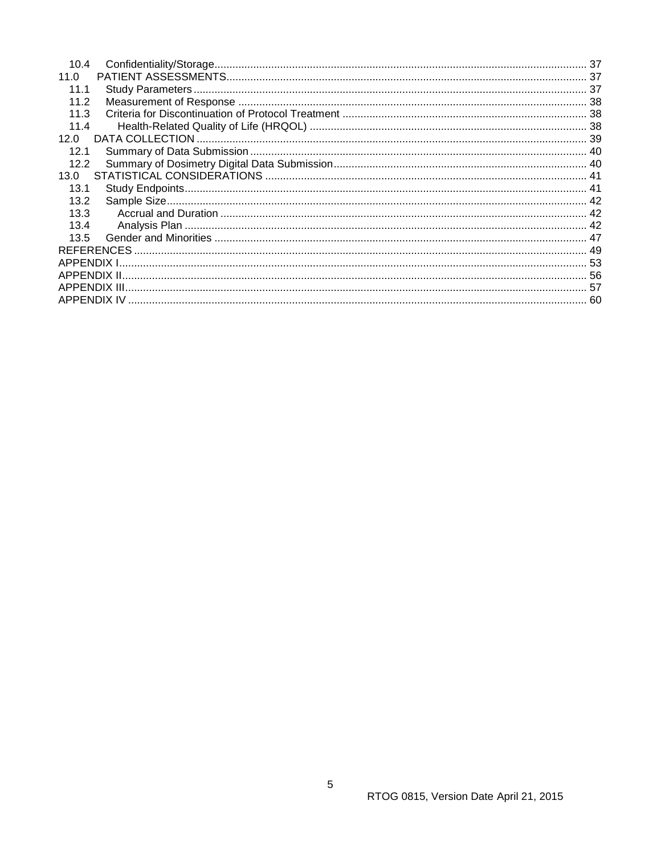| 10.4 |  |
|------|--|
| 11.0 |  |
| 11.1 |  |
| 11.2 |  |
| 11.3 |  |
| 11.4 |  |
| 12.0 |  |
| 12.1 |  |
| 12.2 |  |
| 13.0 |  |
| 13.1 |  |
| 13.2 |  |
| 13.3 |  |
| 13.4 |  |
| 13.5 |  |
|      |  |
|      |  |
|      |  |
|      |  |
|      |  |
|      |  |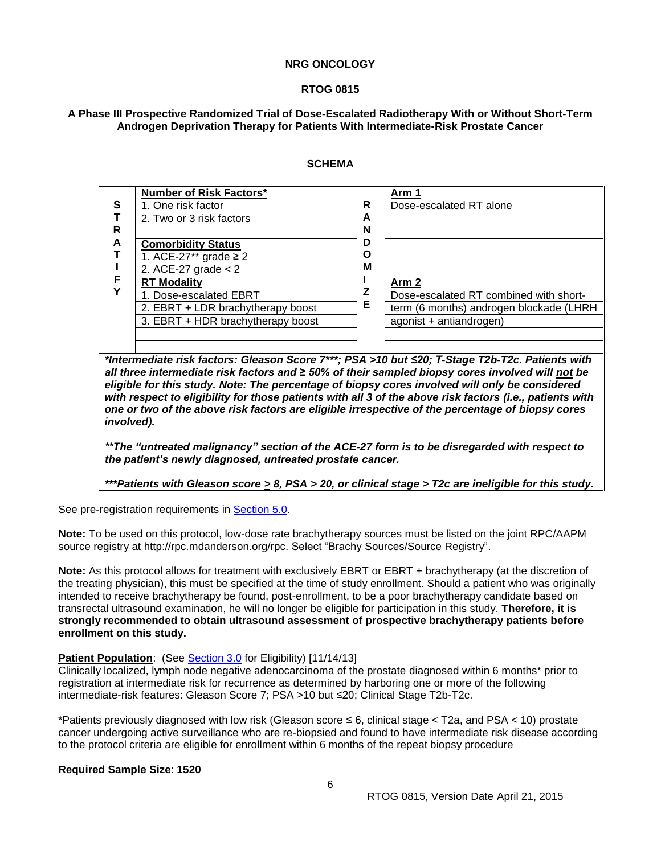#### **RTOG 0815**

#### <span id="page-5-0"></span>**A Phase III Prospective Randomized Trial of Dose-Escalated Radiotherapy With or Without Short-Term Androgen Deprivation Therapy for Patients With Intermediate-Risk Prostate Cancer**

#### **SCHEMA**

| <b>Number of Risk Factors*</b>    |                       | Arm 1                                   |
|-----------------------------------|-----------------------|-----------------------------------------|
| 1. One risk factor                | R                     | Dose-escalated RT alone                 |
| 2. Two or 3 risk factors          | A                     |                                         |
|                                   | N                     |                                         |
| <b>Comorbidity Status</b>         | D                     |                                         |
| 1. ACE-27 <sup>**</sup> grade ≥ 2 | O                     |                                         |
|                                   |                       |                                         |
| <b>RT Modality</b>                |                       | Arm <sub>2</sub>                        |
| 1. Dose-escalated EBRT            |                       | Dose-escalated RT combined with short-  |
| 2. EBRT + LDR brachytherapy boost |                       | term (6 months) androgen blockade (LHRH |
| 3. EBRT + HDR brachytherapy boost |                       | agonist + antiandrogen)                 |
|                                   |                       |                                         |
|                                   | 2. ACE-27 grade $< 2$ | M<br>Е                                  |

*\*Intermediate risk factors: Gleason Score 7\*\*\*; PSA >10 but ≤20; T-Stage T2b-T2c. Patients with all three intermediate risk factors and ≥ 50% of their sampled biopsy cores involved will not be eligible for this study. Note: The percentage of biopsy cores involved will only be considered with respect to eligibility for those patients with all 3 of the above risk factors (i.e., patients with one or two of the above risk factors are eligible irrespective of the percentage of biopsy cores involved).*

*\*\*The "untreated malignancy" section of the ACE-27 form is to be disregarded with respect to the patient's newly diagnosed, untreated prostate cancer.*

*\*\*\*Patients with Gleason score > 8, PSA > 20, or clinical stage > T2c are ineligible for this study.*

See pre-registration requirements in Section 5.0.

**Note:** To be used on this protocol, low-dose rate brachytherapy sources must be listed on the joint RPC/AAPM source registry at http://rpc.mdanderson.org/rpc. Select "Brachy Sources/Source Registry".

**Note:** As this protocol allows for treatment with exclusively EBRT or EBRT + brachytherapy (at the discretion of the treating physician), this must be specified at the time of study enrollment. Should a patient who was originally intended to receive brachytherapy be found, post-enrollment, to be a poor brachytherapy candidate based on transrectal ultrasound examination, he will no longer be eligible for participation in this study. **Therefore, it is strongly recommended to obtain ultrasound assessment of prospective brachytherapy patients before enrollment on this study.**

#### **Patient Population:** (See [Section 3.0](#page-15-1) for Eligibility) [11/14/13]

Clinically localized, lymph node negative adenocarcinoma of the prostate diagnosed within 6 months\* prior to registration at intermediate risk for recurrence as determined by harboring one or more of the following intermediate-risk features: Gleason Score 7; PSA >10 but ≤20; Clinical Stage T2b-T2c.

\*Patients previously diagnosed with low risk (Gleason score ≤ 6, clinical stage < T2a, and PSA < 10) prostate cancer undergoing active surveillance who are re-biopsied and found to have intermediate risk disease according to the protocol criteria are eligible for enrollment within 6 months of the repeat biopsy procedure

#### **Required Sample Size**: **1520**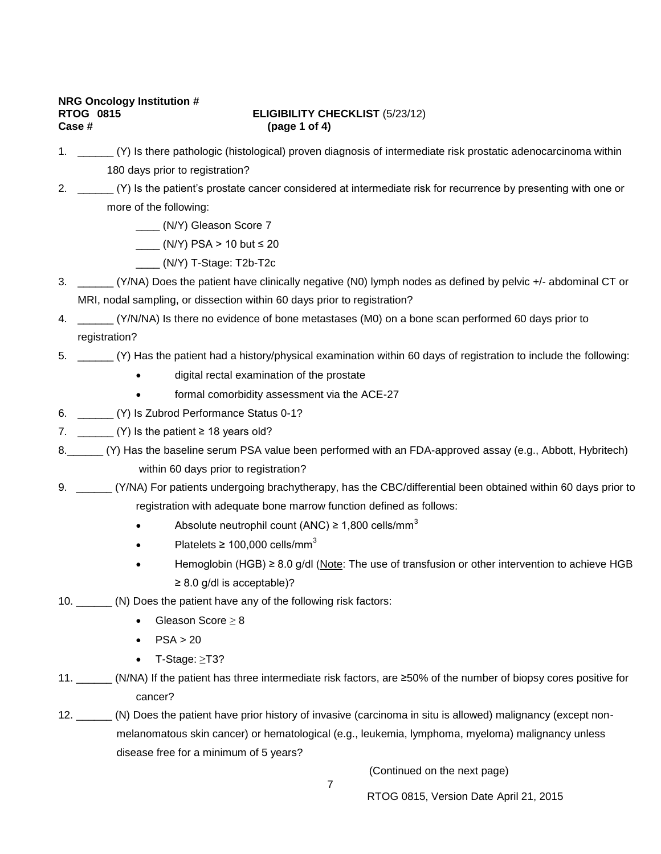# **NRG Oncology Institution # Case # (page 1 of 4)**

# **ELIGIBILITY CHECKLIST** (5/23/12)

- 1. \_\_\_\_\_\_ (Y) Is there pathologic (histological) proven diagnosis of intermediate risk prostatic adenocarcinoma within 180 days prior to registration?
- 2. \_\_\_\_\_\_ (Y) Is the patient's prostate cancer considered at intermediate risk for recurrence by presenting with one or more of the following:
	- \_\_\_\_ (N/Y) Gleason Score 7
	- $\frac{1}{2}$  (N/Y) PSA > 10 but  $\leq 20$ 
		- \_\_\_\_ (N/Y) T-Stage: T2b-T2c
- 3. \_\_\_\_\_\_ (Y/NA) Does the patient have clinically negative (N0) lymph nodes as defined by pelvic +/- abdominal CT or MRI, nodal sampling, or dissection within 60 days prior to registration?
- 4. \_\_\_\_\_\_ (Y/N/NA) Is there no evidence of bone metastases (M0) on a bone scan performed 60 days prior to registration?
- 5. \_\_\_\_\_\_ (Y) Has the patient had a history/physical examination within 60 days of registration to include the following:
	- digital rectal examination of the prostate
	- formal comorbidity assessment via the ACE-27
- 6. \_\_\_\_\_\_ (Y) Is Zubrod Performance Status 0-1?
- 7.  $(Y)$  is the patient  $\geq 18$  years old?
- 8.\_\_\_\_\_\_ (Y) Has the baseline serum PSA value been performed with an FDA-approved assay (e.g., Abbott, Hybritech) within 60 days prior to registration?
- 9. \_\_\_\_\_\_ (Y/NA) For patients undergoing brachytherapy, has the CBC/differential been obtained within 60 days prior to registration with adequate bone marrow function defined as follows:
	- Absolute neutrophil count (ANC)  $\geq$  1,800 cells/mm<sup>3</sup>
	- Platelets  $\geq 100.000$  cells/mm<sup>3</sup>
	- Hemoglobin (HGB) ≥ 8.0 g/dl (Note: The use of transfusion or other intervention to achieve HGB  $\geq$  8.0 g/dl is acceptable)?
- 10. **(N)** Does the patient have any of the following risk factors:
	- Gleason Score ≥ 8
	- $\bullet$  PSA > 20
	- T-Stage: ≥T3?
- 11. \_\_\_\_\_\_ (N/NA) If the patient has three intermediate risk factors, are ≥50% of the number of biopsy cores positive for cancer?
- 12. \_\_\_\_\_\_ (N) Does the patient have prior history of invasive (carcinoma in situ is allowed) malignancy (except nonmelanomatous skin cancer) or hematological (e.g., leukemia, lymphoma, myeloma) malignancy unless disease free for a minimum of 5 years?

(Continued on the next page)

7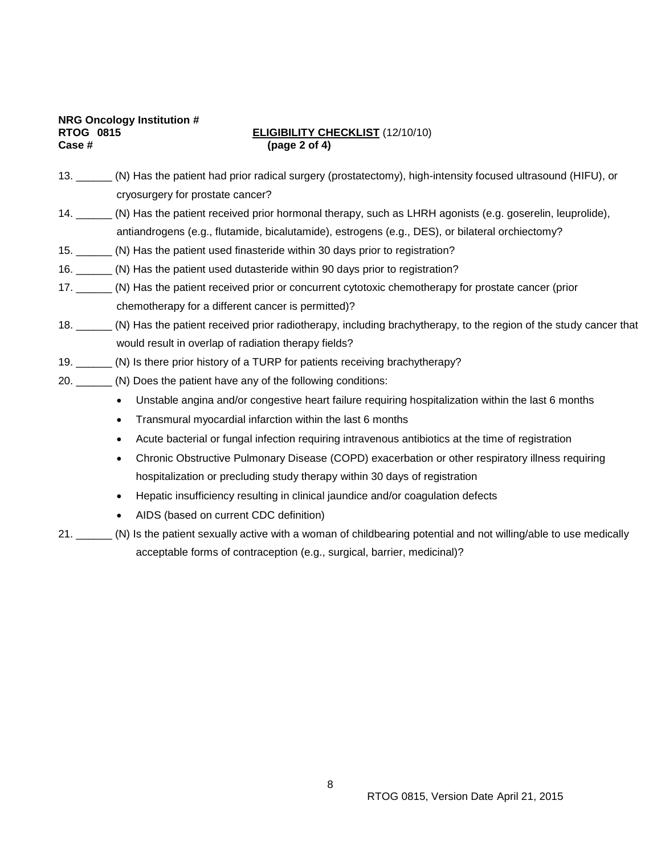|                  | <b>NRG Oncology Institution #</b> |
|------------------|-----------------------------------|
| <b>RTOG 0815</b> |                                   |
| Case #           |                                   |

## **ELIGIBILITY CHECKLIST** (12/10/10) **Case # (page 2 of 4)**

| 13. | (N) Has the patient had prior radical surgery (prostatectomy), high-intensity focused ultrasound (HIFU), or |
|-----|-------------------------------------------------------------------------------------------------------------|
|     | cryosurgery for prostate cancer?                                                                            |

- 14. \_\_\_\_\_\_ (N) Has the patient received prior hormonal therapy, such as LHRH agonists (e.g. goserelin, leuprolide), antiandrogens (e.g., flutamide, bicalutamide), estrogens (e.g., DES), or bilateral orchiectomy?
- 15. \_\_\_\_\_\_ (N) Has the patient used finasteride within 30 days prior to registration?
- 16. \_\_\_\_\_\_ (N) Has the patient used dutasteride within 90 days prior to registration?
- 17. \_\_\_\_\_\_ (N) Has the patient received prior or concurrent cytotoxic chemotherapy for prostate cancer (prior chemotherapy for a different cancer is permitted)?
- 18. \_\_\_\_\_\_ (N) Has the patient received prior radiotherapy, including brachytherapy, to the region of the study cancer that would result in overlap of radiation therapy fields?
- 19. \_\_\_\_\_\_ (N) Is there prior history of a TURP for patients receiving brachytherapy?
- 20. **(N)** Does the patient have any of the following conditions:
	- Unstable angina and/or congestive heart failure requiring hospitalization within the last 6 months
	- Transmural myocardial infarction within the last 6 months
	- Acute bacterial or fungal infection requiring intravenous antibiotics at the time of registration
	- Chronic Obstructive Pulmonary Disease (COPD) exacerbation or other respiratory illness requiring hospitalization or precluding study therapy within 30 days of registration
	- Hepatic insufficiency resulting in clinical jaundice and/or coagulation defects
	- AIDS (based on current CDC definition)
- 21. \_\_\_\_\_\_ (N) Is the patient sexually active with a woman of childbearing potential and not willing/able to use medically acceptable forms of contraception (e.g., surgical, barrier, medicinal)?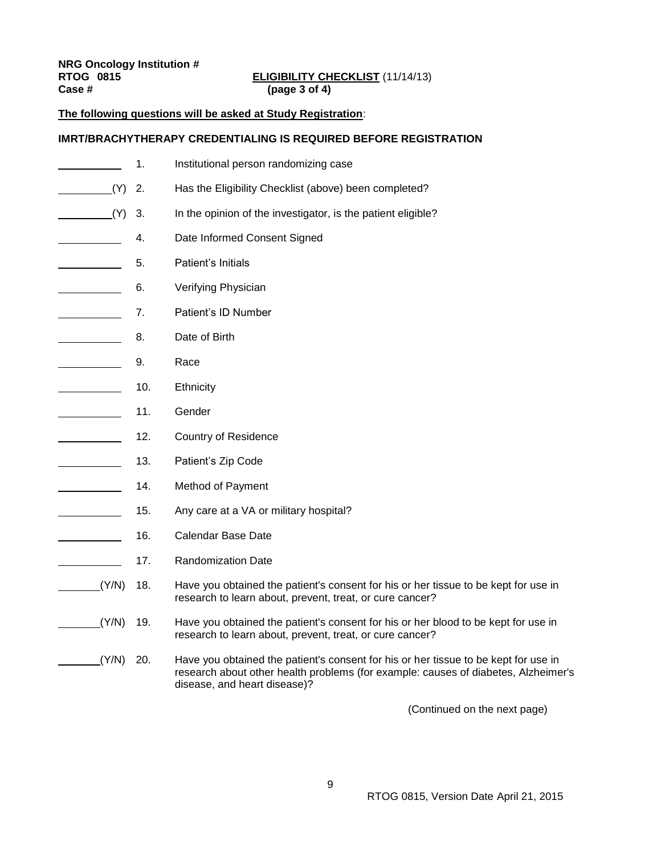| <b>NRG Oncology Institution #</b> |                       |
|-----------------------------------|-----------------------|
| <b>RTOG 0815</b>                  | <b>ELIGIBILITY CH</b> |
| Case #                            | (page 3 of 4)         |

# **RTOG 0815 ELIGIBILITY CHECKLIST** (11/14/13)

## **The following questions will be asked at Study Registration**:

## **IMRT/BRACHYTHERAPY CREDENTIALING IS REQUIRED BEFORE REGISTRATION**

|                                          | 1.  | Institutional person randomizing case                                                                                                                                                                     |
|------------------------------------------|-----|-----------------------------------------------------------------------------------------------------------------------------------------------------------------------------------------------------------|
| (Y)                                      | 2.  | Has the Eligibility Checklist (above) been completed?                                                                                                                                                     |
| (Y)                                      | 3.  | In the opinion of the investigator, is the patient eligible?                                                                                                                                              |
|                                          | 4.  | Date Informed Consent Signed                                                                                                                                                                              |
|                                          | 5.  | Patient's Initials                                                                                                                                                                                        |
|                                          | 6.  | Verifying Physician                                                                                                                                                                                       |
|                                          | 7.  | Patient's ID Number                                                                                                                                                                                       |
|                                          | 8.  | Date of Birth                                                                                                                                                                                             |
|                                          | 9.  | Race                                                                                                                                                                                                      |
|                                          | 10. | Ethnicity                                                                                                                                                                                                 |
| <u> 1990 - Jan Jawa Barat, prima pro</u> | 11. | Gender                                                                                                                                                                                                    |
|                                          | 12. | <b>Country of Residence</b>                                                                                                                                                                               |
|                                          | 13. | Patient's Zip Code                                                                                                                                                                                        |
|                                          | 14. | Method of Payment                                                                                                                                                                                         |
|                                          | 15. | Any care at a VA or military hospital?                                                                                                                                                                    |
|                                          | 16. | <b>Calendar Base Date</b>                                                                                                                                                                                 |
|                                          | 17. | <b>Randomization Date</b>                                                                                                                                                                                 |
| (Y/N)                                    | 18. | Have you obtained the patient's consent for his or her tissue to be kept for use in<br>research to learn about, prevent, treat, or cure cancer?                                                           |
| (Y/N)                                    | 19. | Have you obtained the patient's consent for his or her blood to be kept for use in<br>research to learn about, prevent, treat, or cure cancer?                                                            |
| (Y/N)                                    | 20. | Have you obtained the patient's consent for his or her tissue to be kept for use in<br>research about other health problems (for example: causes of diabetes, Alzheimer's<br>disease, and heart disease)? |

(Continued on the next page)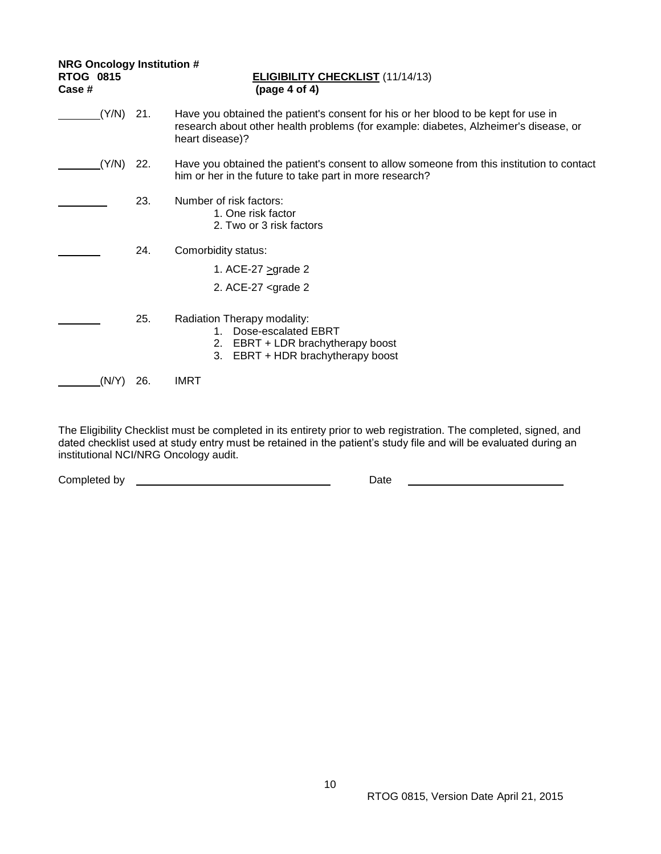| <b>NRG Oncology Institution #</b><br><b>RTOG 0815</b><br>Case # |             |     | <b>ELIGIBILITY CHECKLIST (11/14/13)</b><br>(page 4 of 4)                                                                                                                                      |
|-----------------------------------------------------------------|-------------|-----|-----------------------------------------------------------------------------------------------------------------------------------------------------------------------------------------------|
|                                                                 | $(Y/N)$ 21. |     | Have you obtained the patient's consent for his or her blood to be kept for use in<br>research about other health problems (for example: diabetes, Alzheimer's disease, or<br>heart disease)? |
|                                                                 | (Y/N)       | 22. | Have you obtained the patient's consent to allow someone from this institution to contact<br>him or her in the future to take part in more research?                                          |
|                                                                 |             | 23. | Number of risk factors:<br>1. One risk factor<br>2. Two or 3 risk factors                                                                                                                     |
|                                                                 |             | 24. | Comorbidity status:                                                                                                                                                                           |
|                                                                 |             |     | 1. ACE-27 $>$ grade 2                                                                                                                                                                         |
|                                                                 |             |     | 2. ACE-27 $\leq$ grade 2                                                                                                                                                                      |
|                                                                 |             | 25. | Radiation Therapy modality:<br>Dose-escalated EBRT<br>$1_{-}$<br>EBRT + LDR brachytherapy boost<br>2.<br>EBRT + HDR brachytherapy boost<br>3.                                                 |
|                                                                 | (N/Y)       | 26. | <b>IMRT</b>                                                                                                                                                                                   |

The Eligibility Checklist must be completed in its entirety prior to web registration. The completed, signed, and dated checklist used at study entry must be retained in the patient's study file and will be evaluated during an institutional NCI/NRG Oncology audit.

Completed by Date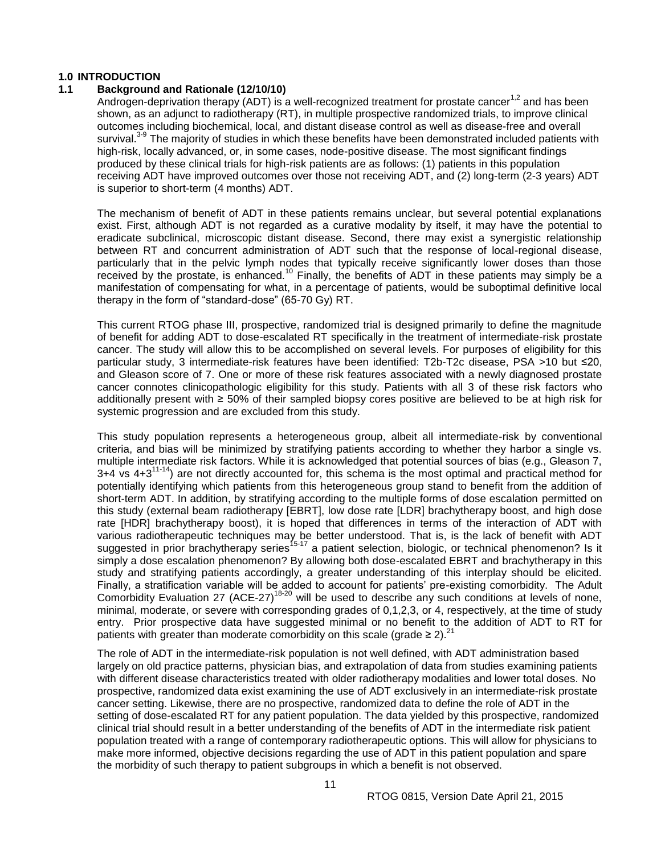## <span id="page-10-0"></span>**1.0 INTRODUCTION**

## <span id="page-10-1"></span>**1.1 Background and Rationale (12/10/10)**

Androgen-deprivation therapy (ADT) is a well-recognized treatment for prostate cancer<sup>1,2</sup> and has been shown, as an adjunct to radiotherapy (RT), in multiple prospective randomized trials, to improve clinical outcomes including biochemical, local, and distant disease control as well as disease-free and overall survival.<sup>3-9</sup> The majority of studies in which these benefits have been demonstrated included patients with high-risk, locally advanced, or, in some cases, node-positive disease. The most significant findings produced by these clinical trials for high-risk patients are as follows: (1) patients in this population receiving ADT have improved outcomes over those not receiving ADT, and (2) long-term (2-3 years) ADT is superior to short-term (4 months) ADT.

The mechanism of benefit of ADT in these patients remains unclear, but several potential explanations exist. First, although ADT is not regarded as a curative modality by itself, it may have the potential to eradicate subclinical, microscopic distant disease. Second, there may exist a synergistic relationship between RT and concurrent administration of ADT such that the response of local-regional disease, particularly that in the pelvic lymph nodes that typically receive significantly lower doses than those received by the prostate, is enhanced.<sup>10</sup> Finally, the benefits of ADT in these patients may simply be a manifestation of compensating for what, in a percentage of patients, would be suboptimal definitive local therapy in the form of "standard-dose" (65-70 Gy) RT.

This current RTOG phase III, prospective, randomized trial is designed primarily to define the magnitude of benefit for adding ADT to dose-escalated RT specifically in the treatment of intermediate-risk prostate cancer. The study will allow this to be accomplished on several levels. For purposes of eligibility for this particular study, 3 intermediate-risk features have been identified: T2b-T2c disease, PSA >10 but ≤20, and Gleason score of 7. One or more of these risk features associated with a newly diagnosed prostate cancer connotes clinicopathologic eligibility for this study. Patients with all 3 of these risk factors who additionally present with ≥ 50% of their sampled biopsy cores positive are believed to be at high risk for systemic progression and are excluded from this study.

This study population represents a heterogeneous group, albeit all intermediate-risk by conventional criteria, and bias will be minimized by stratifying patients according to whether they harbor a single vs. multiple intermediate risk factors. While it is acknowledged that potential sources of bias (e.g., Gleason 7,  $3+4$  vs  $4+3^{11-14}$ ) are not directly accounted for, this schema is the most optimal and practical method for potentially identifying which patients from this heterogeneous group stand to benefit from the addition of short-term ADT. In addition, by stratifying according to the multiple forms of dose escalation permitted on this study (external beam radiotherapy [EBRT], low dose rate [LDR] brachytherapy boost, and high dose rate [HDR] brachytherapy boost), it is hoped that differences in terms of the interaction of ADT with various radiotherapeutic techniques may be better understood. That is, is the lack of benefit with ADT suggested in prior brachytherapy series<sup>15-17</sup> a patient selection, biologic, or technical phenomenon? Is it simply a dose escalation phenomenon? By allowing both dose-escalated EBRT and brachytherapy in this study and stratifying patients accordingly, a greater understanding of this interplay should be elicited. Finally, a stratification variable will be added to account for patients' pre-existing comorbidity. The Adult Comorbidity Evaluation 27 (ACE-27)18-20 will be used to describe any such conditions at levels of none, minimal, moderate, or severe with corresponding grades of 0,1,2,3, or 4, respectively, at the time of study entry. Prior prospective data have suggested minimal or no benefit to the addition of ADT to RT for patients with greater than moderate comorbidity on this scale (grade  $\geq 2$ ).<sup>21</sup>

The role of ADT in the intermediate-risk population is not well defined, with ADT administration based largely on old practice patterns, physician bias, and extrapolation of data from studies examining patients with different disease characteristics treated with older radiotherapy modalities and lower total doses. No prospective, randomized data exist examining the use of ADT exclusively in an intermediate-risk prostate cancer setting. Likewise, there are no prospective, randomized data to define the role of ADT in the setting of dose-escalated RT for any patient population. The data yielded by this prospective, randomized clinical trial should result in a better understanding of the benefits of ADT in the intermediate risk patient population treated with a range of contemporary radiotherapeutic options. This will allow for physicians to make more informed, objective decisions regarding the use of ADT in this patient population and spare the morbidity of such therapy to patient subgroups in which a benefit is not observed.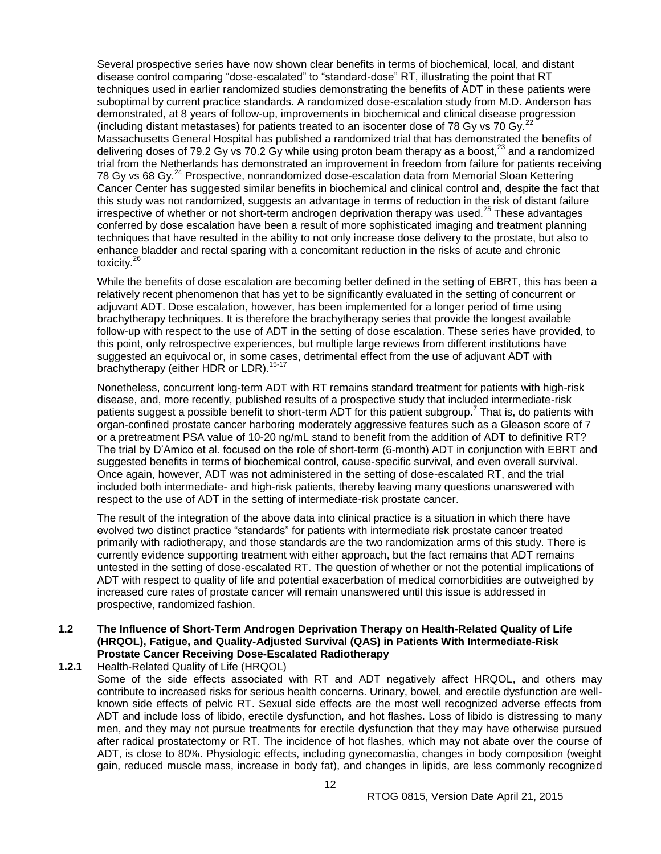Several prospective series have now shown clear benefits in terms of biochemical, local, and distant disease control comparing "dose-escalated" to "standard-dose" RT, illustrating the point that RT techniques used in earlier randomized studies demonstrating the benefits of ADT in these patients were suboptimal by current practice standards. A randomized dose-escalation study from M.D. Anderson has demonstrated, at 8 years of follow-up, improvements in biochemical and clinical disease progression (including distant metastases) for patients treated to an isocenter dose of 78 Gy vs 70 Gy.<sup>2</sup> Massachusetts General Hospital has published a randomized trial that has demonstrated the benefits of delivering doses of 79.2 Gy vs 70.2 Gy while using proton beam therapy as a boost,<sup>23</sup> and a randomized trial from the Netherlands has demonstrated an improvement in freedom from failure for patients receiving 78 Gy vs 68 Gy.<sup>24</sup> Prospective, nonrandomized dose-escalation data from Memorial Sloan Kettering Cancer Center has suggested similar benefits in biochemical and clinical control and, despite the fact that this study was not randomized, suggests an advantage in terms of reduction in the risk of distant failure irrespective of whether or not short-term androgen deprivation therapy was used.<sup>25</sup> These advantages conferred by dose escalation have been a result of more sophisticated imaging and treatment planning techniques that have resulted in the ability to not only increase dose delivery to the prostate, but also to enhance bladder and rectal sparing with a concomitant reduction in the risks of acute and chronic toxicity.<sup>26</sup>

While the benefits of dose escalation are becoming better defined in the setting of EBRT, this has been a relatively recent phenomenon that has yet to be significantly evaluated in the setting of concurrent or adjuvant ADT. Dose escalation, however, has been implemented for a longer period of time using brachytherapy techniques. It is therefore the brachytherapy series that provide the longest available follow-up with respect to the use of ADT in the setting of dose escalation. These series have provided, to this point, only retrospective experiences, but multiple large reviews from different institutions have suggested an equivocal or, in some cases, detrimental effect from the use of adjuvant ADT with brachytherapy (either HDR or LDR).<sup>15-17</sup>

Nonetheless, concurrent long-term ADT with RT remains standard treatment for patients with high-risk disease, and, more recently, published results of a prospective study that included intermediate-risk patients suggest a possible benefit to short-term ADT for this patient subgroup.<sup>7</sup> That is, do patients with organ-confined prostate cancer harboring moderately aggressive features such as a Gleason score of 7 or a pretreatment PSA value of 10-20 ng/mL stand to benefit from the addition of ADT to definitive RT? The trial by D'Amico et al. focused on the role of short-term (6-month) ADT in conjunction with EBRT and suggested benefits in terms of biochemical control, cause-specific survival, and even overall survival. Once again, however, ADT was not administered in the setting of dose-escalated RT, and the trial included both intermediate- and high-risk patients, thereby leaving many questions unanswered with respect to the use of ADT in the setting of intermediate-risk prostate cancer.

The result of the integration of the above data into clinical practice is a situation in which there have evolved two distinct practice "standards" for patients with intermediate risk prostate cancer treated primarily with radiotherapy, and those standards are the two randomization arms of this study. There is currently evidence supporting treatment with either approach, but the fact remains that ADT remains untested in the setting of dose-escalated RT. The question of whether or not the potential implications of ADT with respect to quality of life and potential exacerbation of medical comorbidities are outweighed by increased cure rates of prostate cancer will remain unanswered until this issue is addressed in prospective, randomized fashion.

#### <span id="page-11-0"></span>**1.2 The Influence of Short-Term Androgen Deprivation Therapy on Health-Related Quality of Life (HRQOL), Fatigue, and Quality-Adjusted Survival (QAS) in Patients With Intermediate-Risk Prostate Cancer Receiving Dose-Escalated Radiotherapy**

**1.2.1** Health-Related Quality of Life (HRQOL)

Some of the side effects associated with RT and ADT negatively affect HRQOL, and others may contribute to increased risks for serious health concerns. Urinary, bowel, and erectile dysfunction are wellknown side effects of pelvic RT. Sexual side effects are the most well recognized adverse effects from ADT and include loss of libido, erectile dysfunction, and hot flashes. Loss of libido is distressing to many men, and they may not pursue treatments for erectile dysfunction that they may have otherwise pursued after radical prostatectomy or RT. The incidence of hot flashes, which may not abate over the course of ADT, is close to 80%. Physiologic effects, including gynecomastia, changes in body composition (weight gain, reduced muscle mass, increase in body fat), and changes in lipids, are less commonly recognized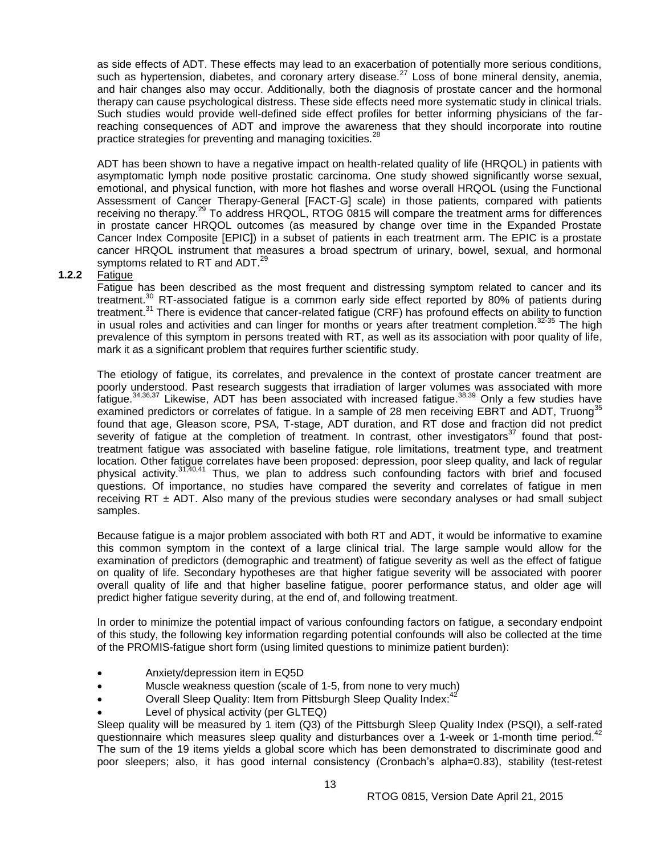as side effects of ADT. These effects may lead to an exacerbation of potentially more serious conditions, such as hypertension, diabetes, and coronary artery disease.<sup>27</sup> Loss of bone mineral density, anemia, and hair changes also may occur. Additionally, both the diagnosis of prostate cancer and the hormonal therapy can cause psychological distress. These side effects need more systematic study in clinical trials. Such studies would provide well-defined side effect profiles for better informing physicians of the farreaching consequences of ADT and improve the awareness that they should incorporate into routine practice strategies for preventing and managing toxicities.<sup>28</sup>

ADT has been shown to have a negative impact on health-related quality of life (HRQOL) in patients with asymptomatic lymph node positive prostatic carcinoma. One study showed significantly worse sexual, emotional, and physical function, with more hot flashes and worse overall HRQOL (using the Functional Assessment of Cancer Therapy-General [FACT-G] scale) in those patients, compared with patients receiving no therapy.<sup>29</sup> To address HRQOL, RTOG 0815 will compare the treatment arms for differences in prostate cancer HRQOL outcomes (as measured by change over time in the Expanded Prostate Cancer Index Composite [EPIC]) in a subset of patients in each treatment arm. The EPIC is a prostate cancer HRQOL instrument that measures a broad spectrum of urinary, bowel, sexual, and hormonal symptoms related to RT and ADT. $^{29}$ 

#### **1.2.2** Fatigue

Fatigue has been described as the most frequent and distressing symptom related to cancer and its treatment.<sup>30</sup> RT-associated fatigue is a common early side effect reported by 80% of patients during treatment.<sup>31</sup> There is evidence that cancer-related fatigue (CRF) has profound effects on ability to function in usual roles and activities and can linger for months or years after treatment completion.<sup>32-35</sup> The high prevalence of this symptom in persons treated with RT, as well as its association with poor quality of life, mark it as a significant problem that requires further scientific study.

The etiology of fatigue, its correlates, and prevalence in the context of prostate cancer treatment are poorly understood. Past research suggests that irradiation of larger volumes was associated with more fatigue.<sup>34,36,37</sup> Likewise, ADT has been associated with increased fatigue.<sup>38,39</sup> Only a few studies have examined predictors or correlates of fatigue. In a sample of 28 men receiving EBRT and ADT, Truong<sup>35</sup> found that age, Gleason score, PSA, T-stage, ADT duration, and RT dose and fraction did not predict severity of fatigue at the completion of treatment. In contrast, other investigators<sup>37</sup> found that posttreatment fatigue was associated with baseline fatigue, role limitations, treatment type, and treatment location. Other fatigue correlates have been proposed: depression, poor sleep quality, and lack of regular physical activity.<sup>31,40,41</sup> Thus, we plan to address such confounding factors with brief and focused questions. Of importance, no studies have compared the severity and correlates of fatigue in men receiving  $RT \pm ADT$ . Also many of the previous studies were secondary analyses or had small subject samples.

Because fatigue is a major problem associated with both RT and ADT, it would be informative to examine this common symptom in the context of a large clinical trial. The large sample would allow for the examination of predictors (demographic and treatment) of fatigue severity as well as the effect of fatigue on quality of life. Secondary hypotheses are that higher fatigue severity will be associated with poorer overall quality of life and that higher baseline fatigue, poorer performance status, and older age will predict higher fatigue severity during, at the end of, and following treatment.

In order to minimize the potential impact of various confounding factors on fatigue, a secondary endpoint of this study, the following key information regarding potential confounds will also be collected at the time of the PROMIS-fatigue short form (using limited questions to minimize patient burden):

- Anxiety/depression item in EQ5D
- Muscle weakness question (scale of 1-5, from none to very much)
- Overall Sleep Quality: Item from Pittsburgh Sleep Quality Index:<sup>42</sup>
- Level of physical activity (per GLTEQ)

Sleep quality will be measured by 1 item (Q3) of the Pittsburgh Sleep Quality Index (PSQI), a self-rated questionnaire which measures sleep quality and disturbances over a 1-week or 1-month time period.<sup>42</sup> The sum of the 19 items yields a global score which has been demonstrated to discriminate good and poor sleepers; also, it has good internal consistency (Cronbach's alpha=0.83), stability (test-retest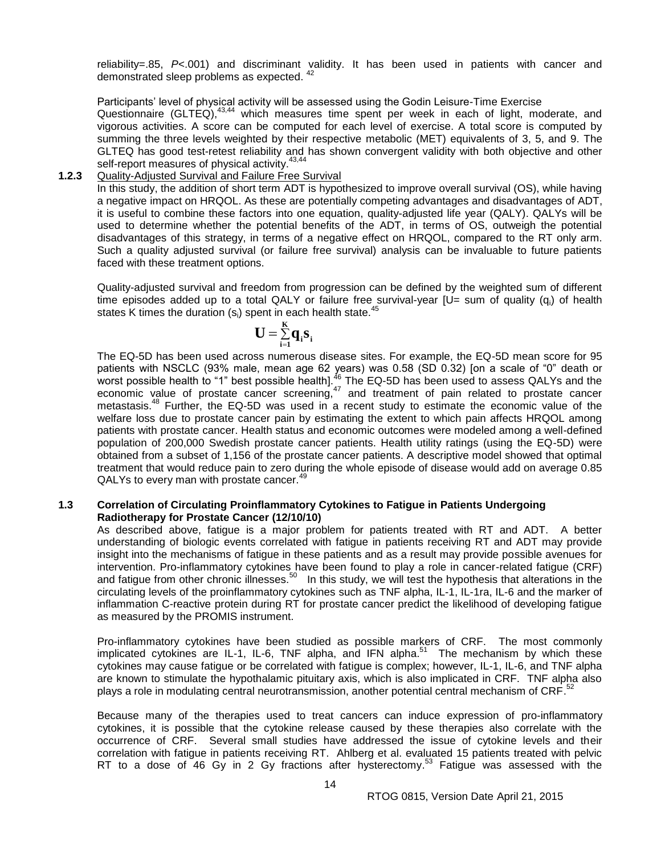reliability=.85, *P*<.001) and discriminant validity. It has been used in patients with cancer and demonstrated sleep problems as expected. <sup>42</sup>

Participants' level of physical activity will be assessed using the Godin Leisure-Time Exercise

Questionnaire (GLTEQ),<sup>43,44</sup> which measures time spent per week in each of light, moderate, and vigorous activities. A score can be computed for each level of exercise. A total score is computed by summing the three levels weighted by their respective metabolic (MET) equivalents of 3, 5, and 9. The GLTEQ has good test-retest reliability and has shown convergent validity with both objective and other self-report measures of physical activity.<sup>43,44</sup>

#### **1.2.3** Quality-Adjusted Survival and Failure Free Survival

In this study, the addition of short term ADT is hypothesized to improve overall survival (OS), while having a negative impact on HRQOL. As these are potentially competing advantages and disadvantages of ADT, it is useful to combine these factors into one equation, quality-adjusted life year (QALY). QALYs will be used to determine whether the potential benefits of the ADT, in terms of OS, outweigh the potential disadvantages of this strategy, in terms of a negative effect on HRQOL, compared to the RT only arm. Such a quality adjusted survival (or failure free survival) analysis can be invaluable to future patients faced with these treatment options.

Quality-adjusted survival and freedom from progression can be defined by the weighted sum of different time episodes added up to a total QALY or failure free survival-year  $[U=$  sum of quality (q<sub>i</sub>) of health states K times the duration  $(s_i)$  spent in each health state.<sup>45</sup>

$$
U = \sum_{i=1}^K q_i s_i
$$

The EQ-5D has been used across numerous disease sites. For example, the EQ-5D mean score for 95 patients with NSCLC (93% male, mean age 62 years) was 0.58 (SD 0.32) [on a scale of "0" death or worst possible health to "1" best possible health].<sup>46</sup> The EQ-5D has been used to assess QALYs and the economic value of prostate cancer screening, $47$  and treatment of pain related to prostate cancer metastasis.<sup>48</sup> Further, the EQ-5D was used in a recent study to estimate the economic value of the welfare loss due to prostate cancer pain by estimating the extent to which pain affects HRQOL among patients with prostate cancer. Health status and economic outcomes were modeled among a well-defined population of 200,000 Swedish prostate cancer patients. Health utility ratings (using the EQ-5D) were obtained from a subset of 1,156 of the prostate cancer patients. A descriptive model showed that optimal treatment that would reduce pain to zero during the whole episode of disease would add on average 0.85 QALYs to every man with prostate cancer.<sup>49</sup>

#### <span id="page-13-0"></span>**1.3 Correlation of Circulating Proinflammatory Cytokines to Fatigue in Patients Undergoing Radiotherapy for Prostate Cancer (12/10/10)**

As described above, fatigue is a major problem for patients treated with RT and ADT. A better understanding of biologic events correlated with fatigue in patients receiving RT and ADT may provide insight into the mechanisms of fatigue in these patients and as a result may provide possible avenues for intervention. Pro-inflammatory cytokines have been found to play a role in cancer-related fatigue (CRF) and fatigue from other chronic illnesses.<sup>50</sup> In this study, we will test the hypothesis that alterations in the circulating levels of the proinflammatory cytokines such as TNF alpha, IL-1, IL-1ra, IL-6 and the marker of inflammation C-reactive protein during RT for prostate cancer predict the likelihood of developing fatigue as measured by the PROMIS instrument.

Pro-inflammatory cytokines have been studied as possible markers of CRF. The most commonly implicated cytokines are IL-1, IL-6, TNF alpha, and IFN alpha.<sup>51</sup> The mechanism by which these cytokines may cause fatigue or be correlated with fatigue is complex; however, IL-1, IL-6, and TNF alpha are known to stimulate the hypothalamic pituitary axis, which is also implicated in CRF. TNF alpha also plays a role in modulating central neurotransmission, another potential central mechanism of CRF.<sup>52</sup>

Because many of the therapies used to treat cancers can induce expression of pro-inflammatory cytokines, it is possible that the cytokine release caused by these therapies also correlate with the occurrence of CRF. Several small studies have addressed the issue of cytokine levels and their correlation with fatigue in patients receiving RT. Ahlberg et al. evaluated 15 patients treated with pelvic RT to a dose of 46 Gy in 2 Gy fractions after hysterectomy.<sup>53</sup> Fatigue was assessed with the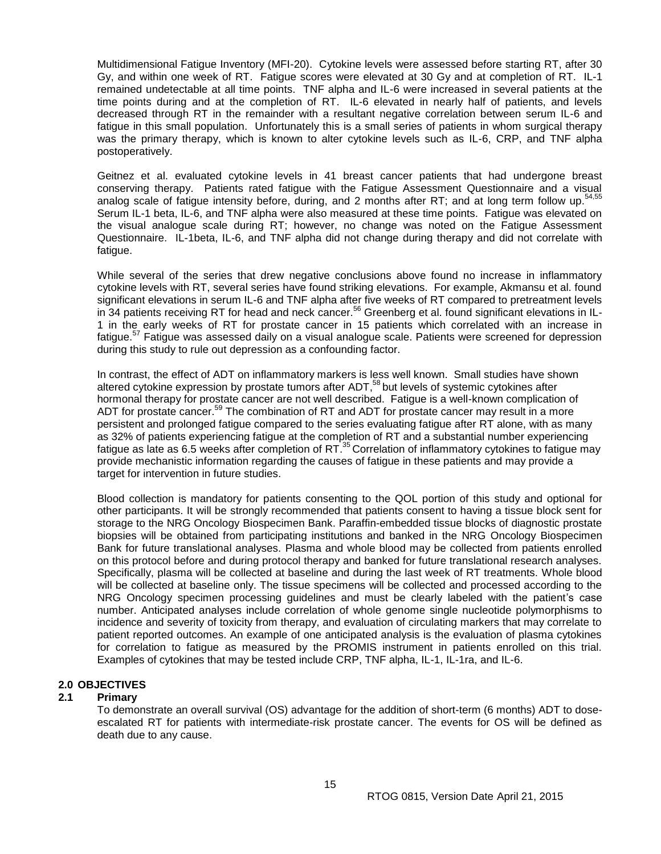Multidimensional Fatigue Inventory (MFI-20). Cytokine levels were assessed before starting RT, after 30 Gy, and within one week of RT. Fatigue scores were elevated at 30 Gy and at completion of RT. IL-1 remained undetectable at all time points. TNF alpha and IL-6 were increased in several patients at the time points during and at the completion of RT. IL-6 elevated in nearly half of patients, and levels decreased through RT in the remainder with a resultant negative correlation between serum IL-6 and fatigue in this small population. Unfortunately this is a small series of patients in whom surgical therapy was the primary therapy, which is known to alter cytokine levels such as IL-6, CRP, and TNF alpha postoperatively.

Geitnez et al. evaluated cytokine levels in 41 breast cancer patients that had undergone breast conserving therapy. Patients rated fatigue with the Fatigue Assessment Questionnaire and a visual analog scale of fatigue intensity before, during, and 2 months after RT; and at long term follow up.<sup>5</sup> Serum IL-1 beta, IL-6, and TNF alpha were also measured at these time points. Fatigue was elevated on the visual analogue scale during RT; however, no change was noted on the Fatigue Assessment Questionnaire. IL-1beta, IL-6, and TNF alpha did not change during therapy and did not correlate with fatigue.

While several of the series that drew negative conclusions above found no increase in inflammatory cytokine levels with RT, several series have found striking elevations. For example, Akmansu et al. found significant elevations in serum IL-6 and TNF alpha after five weeks of RT compared to pretreatment levels in 34 patients receiving RT for head and neck cancer.<sup>56</sup> Greenberg et al. found significant elevations in IL-1 in the early weeks of RT for prostate cancer in 15 patients which correlated with an increase in fatigue.<sup>57</sup> Fatigue was assessed daily on a visual analogue scale. Patients were screened for depression during this study to rule out depression as a confounding factor.

In contrast, the effect of ADT on inflammatory markers is less well known. Small studies have shown altered cytokine expression by prostate tumors after ADT,<sup>58</sup> but levels of systemic cytokines after hormonal therapy for prostate cancer are not well described. Fatigue is a well-known complication of ADT for prostate cancer.<sup>59</sup> The combination of RT and ADT for prostate cancer may result in a more persistent and prolonged fatigue compared to the series evaluating fatigue after RT alone, with as many as 32% of patients experiencing fatigue at the completion of RT and a substantial number experiencing fatigue as late as 6.5 weeks after completion of RT.<sup>35</sup> Correlation of inflammatory cytokines to fatigue may provide mechanistic information regarding the causes of fatigue in these patients and may provide a target for intervention in future studies.

Blood collection is mandatory for patients consenting to the QOL portion of this study and optional for other participants. It will be strongly recommended that patients consent to having a tissue block sent for storage to the NRG Oncology Biospecimen Bank. Paraffin-embedded tissue blocks of diagnostic prostate biopsies will be obtained from participating institutions and banked in the NRG Oncology Biospecimen Bank for future translational analyses. Plasma and whole blood may be collected from patients enrolled on this protocol before and during protocol therapy and banked for future translational research analyses. Specifically, plasma will be collected at baseline and during the last week of RT treatments. Whole blood will be collected at baseline only. The tissue specimens will be collected and processed according to the NRG Oncology specimen processing guidelines and must be clearly labeled with the patient's case number. Anticipated analyses include correlation of whole genome single nucleotide polymorphisms to incidence and severity of toxicity from therapy, and evaluation of circulating markers that may correlate to patient reported outcomes. An example of one anticipated analysis is the evaluation of plasma cytokines for correlation to fatigue as measured by the PROMIS instrument in patients enrolled on this trial. Examples of cytokines that may be tested include CRP, TNF alpha, IL-1, IL-1ra, and IL-6.

#### <span id="page-14-0"></span>**2.0 OBJECTIVES**

#### <span id="page-14-1"></span>**2.1 Primary**

To demonstrate an overall survival (OS) advantage for the addition of short-term (6 months) ADT to doseescalated RT for patients with intermediate-risk prostate cancer. The events for OS will be defined as death due to any cause.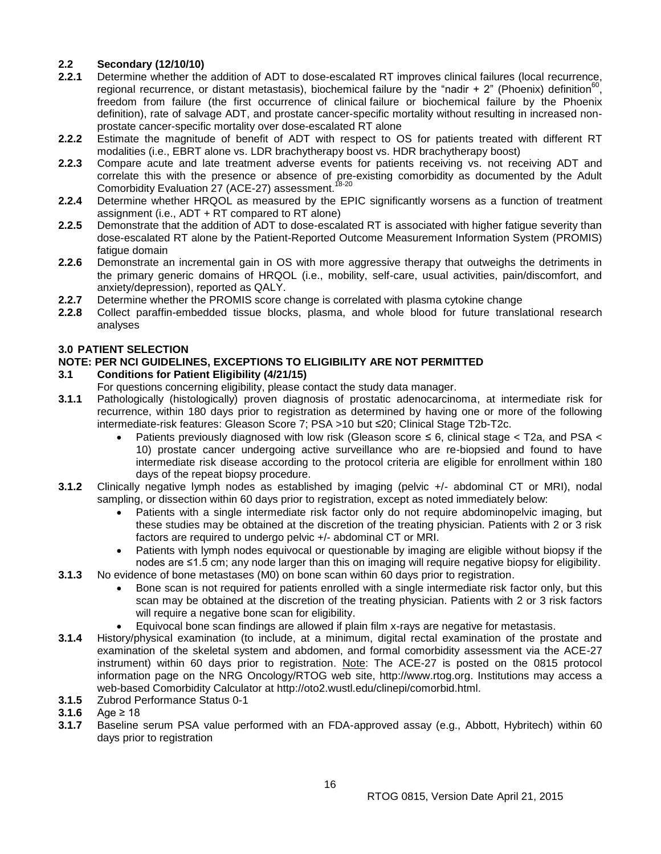## <span id="page-15-0"></span>**2.2 Secondary (12/10/10)**

- **2.2.1** Determine whether the addition of ADT to dose-escalated RT improves clinical failures (local recurrence, regional recurrence, or distant metastasis), biochemical failure by the "nadir +  $2$ " (Phoenix) definition<sup>6</sup> , freedom from failure (the first occurrence of clinical failure or biochemical failure by the Phoenix definition), rate of salvage ADT, and prostate cancer-specific mortality without resulting in increased nonprostate cancer-specific mortality over dose-escalated RT alone
- **2.2.2** Estimate the magnitude of benefit of ADT with respect to OS for patients treated with different RT modalities (i.e., EBRT alone vs. LDR brachytherapy boost vs. HDR brachytherapy boost)
- **2.2.3** Compare acute and late treatment adverse events for patients receiving vs. not receiving ADT and correlate this with the presence or absence of pre-existing comorbidity as documented by the Adult Comorbidity Evaluation 27 (ACE-27) assessment.<sup>18-20</sup>
- **2.2.4** Determine whether HRQOL as measured by the EPIC significantly worsens as a function of treatment assignment (i.e., ADT + RT compared to RT alone)
- **2.2.5** Demonstrate that the addition of ADT to dose-escalated RT is associated with higher fatigue severity than dose-escalated RT alone by the Patient-Reported Outcome Measurement Information System (PROMIS) fatigue domain
- **2.2.6** Demonstrate an incremental gain in OS with more aggressive therapy that outweighs the detriments in the primary generic domains of HRQOL (i.e., mobility, self-care, usual activities, pain/discomfort, and anxiety/depression), reported as QALY.
- **2.2.7** Determine whether the PROMIS score change is correlated with plasma cytokine change
- **2.2.8** Collect paraffin-embedded tissue blocks, plasma, and whole blood for future translational research analyses

## <span id="page-15-1"></span>**3.0 PATIENT SELECTION**

## **NOTE: PER NCI GUIDELINES, EXCEPTIONS TO ELIGIBILITY ARE NOT PERMITTED**

## <span id="page-15-2"></span>**3.1 Conditions for Patient Eligibility (4/21/15)**

- For questions concerning eligibility, please contact the study data manager.
- **3.1.1** Pathologically (histologically) proven diagnosis of prostatic adenocarcinoma, at intermediate risk for recurrence, within 180 days prior to registration as determined by having one or more of the following intermediate-risk features: Gleason Score 7; PSA >10 but ≤20; Clinical Stage T2b-T2c.
	- Patients previously diagnosed with low risk (Gleason score  $\leq$  6, clinical stage  $<$  T2a, and PSA  $<$ 10) prostate cancer undergoing active surveillance who are re-biopsied and found to have intermediate risk disease according to the protocol criteria are eligible for enrollment within 180 days of the repeat biopsy procedure.
- **3.1.2** Clinically negative lymph nodes as established by imaging (pelvic +/- abdominal CT or MRI), nodal sampling, or dissection within 60 days prior to registration, except as noted immediately below:
	- Patients with a single intermediate risk factor only do not require abdominopelvic imaging, but these studies may be obtained at the discretion of the treating physician. Patients with 2 or 3 risk factors are required to undergo pelvic +/- abdominal CT or MRI.
	- Patients with lymph nodes equivocal or questionable by imaging are eligible without biopsy if the nodes are ≤1.5 cm; any node larger than this on imaging will require negative biopsy for eligibility.
- **3.1.3** No evidence of bone metastases (M0) on bone scan within 60 days prior to registration.
	- Bone scan is not required for patients enrolled with a single intermediate risk factor only, but this scan may be obtained at the discretion of the treating physician. Patients with 2 or 3 risk factors will require a negative bone scan for eligibility.
	- Equivocal bone scan findings are allowed if plain film x-rays are negative for metastasis.
- **3.1.4** History/physical examination (to include, at a minimum, digital rectal examination of the prostate and examination of the skeletal system and abdomen, and formal comorbidity assessment via the ACE-27 instrument) within 60 days prior to registration. Note: The ACE-27 is posted on the 0815 protocol information page on the NRG Oncology/RTOG web site, http://www.rtog.org. Institutions may access a web-based Comorbidity Calculator at http://oto2.wustl.edu/clinepi/comorbid.html.
- **3.1.5** Zubrod Performance Status 0-1
- **3.1.6** Age ≥ 18
- **3.1.7** Baseline serum PSA value performed with an FDA-approved assay (e.g., Abbott, Hybritech) within 60 days prior to registration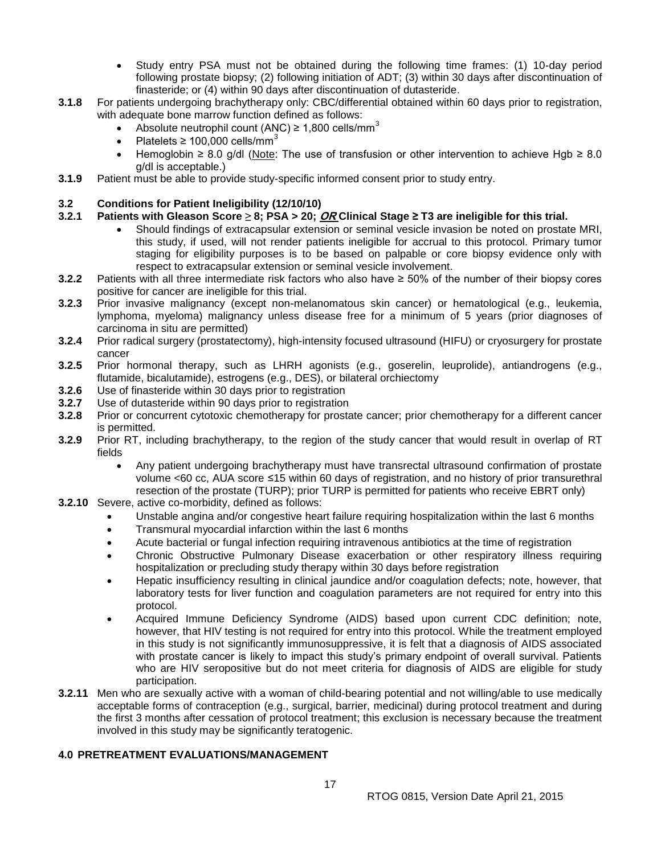- Study entry PSA must not be obtained during the following time frames: (1) 10-day period following prostate biopsy; (2) following initiation of ADT; (3) within 30 days after discontinuation of finasteride; or (4) within 90 days after discontinuation of dutasteride.
- **3.1.8** For patients undergoing brachytherapy only: CBC/differential obtained within 60 days prior to registration, with adequate bone marrow function defined as follows:
	- Absolute neutrophil count (ANC)  $\geq$  1,800 cells/mm<sup>3</sup>
	- Platelets  $\geq 100,000$  cells/mm<sup>3</sup>
	- Hemoglobin ≥ 8.0 g/dl (Note: The use of transfusion or other intervention to achieve Hgb ≥ 8.0 g/dl is acceptable.)
- **3.1.9** Patient must be able to provide study-specific informed consent prior to study entry.

## <span id="page-16-0"></span>**3.2 Conditions for Patient Ineligibility (12/10/10)**

## **3.2.1 Patients with Gleason Score ≥ 8; PSA > 20; OR Clinical Stage ≥ T3 are ineligible for this trial.**

- Should findings of extracapsular extension or seminal vesicle invasion be noted on prostate MRI, this study, if used, will not render patients ineligible for accrual to this protocol. Primary tumor staging for eligibility purposes is to be based on palpable or core biopsy evidence only with respect to extracapsular extension or seminal vesicle involvement.
- **3.2.2** Patients with all three intermediate risk factors who also have ≥ 50% of the number of their biopsy cores positive for cancer are ineligible for this trial.
- **3.2.3** Prior invasive malignancy (except non-melanomatous skin cancer) or hematological (e.g., leukemia, lymphoma, myeloma) malignancy unless disease free for a minimum of 5 years (prior diagnoses of carcinoma in situ are permitted)
- **3.2.4** Prior radical surgery (prostatectomy), high-intensity focused ultrasound (HIFU) or cryosurgery for prostate cancer
- **3.2.5** Prior hormonal therapy, such as LHRH agonists (e.g., goserelin, leuprolide), antiandrogens (e.g., flutamide, bicalutamide), estrogens (e.g., DES), or bilateral orchiectomy
- **3.2.6** Use of finasteride within 30 days prior to registration
- **3.2.7** Use of dutasteride within 90 days prior to registration
- **3.2.8** Prior or concurrent cytotoxic chemotherapy for prostate cancer; prior chemotherapy for a different cancer is permitted.
- **3.2.9** Prior RT, including brachytherapy, to the region of the study cancer that would result in overlap of RT fields
	- Any patient undergoing brachytherapy must have transrectal ultrasound confirmation of prostate volume <60 cc, AUA score ≤15 within 60 days of registration, and no history of prior transurethral resection of the prostate (TURP); prior TURP is permitted for patients who receive EBRT only)
- **3.2.10** Severe, active co-morbidity, defined as follows:
	- Unstable angina and/or congestive heart failure requiring hospitalization within the last 6 months
	- Transmural myocardial infarction within the last 6 months
	- Acute bacterial or fungal infection requiring intravenous antibiotics at the time of registration
	- Chronic Obstructive Pulmonary Disease exacerbation or other respiratory illness requiring hospitalization or precluding study therapy within 30 days before registration
	- Hepatic insufficiency resulting in clinical jaundice and/or coagulation defects; note, however, that laboratory tests for liver function and coagulation parameters are not required for entry into this protocol.
	- Acquired Immune Deficiency Syndrome (AIDS) based upon current CDC definition; note, however, that HIV testing is not required for entry into this protocol. While the treatment employed in this study is not significantly immunosuppressive, it is felt that a diagnosis of AIDS associated with prostate cancer is likely to impact this study's primary endpoint of overall survival. Patients who are HIV seropositive but do not meet criteria for diagnosis of AIDS are eligible for study participation.
- **3.2.11** Men who are sexually active with a woman of child-bearing potential and not willing/able to use medically acceptable forms of contraception (e.g., surgical, barrier, medicinal) during protocol treatment and during the first 3 months after cessation of protocol treatment; this exclusion is necessary because the treatment involved in this study may be significantly teratogenic.

## <span id="page-16-1"></span>**4.0 PRETREATMENT EVALUATIONS/MANAGEMENT**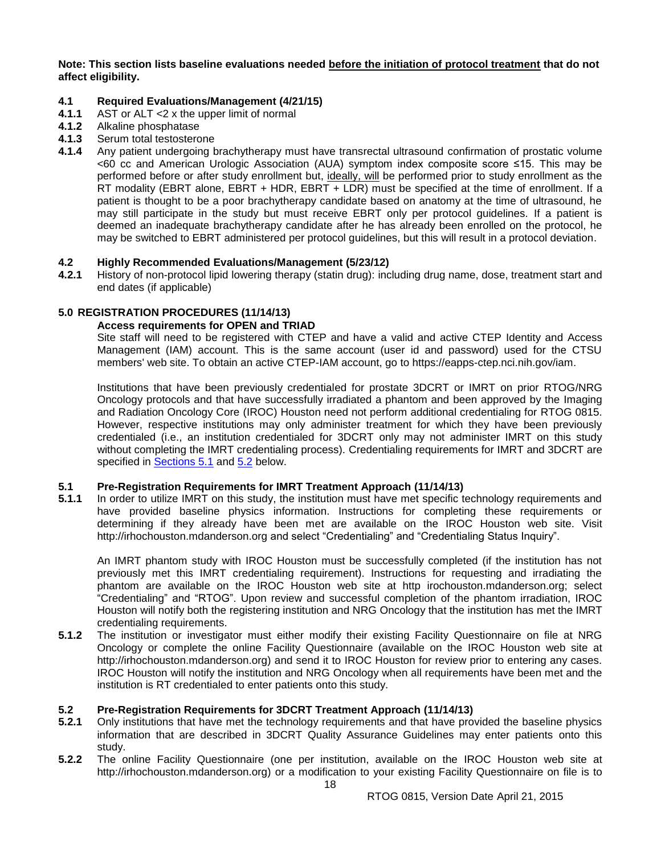**Note: This section lists baseline evaluations needed before the initiation of protocol treatment that do not affect eligibility.** 

# <span id="page-17-1"></span>**4.1 Required Evaluations/Management (4/21/15)**

- **4.1.1** AST or ALT <2 x the upper limit of normal
- **4.1.2** Alkaline phosphatase<br>**4.1.3** Serum total testostero
- **4.1.3** Serum total testosterone
- **4.1.4** Any patient undergoing brachytherapy must have transrectal ultrasound confirmation of prostatic volume <60 cc and American Urologic Association (AUA) symptom index composite score ≤15. This may be performed before or after study enrollment but, ideally, will be performed prior to study enrollment as the RT modality (EBRT alone, EBRT + HDR, EBRT + LDR) must be specified at the time of enrollment. If a patient is thought to be a poor brachytherapy candidate based on anatomy at the time of ultrasound, he may still participate in the study but must receive EBRT only per protocol guidelines. If a patient is deemed an inadequate brachytherapy candidate after he has already been enrolled on the protocol, he may be switched to EBRT administered per protocol guidelines, but this will result in a protocol deviation.

## <span id="page-17-2"></span>**4.2 Highly Recommended Evaluations/Management (5/23/12)**

**4.2.1** History of non-protocol lipid lowering therapy (statin drug): including drug name, dose, treatment start and end dates (if applicable)

## <span id="page-17-3"></span><span id="page-17-0"></span>**5.0 REGISTRATION PROCEDURES (11/14/13)**

#### **Access requirements for OPEN and TRIAD**

Site staff will need to be registered with CTEP and have a valid and active CTEP Identity and Access Management (IAM) account. This is the same account (user id and password) used for the CTSU members' web site. To obtain an active CTEP-IAM account, go to https://eapps-ctep.nci.nih.gov/iam.

Institutions that have been previously credentialed for prostate 3DCRT or IMRT on prior RTOG/NRG Oncology protocols and that have successfully irradiated a phantom and been approved by the Imaging and Radiation Oncology Core (IROC) Houston need not perform additional credentialing for RTOG 0815. However, respective institutions may only administer treatment for which they have been previously credentialed (i.e., an institution credentialed for 3DCRT only may not administer IMRT on this study without completing the IMRT credentialing process). Credentialing requirements for IMRT and 3DCRT are specified in [Sections 5.1](#page-17-4) and [5.2](#page-17-5) below.

## <span id="page-17-4"></span>**5.1 Pre-Registration Requirements for IMRT Treatment Approach (11/14/13)**

**5.1.1** In order to utilize IMRT on this study, the institution must have met specific technology requirements and have provided baseline physics information. Instructions for completing these requirements or determining if they already have been met are available on the IROC Houston web site. Visit http://irhochouston.mdanderson.org and select "Credentialing" and "Credentialing Status Inquiry".

An IMRT phantom study with IROC Houston must be successfully completed (if the institution has not previously met this IMRT credentialing requirement). Instructions for requesting and irradiating the phantom are available on the IROC Houston web site at http irochouston.mdanderson.org; select "Credentialing" and "RTOG". Upon review and successful completion of the phantom irradiation, IROC Houston will notify both the registering institution and NRG Oncology that the institution has met the IMRT credentialing requirements.

**5.1.2** The institution or investigator must either modify their existing Facility Questionnaire on file at NRG Oncology or complete the online Facility Questionnaire (available on the IROC Houston web site at http://irhochouston.mdanderson.org) and send it to IROC Houston for review prior to entering any cases. IROC Houston will notify the institution and NRG Oncology when all requirements have been met and the institution is RT credentialed to enter patients onto this study.

#### <span id="page-17-5"></span>**5.2 Pre-Registration Requirements for 3DCRT Treatment Approach (11/14/13)**

- **5.2.1** Only institutions that have met the technology requirements and that have provided the baseline physics information that are described in 3DCRT Quality Assurance Guidelines may enter patients onto this study.
- **5.2.2** The online Facility Questionnaire (one per institution, available on the IROC Houston web site at http://irhochouston.mdanderson.org) or a modification to your existing Facility Questionnaire on file is to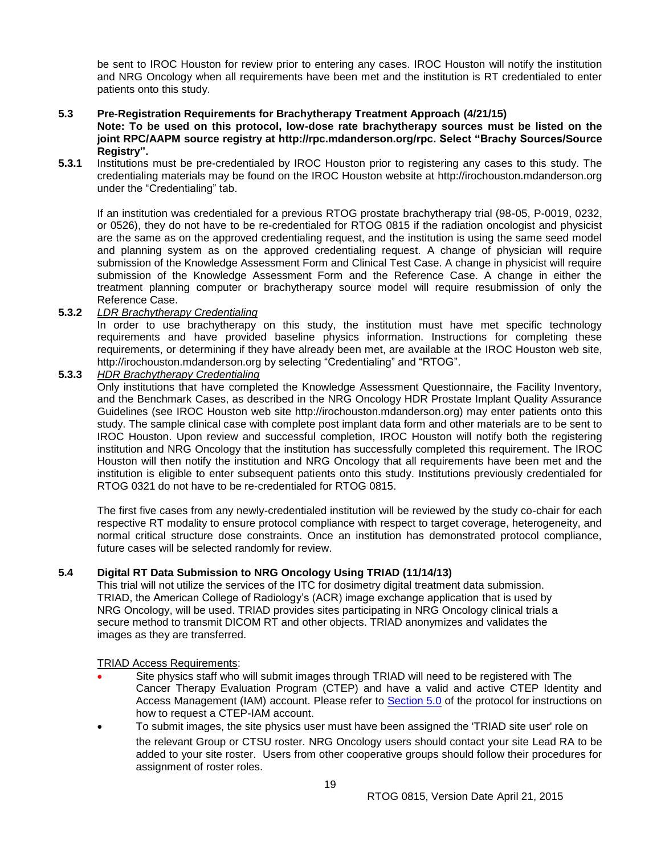be sent to IROC Houston for review prior to entering any cases. IROC Houston will notify the institution and NRG Oncology when all requirements have been met and the institution is RT credentialed to enter patients onto this study.

## <span id="page-18-0"></span>**5.3 Pre-Registration Requirements for Brachytherapy Treatment Approach (4/21/15)**

**Note: To be used on this protocol, low-dose rate brachytherapy sources must be listed on the joint RPC/AAPM source registry at http://rpc.mdanderson.org/rpc. Select "Brachy Sources/Source Registry".**

**5.3.1** Institutions must be pre-credentialed by IROC Houston prior to registering any cases to this study. The credentialing materials may be found on the IROC Houston website at http://irochouston.mdanderson.org under the "Credentialing" tab.

If an institution was credentialed for a previous RTOG prostate brachytherapy trial (98-05, P-0019, 0232, or 0526), they do not have to be re-credentialed for RTOG 0815 if the radiation oncologist and physicist are the same as on the approved credentialing request, and the institution is using the same seed model and planning system as on the approved credentialing request. A change of physician will require submission of the Knowledge Assessment Form and Clinical Test Case. A change in physicist will require submission of the Knowledge Assessment Form and the Reference Case. A change in either the treatment planning computer or brachytherapy source model will require resubmission of only the Reference Case.

## **5.3.2** *LDR Brachytherapy Credentialing*

In order to use brachytherapy on this study, the institution must have met specific technology requirements and have provided baseline physics information. Instructions for completing these requirements, or determining if they have already been met, are available at the IROC Houston web site, http://irochouston.mdanderson.org by selecting "Credentialing" and "RTOG".

#### **5.3.3** *HDR Brachytherapy Credentialing*

Only institutions that have completed the Knowledge Assessment Questionnaire, the Facility Inventory, and the Benchmark Cases, as described in the NRG Oncology HDR Prostate Implant Quality Assurance Guidelines (see IROC Houston web site http://irochouston.mdanderson.org) may enter patients onto this study. The sample clinical case with complete post implant data form and other materials are to be sent to IROC Houston. Upon review and successful completion, IROC Houston will notify both the registering institution and NRG Oncology that the institution has successfully completed this requirement. The IROC Houston will then notify the institution and NRG Oncology that all requirements have been met and the institution is eligible to enter subsequent patients onto this study. Institutions previously credentialed for RTOG 0321 do not have to be re-credentialed for RTOG 0815.

The first five cases from any newly-credentialed institution will be reviewed by the study co-chair for each respective RT modality to ensure protocol compliance with respect to target coverage, heterogeneity, and normal critical structure dose constraints. Once an institution has demonstrated protocol compliance, future cases will be selected randomly for review.

## <span id="page-18-1"></span>**5.4 Digital RT Data Submission to NRG Oncology Using TRIAD (11/14/13)**

This trial will not utilize the services of the ITC for dosimetry digital treatment data submission. TRIAD, the American College of Radiology's (ACR) image exchange application that is used by NRG Oncology, will be used. TRIAD provides sites participating in NRG Oncology clinical trials a secure method to transmit DICOM RT and other objects. TRIAD anonymizes and validates the images as they are transferred.

#### TRIAD Access Requirements:

- Site physics staff who will submit images through TRIAD will need to be registered with The Cancer Therapy Evaluation Program (CTEP) and have a valid and active CTEP Identity and Access Management (IAM) account. Please refer to [Section 5.0](#page-17-0) of the protocol for instructions on how to request a CTEP-IAM account.
- To submit images, the site physics user must have been assigned the 'TRIAD site user' role on the relevant Group or CTSU roster. NRG Oncology users should contact your site Lead RA to be added to your site roster. Users from other cooperative groups should follow their procedures for assignment of roster roles.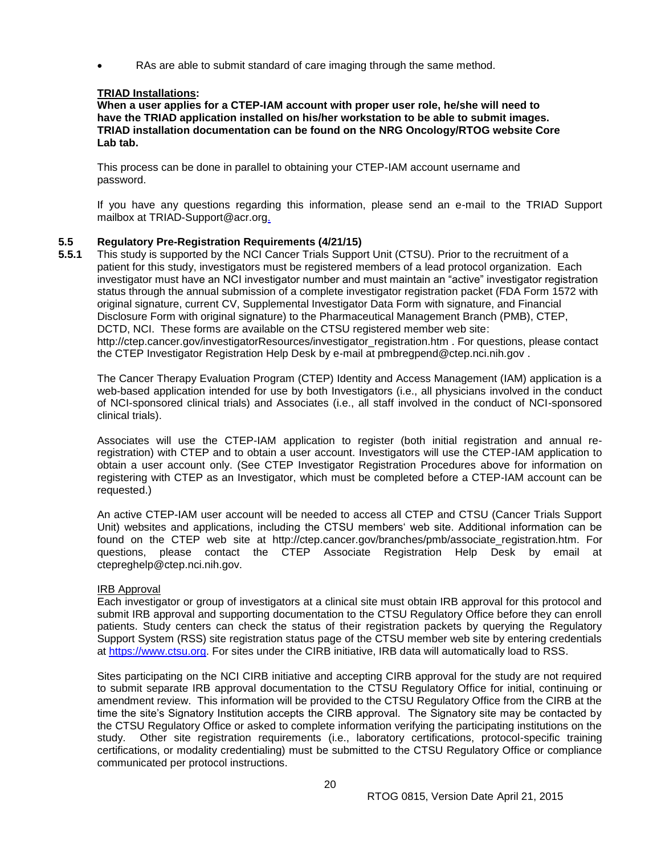RAs are able to submit standard of care imaging through the same method.

## **TRIAD Installations:**

**When a user applies for a CTEP-IAM account with proper user role, he/she will need to have the TRIAD application installed on his/her workstation to be able to submit images. TRIAD installation documentation can be found on the NRG Oncology/RTOG website Core Lab tab.** 

This process can be done in parallel to obtaining your CTEP-IAM account username and password.

If you have any questions regarding this information, please send an e-mail to the TRIAD Support mailbox at TRIAD-Support@acr.org.

## <span id="page-19-0"></span>**5.5 Regulatory Pre-Registration Requirements (4/21/15)**

**5.5.1** This study is supported by the NCI Cancer Trials Support Unit (CTSU). Prior to the recruitment of a patient for this study, investigators must be registered members of a lead protocol organization. Each investigator must have an NCI investigator number and must maintain an "active" investigator registration status through the annual submission of a complete investigator registration packet (FDA Form 1572 with original signature, current CV, Supplemental Investigator Data Form with signature, and Financial Disclosure Form with original signature) to the Pharmaceutical Management Branch (PMB), CTEP, DCTD, NCI. These forms are available on the CTSU registered member web site: http://ctep.cancer.gov/investigatorResources/investigator\_registration.htm . For questions, please contact the CTEP Investigator Registration Help Desk by e-mail at pmbregpend@ctep.nci.nih.gov .

The Cancer Therapy Evaluation Program (CTEP) Identity and Access Management (IAM) application is a web-based application intended for use by both Investigators (i.e., all physicians involved in the conduct of NCI-sponsored clinical trials) and Associates (i.e., all staff involved in the conduct of NCI-sponsored clinical trials).

Associates will use the CTEP-IAM application to register (both initial registration and annual reregistration) with CTEP and to obtain a user account. Investigators will use the CTEP-IAM application to obtain a user account only. (See CTEP Investigator Registration Procedures above for information on registering with CTEP as an Investigator, which must be completed before a CTEP-IAM account can be requested.)

An active CTEP-IAM user account will be needed to access all CTEP and CTSU (Cancer Trials Support Unit) websites and applications, including the CTSU members' web site. Additional information can be found on the CTEP web site at http://ctep.cancer.gov/branches/pmb/associate\_registration.htm. For questions, please contact the CTEP Associate Registration Help Desk by email at ctepreghelp@ctep.nci.nih.gov.

#### IRB Approval

Each investigator or group of investigators at a clinical site must obtain IRB approval for this protocol and submit IRB approval and supporting documentation to the CTSU Regulatory Office before they can enroll patients. Study centers can check the status of their registration packets by querying the Regulatory Support System (RSS) site registration status page of the CTSU member web site by entering credentials at [https://www.ctsu.org.](https://www.ctsu.org/) For sites under the CIRB initiative, IRB data will automatically load to RSS.

Sites participating on the NCI CIRB initiative and accepting CIRB approval for the study are not required to submit separate IRB approval documentation to the CTSU Regulatory Office for initial, continuing or amendment review. This information will be provided to the CTSU Regulatory Office from the CIRB at the time the site's Signatory Institution accepts the CIRB approval. The Signatory site may be contacted by the CTSU Regulatory Office or asked to complete information verifying the participating institutions on the study. Other site registration requirements (i.e., laboratory certifications, protocol-specific training certifications, or modality credentialing) must be submitted to the CTSU Regulatory Office or compliance communicated per protocol instructions.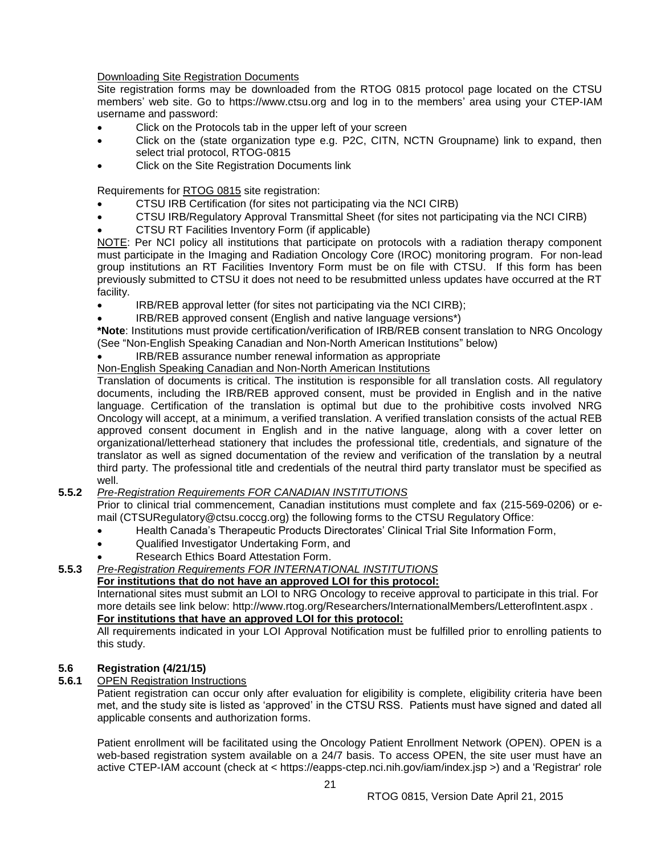Downloading Site Registration Documents

Site registration forms may be downloaded from the RTOG 0815 protocol page located on the CTSU members' web site. Go to https://www.ctsu.org and log in to the members' area using your CTEP-IAM username and password:

- Click on the Protocols tab in the upper left of your screen
- Click on the (state organization type e.g. P2C, CITN, NCTN Groupname) link to expand, then select trial protocol, RTOG-0815
- Click on the Site Registration Documents link

Requirements for RTOG 0815 site registration:

- CTSU IRB Certification (for sites not participating via the NCI CIRB)
- CTSU IRB/Regulatory Approval Transmittal Sheet (for sites not participating via the NCI CIRB)
- CTSU RT Facilities Inventory Form (if applicable)

NOTE: Per NCI policy all institutions that participate on protocols with a radiation therapy component must participate in the Imaging and Radiation Oncology Core (IROC) monitoring program. For non-lead group institutions an RT Facilities Inventory Form must be on file with CTSU. If this form has been previously submitted to CTSU it does not need to be resubmitted unless updates have occurred at the RT facility.

- IRB/REB approval letter (for sites not participating via the NCI CIRB);
- IRB/REB approved consent (English and native language versions\*)

**\*Note**: Institutions must provide certification/verification of IRB/REB consent translation to NRG Oncology (See "Non-English Speaking Canadian and Non-North American Institutions" below)

## IRB/REB assurance number renewal information as appropriate

## Non-English Speaking Canadian and Non-North American Institutions

Translation of documents is critical. The institution is responsible for all translation costs. All regulatory documents, including the IRB/REB approved consent, must be provided in English and in the native language. Certification of the translation is optimal but due to the prohibitive costs involved NRG Oncology will accept, at a minimum, a verified translation. A verified translation consists of the actual REB approved consent document in English and in the native language, along with a cover letter on organizational/letterhead stationery that includes the professional title, credentials, and signature of the translator as well as signed documentation of the review and verification of the translation by a neutral third party. The professional title and credentials of the neutral third party translator must be specified as well.

#### **5.5.2** *Pre-Registration Requirements FOR CANADIAN INSTITUTIONS*

Prior to clinical trial commencement, Canadian institutions must complete and fax (215-569-0206) or email (CTSURegulatory@ctsu.coccg.org) the following forms to the CTSU Regulatory Office:

- Health Canada's Therapeutic Products Directorates' Clinical Trial Site Information Form,
- Qualified Investigator Undertaking Form, and
- Research Ethics Board Attestation Form.

# **5.5.3** *Pre-Registration Requirements FOR INTERNATIONAL INSTITUTIONS*

## **For institutions that do not have an approved LOI for this protocol:**

International sites must submit an LOI to NRG Oncology to receive approval to participate in this trial. For more details see link below: http://www.rtog.org/Researchers/InternationalMembers/LetterofIntent.aspx . **For institutions that have an approved LOI for this protocol:**

#### All requirements indicated in your LOI Approval Notification must be fulfilled prior to enrolling patients to this study.

#### <span id="page-20-0"></span>**5.6 Registration (4/21/15)**

## **5.6.1** OPEN Registration Instructions

Patient registration can occur only after evaluation for eligibility is complete, eligibility criteria have been met, and the study site is listed as 'approved' in the CTSU RSS. Patients must have signed and dated all applicable consents and authorization forms.

Patient enrollment will be facilitated using the Oncology Patient Enrollment Network (OPEN). OPEN is a web-based registration system available on a 24/7 basis. To access OPEN, the site user must have an active CTEP-IAM account (check at < https://eapps-ctep.nci.nih.gov/iam/index.jsp >) and a 'Registrar' role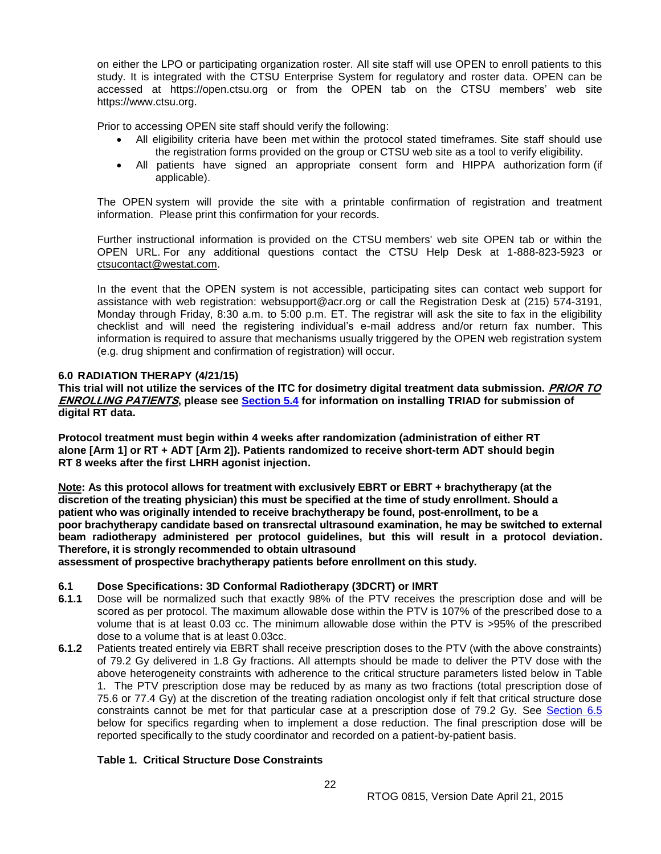on either the LPO or participating organization roster. All site staff will use OPEN to enroll patients to this study. It is integrated with the CTSU Enterprise System for regulatory and roster data. OPEN can be accessed at https://open.ctsu.org or from the OPEN tab on the CTSU members' web site https://www.ctsu.org.

Prior to accessing OPEN site staff should verify the following:

- All eligibility criteria have been met within the protocol stated timeframes. Site staff should use the registration forms provided on the group or CTSU web site as a tool to verify eligibility.
- All patients have signed an appropriate consent form and HIPPA authorization form (if applicable).

The OPEN system will provide the site with a printable confirmation of registration and treatment information. Please print this confirmation for your records.

Further instructional information is provided on the CTSU members' web site OPEN tab or within the OPEN URL. For any additional questions contact the CTSU Help Desk at 1-888-823-5923 or [ctsucontact@westat.com.](mailto:ctsucontact@westat.com)

In the event that the OPEN system is not accessible, participating sites can contact web support for assistance with web registration: websupport@acr.org or call the Registration Desk at (215) 574-3191, Monday through Friday, 8:30 a.m. to 5:00 p.m. ET. The registrar will ask the site to fax in the eligibility checklist and will need the registering individual's e-mail address and/or return fax number. This information is required to assure that mechanisms usually triggered by the OPEN web registration system (e.g. drug shipment and confirmation of registration) will occur.

## <span id="page-21-0"></span>**6.0 RADIATION THERAPY (4/21/15)**

**This trial will not utilize the services of the ITC for dosimetry digital treatment data submission. PRIOR TO ENROLLING PATIENTS, please see [Section 5.4](#page-18-1) for information on installing TRIAD for submission of digital RT data.**

**Protocol treatment must begin within 4 weeks after randomization (administration of either RT alone [Arm 1] or RT + ADT [Arm 2]). Patients randomized to receive short-term ADT should begin RT 8 weeks after the first LHRH agonist injection.**

Note: As this protocol allows for treatment with exclusively EBRT or EBRT + brachytherapy (at the **discretion of the treating physician) this must be specified at the time of study enrollment. Should a patient who was originally intended to receive brachytherapy be found, post-enrollment, to be a poor brachytherapy candidate based on transrectal ultrasound examination, he may be switched to external beam radiotherapy administered per protocol guidelines, but this will result in a protocol deviation. Therefore, it is strongly recommended to obtain ultrasound** 

**assessment of prospective brachytherapy patients before enrollment on this study.**

## <span id="page-21-1"></span>**6.1 Dose Specifications: 3D Conformal Radiotherapy (3DCRT) or IMRT**

- **6.1.1** Dose will be normalized such that exactly 98% of the PTV receives the prescription dose and will be scored as per protocol. The maximum allowable dose within the PTV is 107% of the prescribed dose to a volume that is at least 0.03 cc. The minimum allowable dose within the PTV is >95% of the prescribed dose to a volume that is at least 0.03cc.
- **6.1.2** Patients treated entirely via EBRT shall receive prescription doses to the PTV (with the above constraints) of 79.2 Gy delivered in 1.8 Gy fractions. All attempts should be made to deliver the PTV dose with the above heterogeneity constraints with adherence to the critical structure parameters listed below in Table 1. The PTV prescription dose may be reduced by as many as two fractions (total prescription dose of 75.6 or 77.4 Gy) at the discretion of the treating radiation oncologist only if felt that critical structure dose constraints cannot be met for that particular case at a prescription dose of 79.2 Gy. See [Section 6.5](#page-23-0) below for specifics regarding when to implement a dose reduction. The final prescription dose will be reported specifically to the study coordinator and recorded on a patient-by-patient basis.

## **Table 1. Critical Structure Dose Constraints**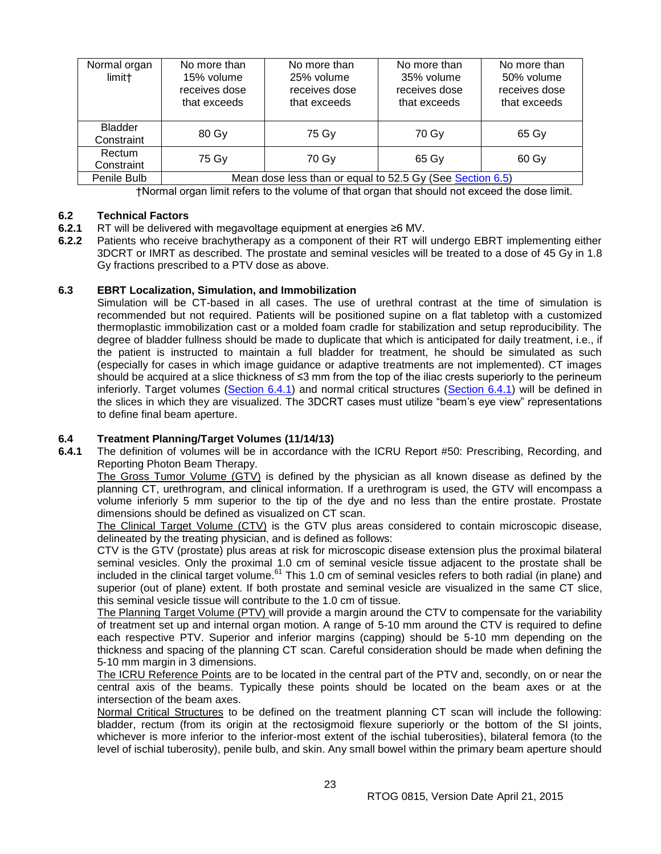| Normal organ<br>limit <sup>+</sup> | No more than<br>15% volume<br>receives dose<br>that exceeds | No more than<br>25% volume<br>receives dose<br>that exceeds | No more than<br>35% volume<br>receives dose<br>that exceeds | No more than<br>50% volume<br>receives dose<br>that exceeds |
|------------------------------------|-------------------------------------------------------------|-------------------------------------------------------------|-------------------------------------------------------------|-------------------------------------------------------------|
| <b>Bladder</b><br>Constraint       | 80 Gy                                                       | 75 Gy                                                       | 70 Gy                                                       | 65 Gy                                                       |
| Rectum<br>Constraint               | 75 Gy                                                       | 70 Gy                                                       | 65 Gy                                                       | 60 Gy                                                       |
| Penile Bulb                        | Mean dose less than or equal to 52.5 Gy (See Section 6.5)   |                                                             |                                                             |                                                             |

†Normal organ limit refers to the volume of that organ that should not exceed the dose limit.

## <span id="page-22-0"></span>**6.2 Technical Factors**

- **6.2.1** RT will be delivered with megavoltage equipment at energies ≥6 MV.<br>**6.2.2** Patients who receive brachytherapy as a component of their RT will
- **6.2.2** Patients who receive brachytherapy as a component of their RT will undergo EBRT implementing either 3DCRT or IMRT as described. The prostate and seminal vesicles will be treated to a dose of 45 Gy in 1.8 Gy fractions prescribed to a PTV dose as above.

## <span id="page-22-1"></span>**6.3 EBRT Localization, Simulation, and Immobilization**

Simulation will be CT-based in all cases. The use of urethral contrast at the time of simulation is recommended but not required. Patients will be positioned supine on a flat tabletop with a customized thermoplastic immobilization cast or a molded foam cradle for stabilization and setup reproducibility. The degree of bladder fullness should be made to duplicate that which is anticipated for daily treatment, i.e., if the patient is instructed to maintain a full bladder for treatment, he should be simulated as such (especially for cases in which image guidance or adaptive treatments are not implemented). CT images should be acquired at a slice thickness of ≤3 mm from the top of the iliac crests superiorly to the perineum inferiorly. Target volumes [\(Section 6.4.1\)](#page-22-2) and normal critical structures [\(Section 6.4.1\)](#page-22-2) will be defined in the slices in which they are visualized. The 3DCRT cases must utilize "beam's eye view" representations to define final beam aperture.

# <span id="page-22-2"></span>**6.4 Treatment Planning/Target Volumes (11/14/13)**

**6.4.1** The definition of volumes will be in accordance with the ICRU Report #50: Prescribing, Recording, and Reporting Photon Beam Therapy.

The Gross Tumor Volume (GTV) is defined by the physician as all known disease as defined by the planning CT, urethrogram, and clinical information. If a urethrogram is used, the GTV will encompass a volume inferiorly 5 mm superior to the tip of the dye and no less than the entire prostate. Prostate dimensions should be defined as visualized on CT scan.

The Clinical Target Volume (CTV) is the GTV plus areas considered to contain microscopic disease, delineated by the treating physician, and is defined as follows:

CTV is the GTV (prostate) plus areas at risk for microscopic disease extension plus the proximal bilateral seminal vesicles. Only the proximal 1.0 cm of seminal vesicle tissue adjacent to the prostate shall be included in the clinical target volume.<sup>61</sup> This 1.0 cm of seminal vesicles refers to both radial (in plane) and superior (out of plane) extent. If both prostate and seminal vesicle are visualized in the same CT slice, this seminal vesicle tissue will contribute to the 1.0 cm of tissue.

The Planning Target Volume (PTV) will provide a margin around the CTV to compensate for the variability of treatment set up and internal organ motion. A range of 5-10 mm around the CTV is required to define each respective PTV. Superior and inferior margins (capping) should be 5-10 mm depending on the thickness and spacing of the planning CT scan. Careful consideration should be made when defining the 5-10 mm margin in 3 dimensions.

The ICRU Reference Points are to be located in the central part of the PTV and, secondly, on or near the central axis of the beams. Typically these points should be located on the beam axes or at the intersection of the beam axes.

Normal Critical Structures to be defined on the treatment planning CT scan will include the following: bladder, rectum (from its origin at the rectosigmoid flexure superiorly or the bottom of the SI joints, whichever is more inferior to the inferior-most extent of the ischial tuberosities), bilateral femora (to the level of ischial tuberosity), penile bulb, and skin. Any small bowel within the primary beam aperture should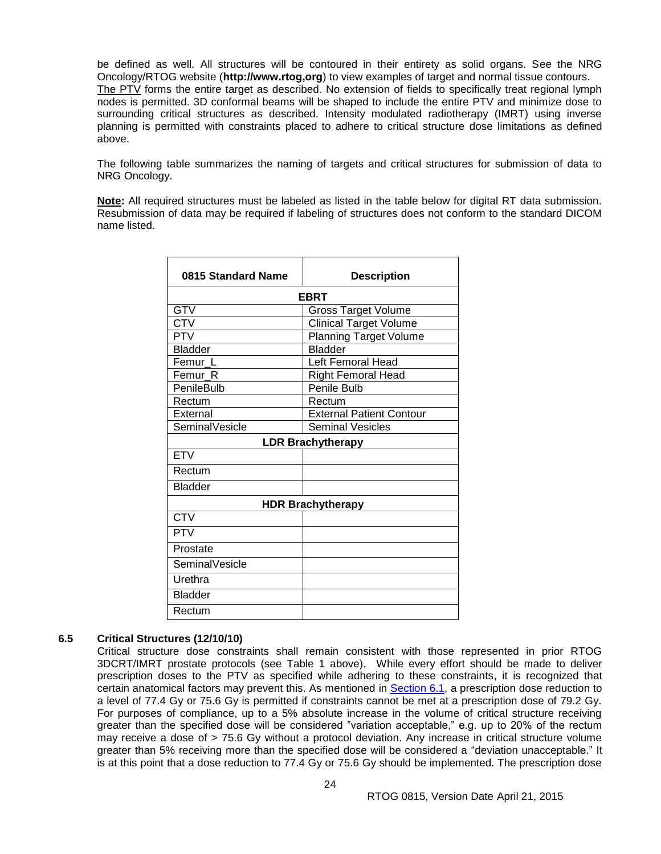be defined as well. All structures will be contoured in their entirety as solid organs. See the NRG Oncology/RTOG website (**http://www.rtog,org**) to view examples of target and normal tissue contours. The PTV forms the entire target as described. No extension of fields to specifically treat regional lymph nodes is permitted. 3D conformal beams will be shaped to include the entire PTV and minimize dose to surrounding critical structures as described. Intensity modulated radiotherapy (IMRT) using inverse planning is permitted with constraints placed to adhere to critical structure dose limitations as defined above.

The following table summarizes the naming of targets and critical structures for submission of data to NRG Oncology.

**Note:** All required structures must be labeled as listed in the table below for digital RT data submission. Resubmission of data may be required if labeling of structures does not conform to the standard DICOM name listed.

| 0815 Standard Name       | <b>Description</b>              |  |  |
|--------------------------|---------------------------------|--|--|
| <b>EBRT</b>              |                                 |  |  |
| <b>GTV</b>               | <b>Gross Target Volume</b>      |  |  |
| <b>CTV</b>               | <b>Clinical Target Volume</b>   |  |  |
| <b>PTV</b>               | <b>Planning Target Volume</b>   |  |  |
| <b>Bladder</b>           | <b>Bladder</b>                  |  |  |
| Femur L                  | Left Femoral Head               |  |  |
| Femur R                  | <b>Right Femoral Head</b>       |  |  |
| PenileBulb               | Penile Bulb                     |  |  |
| Rectum                   | Rectum                          |  |  |
| External                 | <b>External Patient Contour</b> |  |  |
| SeminalVesicle           | <b>Seminal Vesicles</b>         |  |  |
| <b>LDR Brachytherapy</b> |                                 |  |  |
| <b>ETV</b>               |                                 |  |  |
| Rectum                   |                                 |  |  |
| <b>Bladder</b>           |                                 |  |  |
|                          | <b>HDR Brachytherapy</b>        |  |  |
| $\overline{\text{CTV}}$  |                                 |  |  |
| <b>PTV</b>               |                                 |  |  |
| Prostate                 |                                 |  |  |
| SeminalVesicle           |                                 |  |  |
| Urethra                  |                                 |  |  |
| <b>Bladder</b>           |                                 |  |  |
| Rectum                   |                                 |  |  |

#### <span id="page-23-0"></span>**6.5 Critical Structures (12/10/10)**

Critical structure dose constraints shall remain consistent with those represented in prior RTOG 3DCRT/IMRT prostate protocols (see Table 1 above). While every effort should be made to deliver prescription doses to the PTV as specified while adhering to these constraints, it is recognized that certain anatomical factors may prevent this. As mentioned in [Section 6.1,](#page-21-1) a prescription dose reduction to a level of 77.4 Gy or 75.6 Gy is permitted if constraints cannot be met at a prescription dose of 79.2 Gy. For purposes of compliance, up to a 5% absolute increase in the volume of critical structure receiving greater than the specified dose will be considered "variation acceptable," e.g. up to 20% of the rectum may receive a dose of > 75.6 Gy without a protocol deviation. Any increase in critical structure volume greater than 5% receiving more than the specified dose will be considered a "deviation unacceptable." It is at this point that a dose reduction to 77.4 Gy or 75.6 Gy should be implemented. The prescription dose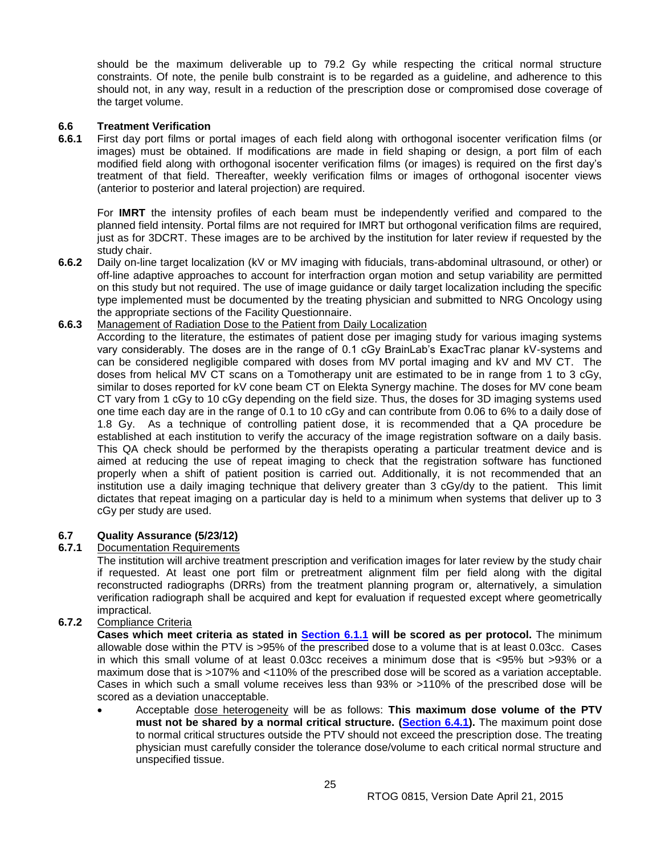should be the maximum deliverable up to 79.2 Gy while respecting the critical normal structure constraints. Of note, the penile bulb constraint is to be regarded as a guideline, and adherence to this should not, in any way, result in a reduction of the prescription dose or compromised dose coverage of the target volume.

# <span id="page-24-0"></span>**6.6 Treatment Verification**

**6.6.1** First day port films or portal images of each field along with orthogonal isocenter verification films (or images) must be obtained. If modifications are made in field shaping or design, a port film of each modified field along with orthogonal isocenter verification films (or images) is required on the first day's treatment of that field. Thereafter, weekly verification films or images of orthogonal isocenter views (anterior to posterior and lateral projection) are required.

For **IMRT** the intensity profiles of each beam must be independently verified and compared to the planned field intensity. Portal films are not required for IMRT but orthogonal verification films are required, just as for 3DCRT. These images are to be archived by the institution for later review if requested by the study chair.

**6.6.2** Daily on-line target localization (kV or MV imaging with fiducials, trans-abdominal ultrasound, or other) or off-line adaptive approaches to account for interfraction organ motion and setup variability are permitted on this study but not required. The use of image guidance or daily target localization including the specific type implemented must be documented by the treating physician and submitted to NRG Oncology using the appropriate sections of the Facility Questionnaire.

#### **6.6.3** Management of Radiation Dose to the Patient from Daily Localization

According to the literature, the estimates of patient dose per imaging study for various imaging systems vary considerably. The doses are in the range of 0.1 cGy BrainLab's ExacTrac planar kV-systems and can be considered negligible compared with doses from MV portal imaging and kV and MV CT. The doses from helical MV CT scans on a Tomotherapy unit are estimated to be in range from 1 to 3 cGy, similar to doses reported for kV cone beam CT on Elekta Synergy machine. The doses for MV cone beam CT vary from 1 cGy to 10 cGy depending on the field size. Thus, the doses for 3D imaging systems used one time each day are in the range of 0.1 to 10 cGy and can contribute from 0.06 to 6% to a daily dose of 1.8 Gy. As a technique of controlling patient dose, it is recommended that a QA procedure be established at each institution to verify the accuracy of the image registration software on a daily basis. This QA check should be performed by the therapists operating a particular treatment device and is aimed at reducing the use of repeat imaging to check that the registration software has functioned properly when a shift of patient position is carried out. Additionally, it is not recommended that an institution use a daily imaging technique that delivery greater than 3 cGy/dy to the patient. This limit dictates that repeat imaging on a particular day is held to a minimum when systems that deliver up to 3 cGy per study are used.

## <span id="page-24-1"></span>**6.7 Quality Assurance (5/23/12)**

#### **6.7.1** Documentation Requirements

The institution will archive treatment prescription and verification images for later review by the study chair if requested. At least one port film or pretreatment alignment film per field along with the digital reconstructed radiographs (DRRs) from the treatment planning program or, alternatively, a simulation verification radiograph shall be acquired and kept for evaluation if requested except where geometrically impractical.

# **6.7.2** Compliance Criteria

**Cases which meet criteria as stated in [Section](#page-21-1) 6.1.1 will be scored as per protocol.** The minimum allowable dose within the PTV is >95% of the prescribed dose to a volume that is at least 0.03cc. Cases in which this small volume of at least 0.03cc receives a minimum dose that is <95% but >93% or a maximum dose that is >107% and <110% of the prescribed dose will be scored as a variation acceptable. Cases in which such a small volume receives less than 93% or >110% of the prescribed dose will be scored as a deviation unacceptable.

 Acceptable dose heterogeneity will be as follows: **This maximum dose volume of the PTV must not be shared by a normal critical structure. [\(Section](#page-22-2) 6.4.1).** The maximum point dose to normal critical structures outside the PTV should not exceed the prescription dose. The treating physician must carefully consider the tolerance dose/volume to each critical normal structure and unspecified tissue.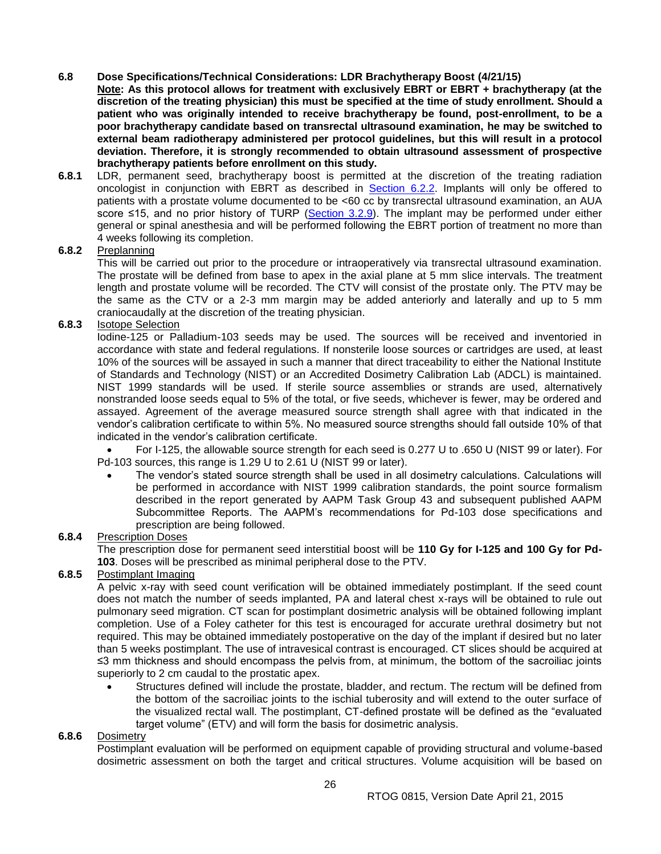## <span id="page-25-0"></span>**6.8 Dose Specifications/Technical Considerations: LDR Brachytherapy Boost (4/21/15)**

Note: As this protocol allows for treatment with exclusively EBRT or EBRT + brachytherapy (at the **discretion of the treating physician) this must be specified at the time of study enrollment. Should a patient who was originally intended to receive brachytherapy be found, post-enrollment, to be a poor brachytherapy candidate based on transrectal ultrasound examination, he may be switched to external beam radiotherapy administered per protocol guidelines, but this will result in a protocol deviation. Therefore, it is strongly recommended to obtain ultrasound assessment of prospective brachytherapy patients before enrollment on this study.**

**6.8.1** LDR, permanent seed, brachytherapy boost is permitted at the discretion of the treating radiation oncologist in conjunction with EBRT as described in **Section 6.2.2**. Implants will only be offered to patients with a prostate volume documented to be <60 cc by transrectal ultrasound examination, an AUA score ≤15, and no prior history of TURP [\(Section 3.2.9\)](#page-16-0). The implant may be performed under either general or spinal anesthesia and will be performed following the EBRT portion of treatment no more than 4 weeks following its completion.

## **6.8.2** Preplanning

This will be carried out prior to the procedure or intraoperatively via transrectal ultrasound examination. The prostate will be defined from base to apex in the axial plane at 5 mm slice intervals. The treatment length and prostate volume will be recorded. The CTV will consist of the prostate only. The PTV may be the same as the CTV or a 2-3 mm margin may be added anteriorly and laterally and up to 5 mm craniocaudally at the discretion of the treating physician.

## **6.8.3** Isotope Selection

Iodine-125 or Palladium-103 seeds may be used. The sources will be received and inventoried in accordance with state and federal regulations. If nonsterile loose sources or cartridges are used, at least 10% of the sources will be assayed in such a manner that direct traceability to either the National Institute of Standards and Technology (NIST) or an Accredited Dosimetry Calibration Lab (ADCL) is maintained. NIST 1999 standards will be used. If sterile source assemblies or strands are used, alternatively nonstranded loose seeds equal to 5% of the total, or five seeds, whichever is fewer, may be ordered and assayed. Agreement of the average measured source strength shall agree with that indicated in the vendor's calibration certificate to within 5%. No measured source strengths should fall outside 10% of that indicated in the vendor's calibration certificate.

 For I-125, the allowable source strength for each seed is 0.277 U to .650 U (NIST 99 or later). For Pd-103 sources, this range is 1.29 U to 2.61 U (NIST 99 or later).

 The vendor's stated source strength shall be used in all dosimetry calculations. Calculations will be performed in accordance with NIST 1999 calibration standards, the point source formalism described in the report generated by AAPM Task Group 43 and subsequent published AAPM Subcommittee Reports. The AAPM's recommendations for Pd-103 dose specifications and prescription are being followed.

## **6.8.4** Prescription Doses

The prescription dose for permanent seed interstitial boost will be **110 Gy for I-125 and 100 Gy for Pd-103**. Doses will be prescribed as minimal peripheral dose to the PTV.

#### **6.8.5** Postimplant Imaging

A pelvic x-ray with seed count verification will be obtained immediately postimplant. If the seed count does not match the number of seeds implanted, PA and lateral chest x-rays will be obtained to rule out pulmonary seed migration. CT scan for postimplant dosimetric analysis will be obtained following implant completion. Use of a Foley catheter for this test is encouraged for accurate urethral dosimetry but not required. This may be obtained immediately postoperative on the day of the implant if desired but no later than 5 weeks postimplant. The use of intravesical contrast is encouraged. CT slices should be acquired at ≤3 mm thickness and should encompass the pelvis from, at minimum, the bottom of the sacroiliac joints superiorly to 2 cm caudal to the prostatic apex.

 Structures defined will include the prostate, bladder, and rectum. The rectum will be defined from the bottom of the sacroiliac joints to the ischial tuberosity and will extend to the outer surface of the visualized rectal wall. The postimplant, CT-defined prostate will be defined as the "evaluated target volume" (ETV) and will form the basis for dosimetric analysis.

#### **6.8.6** Dosimetry

Postimplant evaluation will be performed on equipment capable of providing structural and volume-based dosimetric assessment on both the target and critical structures. Volume acquisition will be based on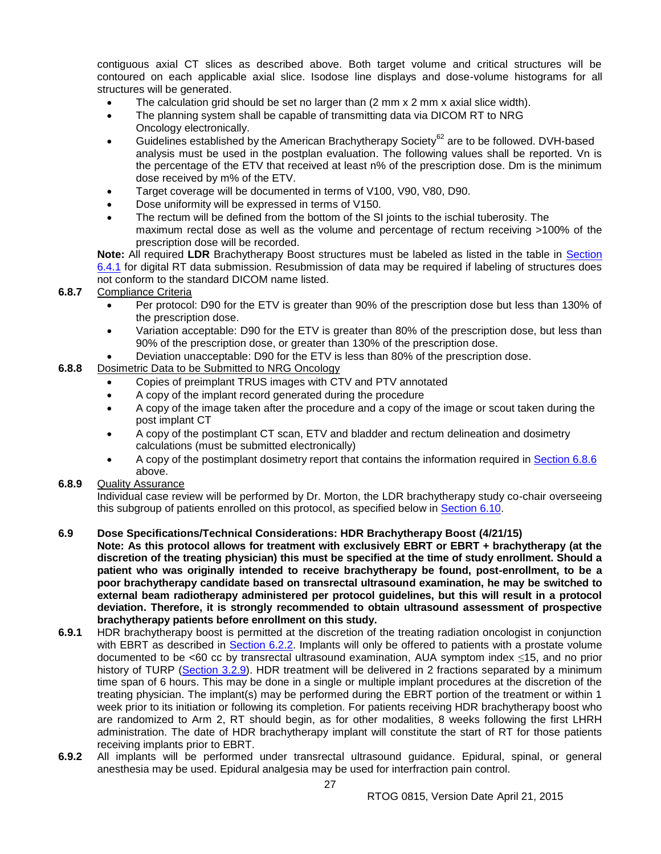contiguous axial CT slices as described above. Both target volume and critical structures will be contoured on each applicable axial slice. Isodose line displays and dose-volume histograms for all structures will be generated.

- The calculation grid should be set no larger than  $(2 \text{ mm} \times 2 \text{ mm} \times$  axial slice width).
- The planning system shall be capable of transmitting data via DICOM RT to NRG Oncology electronically.
- Guidelines established by the American Brachytherapy Society<sup>62</sup> are to be followed. DVH-based analysis must be used in the postplan evaluation. The following values shall be reported. Vn is the percentage of the ETV that received at least n% of the prescription dose. Dm is the minimum dose received by m% of the ETV.
- Target coverage will be documented in terms of V100, V90, V80, D90.
- Dose uniformity will be expressed in terms of V150.
- The rectum will be defined from the bottom of the SI joints to the ischial tuberosity. The maximum rectal dose as well as the volume and percentage of rectum receiving >100% of the prescription dose will be recorded.

**Note:** All required **LDR** Brachytherapy Boost structures must be labeled as listed in the table in [Section](#page-22-2)  [6.4.1](#page-22-2) for digital RT data submission. Resubmission of data may be required if labeling of structures does not conform to the standard DICOM name listed.

## **6.8.7** Compliance Criteria

- Per protocol: D90 for the ETV is greater than 90% of the prescription dose but less than 130% of the prescription dose.
- Variation acceptable: D90 for the ETV is greater than 80% of the prescription dose, but less than 90% of the prescription dose, or greater than 130% of the prescription dose.
- Deviation unacceptable: D90 for the ETV is less than 80% of the prescription dose.
- **6.8.8** Dosimetric Data to be Submitted to NRG Oncology
	- Copies of preimplant TRUS images with CTV and PTV annotated
	- A copy of the implant record generated during the procedure
	- A copy of the image taken after the procedure and a copy of the image or scout taken during the post implant CT
	- A copy of the postimplant CT scan, ETV and bladder and rectum delineation and dosimetry calculations (must be submitted electronically)
	- A copy of the postimplant dosimetry report that contains the information required in [Section 6.8.6](#page-25-0) above.
- **6.8.9** Quality Assurance

Individual case review will be performed by Dr. Morton, the LDR brachytherapy study co-chair overseeing this subgroup of patients enrolled on this protocol, as specified below in [Section 6.10.](#page-28-0)

## <span id="page-26-0"></span>**6.9 Dose Specifications/Technical Considerations: HDR Brachytherapy Boost (4/21/15)**

**Note: As this protocol allows for treatment with exclusively EBRT or EBRT + brachytherapy (at the discretion of the treating physician) this must be specified at the time of study enrollment. Should a patient who was originally intended to receive brachytherapy be found, post-enrollment, to be a poor brachytherapy candidate based on transrectal ultrasound examination, he may be switched to external beam radiotherapy administered per protocol guidelines, but this will result in a protocol deviation. Therefore, it is strongly recommended to obtain ultrasound assessment of prospective brachytherapy patients before enrollment on this study.**

- **6.9.1** HDR brachytherapy boost is permitted at the discretion of the treating radiation oncologist in conjunction with EBRT as described in [Section 6.2.2.](#page-22-0) Implants will only be offered to patients with a prostate volume documented to be <60 cc by transrectal ultrasound examination, AUA symptom index ≤15, and no prior history of TURP [\(Section 3.2.9\)](#page-16-0). HDR treatment will be delivered in 2 fractions separated by a minimum time span of 6 hours. This may be done in a single or multiple implant procedures at the discretion of the treating physician. The implant(s) may be performed during the EBRT portion of the treatment or within 1 week prior to its initiation or following its completion. For patients receiving HDR brachytherapy boost who are randomized to Arm 2, RT should begin, as for other modalities, 8 weeks following the first LHRH administration. The date of HDR brachytherapy implant will constitute the start of RT for those patients receiving implants prior to EBRT.
- **6.9.2** All implants will be performed under transrectal ultrasound guidance. Epidural, spinal, or general anesthesia may be used. Epidural analgesia may be used for interfraction pain control.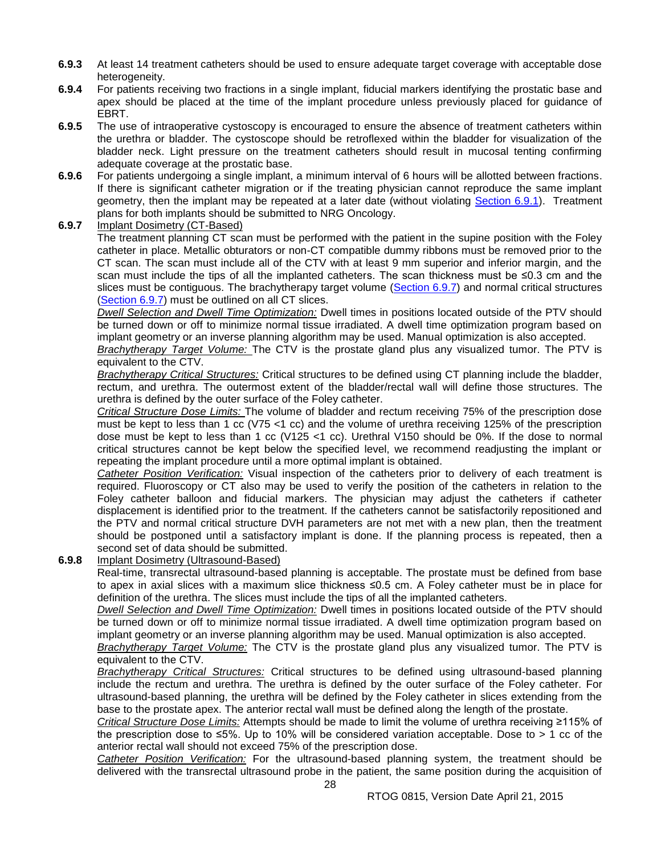- **6.9.3** At least 14 treatment catheters should be used to ensure adequate target coverage with acceptable dose heterogeneity.
- **6.9.4** For patients receiving two fractions in a single implant, fiducial markers identifying the prostatic base and apex should be placed at the time of the implant procedure unless previously placed for guidance of EBRT.
- **6.9.5** The use of intraoperative cystoscopy is encouraged to ensure the absence of treatment catheters within the urethra or bladder. The cystoscope should be retroflexed within the bladder for visualization of the bladder neck. Light pressure on the treatment catheters should result in mucosal tenting confirming adequate coverage at the prostatic base.
- **6.9.6** For patients undergoing a single implant, a minimum interval of 6 hours will be allotted between fractions. If there is significant catheter migration or if the treating physician cannot reproduce the same implant geometry, then the implant may be repeated at a later date (without violating [Section 6.9.1\)](#page-26-0). Treatment plans for both implants should be submitted to NRG Oncology.
- **6.9.7** Implant Dosimetry (CT-Based)

The treatment planning CT scan must be performed with the patient in the supine position with the Foley catheter in place. Metallic obturators or non-CT compatible dummy ribbons must be removed prior to the CT scan. The scan must include all of the CTV with at least 9 mm superior and inferior margin, and the scan must include the tips of all the implanted catheters. The scan thickness must be ≤0.3 cm and the slices must be contiguous. The brachytherapy target volume [\(Section 6.9.7\)](#page-26-0) and normal critical structures [\(Section 6.9.7\)](#page-26-0) must be outlined on all CT slices.

*Dwell Selection and Dwell Time Optimization:* Dwell times in positions located outside of the PTV should be turned down or off to minimize normal tissue irradiated. A dwell time optimization program based on implant geometry or an inverse planning algorithm may be used. Manual optimization is also accepted.

*Brachytherapy Target Volume:* The CTV is the prostate gland plus any visualized tumor. The PTV is equivalent to the CTV.

*Brachytherapy Critical Structures:* Critical structures to be defined using CT planning include the bladder, rectum, and urethra. The outermost extent of the bladder/rectal wall will define those structures. The urethra is defined by the outer surface of the Foley catheter.

*Critical Structure Dose Limits:* The volume of bladder and rectum receiving 75% of the prescription dose must be kept to less than 1 cc (V75 <1 cc) and the volume of urethra receiving 125% of the prescription dose must be kept to less than 1 cc (V125 <1 cc). Urethral V150 should be 0%. If the dose to normal critical structures cannot be kept below the specified level, we recommend readjusting the implant or repeating the implant procedure until a more optimal implant is obtained.

*Catheter Position Verification:* Visual inspection of the catheters prior to delivery of each treatment is required. Fluoroscopy or CT also may be used to verify the position of the catheters in relation to the Foley catheter balloon and fiducial markers. The physician may adjust the catheters if catheter displacement is identified prior to the treatment. If the catheters cannot be satisfactorily repositioned and the PTV and normal critical structure DVH parameters are not met with a new plan, then the treatment should be postponed until a satisfactory implant is done. If the planning process is repeated, then a second set of data should be submitted.

#### **6.9.8** Implant Dosimetry (Ultrasound-Based)

Real-time, transrectal ultrasound-based planning is acceptable. The prostate must be defined from base to apex in axial slices with a maximum slice thickness ≤0.5 cm. A Foley catheter must be in place for definition of the urethra. The slices must include the tips of all the implanted catheters.

*Dwell Selection and Dwell Time Optimization:* Dwell times in positions located outside of the PTV should be turned down or off to minimize normal tissue irradiated. A dwell time optimization program based on implant geometry or an inverse planning algorithm may be used. Manual optimization is also accepted.

*Brachytherapy Target Volume:* The CTV is the prostate gland plus any visualized tumor. The PTV is equivalent to the CTV.

*Brachytherapy Critical Structures:* Critical structures to be defined using ultrasound-based planning include the rectum and urethra. The urethra is defined by the outer surface of the Foley catheter. For ultrasound-based planning, the urethra will be defined by the Foley catheter in slices extending from the base to the prostate apex. The anterior rectal wall must be defined along the length of the prostate.

*Critical Structure Dose Limits:* Attempts should be made to limit the volume of urethra receiving ≥115% of the prescription dose to  $\leq 5\%$ . Up to 10% will be considered variation acceptable. Dose to  $> 1$  cc of the anterior rectal wall should not exceed 75% of the prescription dose.

*Catheter Position Verification:* For the ultrasound-based planning system, the treatment should be delivered with the transrectal ultrasound probe in the patient, the same position during the acquisition of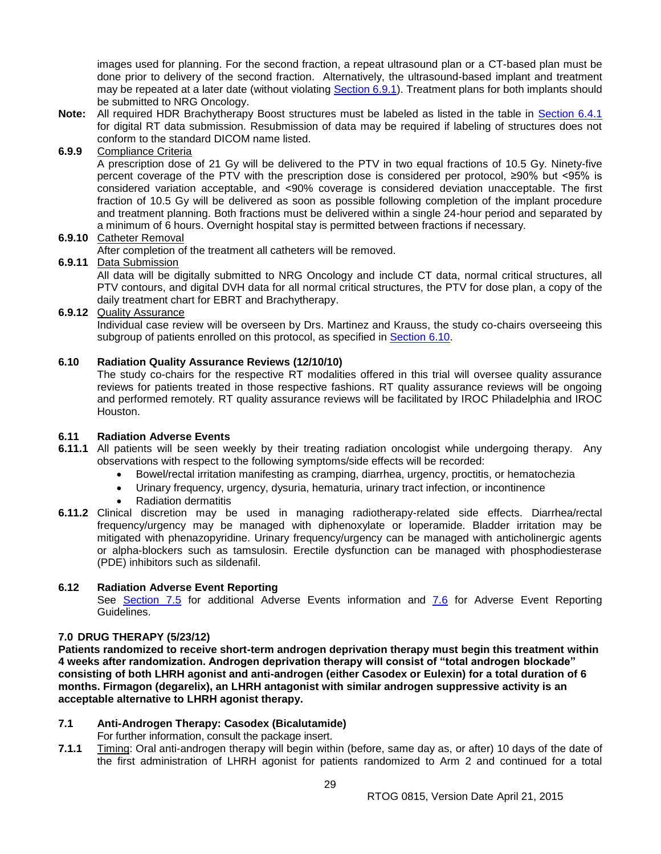images used for planning. For the second fraction, a repeat ultrasound plan or a CT-based plan must be done prior to delivery of the second fraction. Alternatively, the ultrasound-based implant and treatment may be repeated at a later date (without violating [Section 6.9.1\)](#page-26-0). Treatment plans for both implants should be submitted to NRG Oncology.

**Note:** All required HDR Brachytherapy Boost structures must be labeled as listed in the table in [Section 6.4.1](#page-22-2) for digital RT data submission. Resubmission of data may be required if labeling of structures does not conform to the standard DICOM name listed.

## **6.9.9** Compliance Criteria

A prescription dose of 21 Gy will be delivered to the PTV in two equal fractions of 10.5 Gy. Ninety-five percent coverage of the PTV with the prescription dose is considered per protocol, ≥90% but <95% is considered variation acceptable, and <90% coverage is considered deviation unacceptable. The first fraction of 10.5 Gy will be delivered as soon as possible following completion of the implant procedure and treatment planning. Both fractions must be delivered within a single 24-hour period and separated by a minimum of 6 hours. Overnight hospital stay is permitted between fractions if necessary.

## **6.9.10** Catheter Removal

After completion of the treatment all catheters will be removed.

## **6.9.11** Data Submission

All data will be digitally submitted to NRG Oncology and include CT data, normal critical structures, all PTV contours, and digital DVH data for all normal critical structures, the PTV for dose plan, a copy of the daily treatment chart for EBRT and Brachytherapy.

## **6.9.12** Quality Assurance

Individual case review will be overseen by Drs. Martinez and Krauss, the study co-chairs overseeing this subgroup of patients enrolled on this protocol, as specified in [Section 6.10.](#page-28-0)

## <span id="page-28-0"></span>**6.10 Radiation Quality Assurance Reviews (12/10/10)**

The study co-chairs for the respective RT modalities offered in this trial will oversee quality assurance reviews for patients treated in those respective fashions. RT quality assurance reviews will be ongoing and performed remotely. RT quality assurance reviews will be facilitated by IROC Philadelphia and IROC Houston.

#### <span id="page-28-1"></span>**6.11 Radiation Adverse Events**

- **6.11.1** All patients will be seen weekly by their treating radiation oncologist while undergoing therapy. Any observations with respect to the following symptoms/side effects will be recorded:
	- Bowel/rectal irritation manifesting as cramping, diarrhea, urgency, proctitis, or hematochezia
	- Urinary frequency, urgency, dysuria, hematuria, urinary tract infection, or incontinence
	- Radiation dermatitis
- **6.11.2** Clinical discretion may be used in managing radiotherapy-related side effects. Diarrhea/rectal frequency/urgency may be managed with diphenoxylate or loperamide. Bladder irritation may be mitigated with phenazopyridine. Urinary frequency/urgency can be managed with anticholinergic agents or alpha-blockers such as tamsulosin. Erectile dysfunction can be managed with phosphodiesterase (PDE) inhibitors such as sildenafil.

#### <span id="page-28-2"></span>**6.12 Radiation Adverse Event Reporting**

See [Section 7.5](#page-31-0) for additional Adverse Events information and [7.6](#page-32-0) for Adverse Event Reporting Guidelines.

#### <span id="page-28-3"></span>**7.0 DRUG THERAPY (5/23/12)**

**Patients randomized to receive short-term androgen deprivation therapy must begin this treatment within 4 weeks after randomization. Androgen deprivation therapy will consist of "total androgen blockade" consisting of both LHRH agonist and anti-androgen (either Casodex or Eulexin) for a total duration of 6 months. Firmagon (degarelix), an LHRH antagonist with similar androgen suppressive activity is an acceptable alternative to LHRH agonist therapy.**

#### <span id="page-28-4"></span>**7.1 Anti-Androgen Therapy: Casodex (Bicalutamide)**

For further information, consult the package insert.

**7.1.1** Timing: Oral anti-androgen therapy will begin within (before, same day as, or after) 10 days of the date of the first administration of LHRH agonist for patients randomized to Arm 2 and continued for a total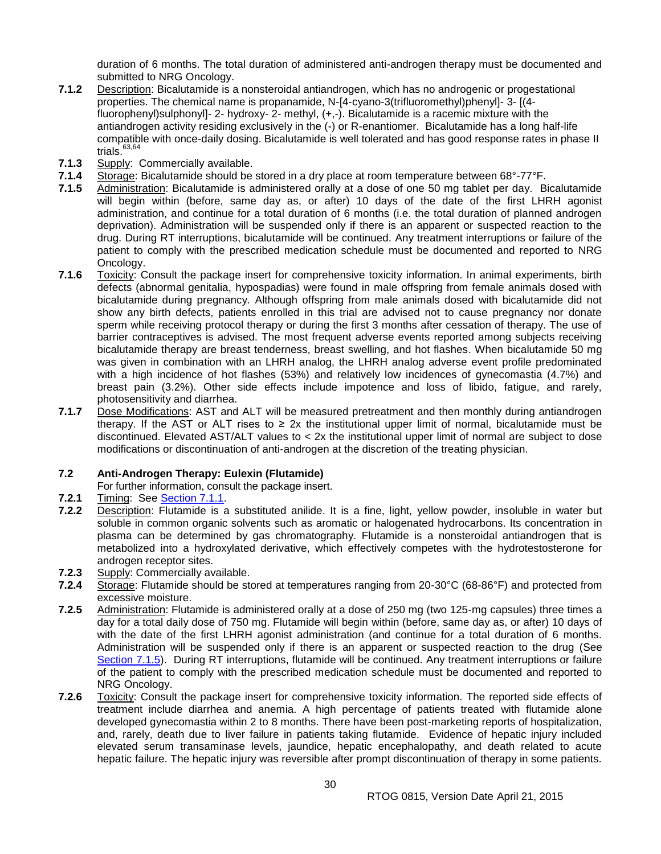duration of 6 months. The total duration of administered anti-androgen therapy must be documented and submitted to NRG Oncology.

- **7.1.2** Description: Bicalutamide is a nonsteroidal antiandrogen, which has no androgenic or progestational properties. The chemical name is propanamide, N-[4-cyano-3(trifluoromethyl)phenyl]- 3- [(4 fluorophenyl)sulphonyl]- 2- hydroxy- 2- methyl, (+,-). Bicalutamide is a racemic mixture with the antiandrogen activity residing exclusively in the (-) or R-enantiomer. Bicalutamide has a long half-life compatible with once-daily dosing. Bicalutamide is well tolerated and has good response rates in phase II trials. $63,64$
- **7.1.3** Supply: Commercially available.
- **7.1.4** Storage: Bicalutamide should be stored in a dry place at room temperature between 68°-77°F.
- **7.1.5** Administration: Bicalutamide is administered orally at a dose of one 50 mg tablet per day. Bicalutamide will begin within (before, same day as, or after) 10 days of the date of the first LHRH agonist administration, and continue for a total duration of 6 months (i.e. the total duration of planned androgen deprivation). Administration will be suspended only if there is an apparent or suspected reaction to the drug. During RT interruptions, bicalutamide will be continued. Any treatment interruptions or failure of the patient to comply with the prescribed medication schedule must be documented and reported to NRG Oncology.
- **7.1.6** Toxicity: Consult the package insert for comprehensive toxicity information. In animal experiments, birth defects (abnormal genitalia, hypospadias) were found in male offspring from female animals dosed with bicalutamide during pregnancy. Although offspring from male animals dosed with bicalutamide did not show any birth defects, patients enrolled in this trial are advised not to cause pregnancy nor donate sperm while receiving protocol therapy or during the first 3 months after cessation of therapy. The use of barrier contraceptives is advised. The most frequent adverse events reported among subjects receiving bicalutamide therapy are breast tenderness, breast swelling, and hot flashes. When bicalutamide 50 mg was given in combination with an LHRH analog, the LHRH analog adverse event profile predominated with a high incidence of hot flashes (53%) and relatively low incidences of gynecomastia (4.7%) and breast pain (3.2%). Other side effects include impotence and loss of libido, fatigue, and rarely, photosensitivity and diarrhea.
- **7.1.7** Dose Modifications: AST and ALT will be measured pretreatment and then monthly during antiandrogen therapy. If the AST or ALT rises to ≥ 2x the institutional upper limit of normal, bicalutamide must be discontinued. Elevated AST/ALT values to < 2x the institutional upper limit of normal are subject to dose modifications or discontinuation of anti-androgen at the discretion of the treating physician.

#### <span id="page-29-0"></span>**7.2 Anti-Androgen Therapy: Eulexin (Flutamide)**

For further information, consult the package insert.

- **7.2.1** Timing: See [Section 7.1.1.](#page-28-4)
- **7.2.2** Description: Flutamide is a substituted anilide. It is a fine, light, yellow powder, insoluble in water but soluble in common organic solvents such as aromatic or halogenated hydrocarbons. Its concentration in plasma can be determined by gas chromatography. Flutamide is a nonsteroidal antiandrogen that is metabolized into a hydroxylated derivative, which effectively competes with the hydrotestosterone for androgen receptor sites.
- **7.2.3** Supply: Commercially available.
- **7.2.4** Storage: Flutamide should be stored at temperatures ranging from 20-30°C (68-86°F) and protected from excessive moisture.
- **7.2.5** Administration: Flutamide is administered orally at a dose of 250 mg (two 125-mg capsules) three times a day for a total daily dose of 750 mg. Flutamide will begin within (before, same day as, or after) 10 days of with the date of the first LHRH agonist administration (and continue for a total duration of 6 months. Administration will be suspended only if there is an apparent or suspected reaction to the drug (See [Section 7.1.5\)](#page-28-4). During RT interruptions, flutamide will be continued. Any treatment interruptions or failure of the patient to comply with the prescribed medication schedule must be documented and reported to NRG Oncology.
- **7.2.6** Toxicity: Consult the package insert for comprehensive toxicity information. The reported side effects of treatment include diarrhea and anemia. A high percentage of patients treated with flutamide alone developed gynecomastia within 2 to 8 months. There have been post-marketing reports of hospitalization, and, rarely, death due to liver failure in patients taking flutamide. Evidence of hepatic injury included elevated serum transaminase levels, jaundice, hepatic encephalopathy, and death related to acute hepatic failure. The hepatic injury was reversible after prompt discontinuation of therapy in some patients.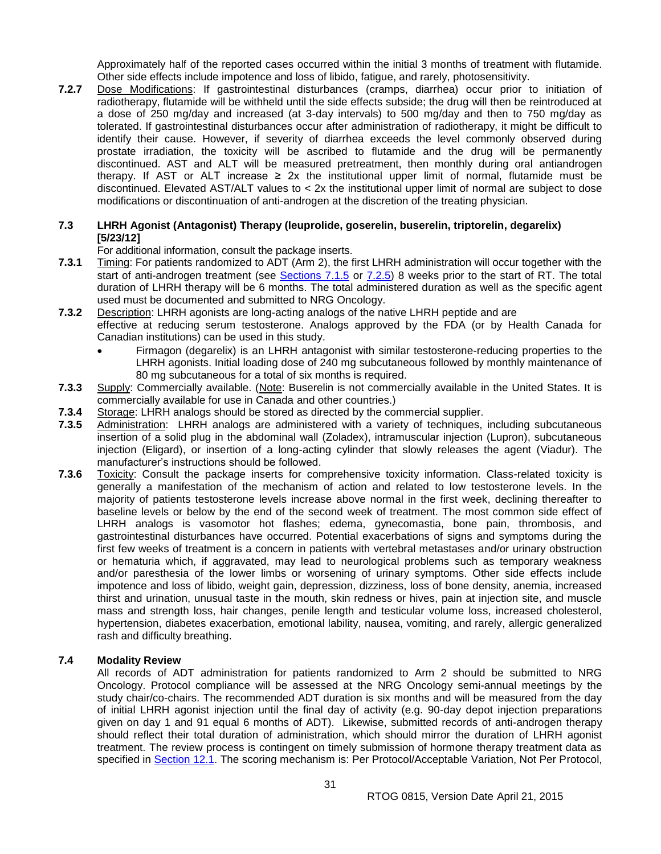Approximately half of the reported cases occurred within the initial 3 months of treatment with flutamide. Other side effects include impotence and loss of libido, fatigue, and rarely, photosensitivity.

**7.2.7** Dose Modifications: If gastrointestinal disturbances (cramps, diarrhea) occur prior to initiation of radiotherapy, flutamide will be withheld until the side effects subside; the drug will then be reintroduced at a dose of 250 mg/day and increased (at 3-day intervals) to 500 mg/day and then to 750 mg/day as tolerated. If gastrointestinal disturbances occur after administration of radiotherapy, it might be difficult to identify their cause. However, if severity of diarrhea exceeds the level commonly observed during prostate irradiation, the toxicity will be ascribed to flutamide and the drug will be permanently discontinued. AST and ALT will be measured pretreatment, then monthly during oral antiandrogen therapy. If AST or ALT increase  $\geq 2x$  the institutional upper limit of normal, flutamide must be discontinued. Elevated AST/ALT values to < 2x the institutional upper limit of normal are subject to dose modifications or discontinuation of anti-androgen at the discretion of the treating physician.

## <span id="page-30-0"></span>**7.3 LHRH Agonist (Antagonist) Therapy (leuprolide, goserelin, buserelin, triptorelin, degarelix) [5/23/12]**

For additional information, consult the package inserts.

- **7.3.1** Timing: For patients randomized to ADT (Arm 2), the first LHRH administration will occur together with the start of anti-androgen treatment (see [Sections 7.1.5](#page-28-4) or [7.2.5\)](#page-29-0) 8 weeks prior to the start of RT. The total duration of LHRH therapy will be 6 months. The total administered duration as well as the specific agent used must be documented and submitted to NRG Oncology.
- **7.3.2** Description: LHRH agonists are long-acting analogs of the native LHRH peptide and are effective at reducing serum testosterone. Analogs approved by the FDA (or by Health Canada for Canadian institutions) can be used in this study.
	- Firmagon (degarelix) is an LHRH antagonist with similar testosterone-reducing properties to the LHRH agonists. Initial loading dose of 240 mg subcutaneous followed by monthly maintenance of 80 mg subcutaneous for a total of six months is required.
- **7.3.3** Supply: Commercially available. (Note: Buserelin is not commercially available in the United States. It is commercially available for use in Canada and other countries.)
- **7.3.4** Storage: LHRH analogs should be stored as directed by the commercial supplier.
- **7.3.5** Administration: LHRH analogs are administered with a variety of techniques, including subcutaneous insertion of a solid plug in the abdominal wall (Zoladex), intramuscular injection (Lupron), subcutaneous injection (Eligard), or insertion of a long-acting cylinder that slowly releases the agent (Viadur). The manufacturer's instructions should be followed.
- **7.3.6** Toxicity: Consult the package inserts for comprehensive toxicity information. Class-related toxicity is generally a manifestation of the mechanism of action and related to low testosterone levels. In the majority of patients testosterone levels increase above normal in the first week, declining thereafter to baseline levels or below by the end of the second week of treatment. The most common side effect of LHRH analogs is vasomotor hot flashes; edema, gynecomastia, bone pain, thrombosis, and gastrointestinal disturbances have occurred. Potential exacerbations of signs and symptoms during the first few weeks of treatment is a concern in patients with vertebral metastases and/or urinary obstruction or hematuria which, if aggravated, may lead to neurological problems such as temporary weakness and/or paresthesia of the lower limbs or worsening of urinary symptoms. Other side effects include impotence and loss of libido, weight gain, depression, dizziness, loss of bone density, anemia, increased thirst and urination, unusual taste in the mouth, skin redness or hives, pain at injection site, and muscle mass and strength loss, hair changes, penile length and testicular volume loss, increased cholesterol, hypertension, diabetes exacerbation, emotional lability, nausea, vomiting, and rarely, allergic generalized rash and difficulty breathing.

#### <span id="page-30-1"></span>**7.4 Modality Review**

All records of ADT administration for patients randomized to Arm 2 should be submitted to NRG Oncology. Protocol compliance will be assessed at the NRG Oncology semi-annual meetings by the study chair/co-chairs. The recommended ADT duration is six months and will be measured from the day of initial LHRH agonist injection until the final day of activity (e.g. 90-day depot injection preparations given on day 1 and 91 equal 6 months of ADT). Likewise, submitted records of anti-androgen therapy should reflect their total duration of administration, which should mirror the duration of LHRH agonist treatment. The review process is contingent on timely submission of hormone therapy treatment data as specified in [Section 12.1.](#page-39-0) The scoring mechanism is: Per Protocol/Acceptable Variation, Not Per Protocol,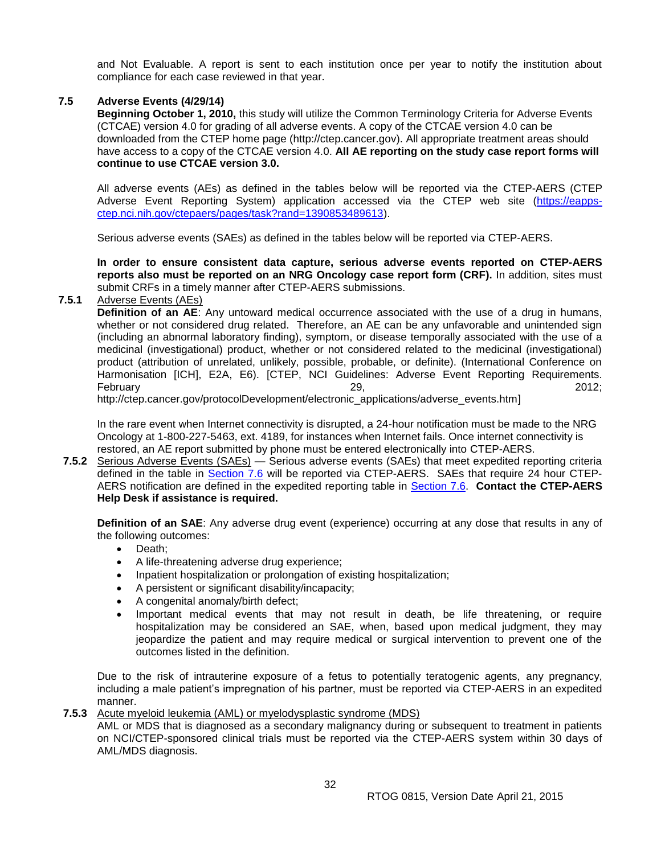and Not Evaluable. A report is sent to each institution once per year to notify the institution about compliance for each case reviewed in that year.

## <span id="page-31-0"></span>**7.5 Adverse Events (4/29/14)**

**Beginning October 1, 2010,** this study will utilize the Common Terminology Criteria for Adverse Events (CTCAE) version 4.0 for grading of all adverse events. A copy of the CTCAE version 4.0 can be downloaded from the CTEP home page (http://ctep.cancer.gov). All appropriate treatment areas should have access to a copy of the CTCAE version 4.0. **All AE reporting on the study case report forms will continue to use CTCAE version 3.0.**

All adverse events (AEs) as defined in the tables below will be reported via the CTEP-AERS (CTEP Adverse Event Reporting System) application accessed via the CTEP web site (https://eappsctep.nci.nih.gov/ctepaers/pages/task?rand=1390853489613).

Serious adverse events (SAEs) as defined in the tables below will be reported via CTEP-AERS.

**In order to ensure consistent data capture, serious adverse events reported on CTEP-AERS reports also must be reported on an NRG Oncology case report form (CRF).** In addition, sites must submit CRFs in a timely manner after CTEP-AERS submissions.

## **7.5.1** Adverse Events (AEs)

**Definition of an AE**: Any untoward medical occurrence associated with the use of a drug in humans, whether or not considered drug related. Therefore, an AE can be any unfavorable and unintended sign (including an abnormal laboratory finding), symptom, or disease temporally associated with the use of a medicinal (investigational) product, whether or not considered related to the medicinal (investigational) product (attribution of unrelated, unlikely, possible, probable, or definite). (International Conference on Harmonisation [ICH], E2A, E6). [CTEP, NCI Guidelines: Adverse Event Reporting Requirements. February 29, 2012;

http://ctep.cancer.gov/protocolDevelopment/electronic\_applications/adverse\_events.htm]

In the rare event when Internet connectivity is disrupted, a 24-hour notification must be made to the NRG Oncology at 1-800-227-5463, ext. 4189, for instances when Internet fails. Once internet connectivity is restored, an AE report submitted by phone must be entered electronically into CTEP-AERS.

**7.5.2** Serious Adverse Events (SAEs) — Serious adverse events (SAEs) that meet expedited reporting criteria defined in the table in [Section 7.6](#page-32-0) will be reported via CTEP-AERS. SAEs that require 24 hour CTEP-AERS notification are defined in the expedited reporting table in [Section 7.6.](#page-32-0) **Contact the CTEP-AERS Help Desk if assistance is required.**

**Definition of an SAE**: Any adverse drug event (experience) occurring at any dose that results in any of the following outcomes:

- Death:
- A life-threatening adverse drug experience;
- Inpatient hospitalization or prolongation of existing hospitalization;
- A persistent or significant disability/incapacity;
- A congenital anomaly/birth defect;
- Important medical events that may not result in death, be life threatening, or require hospitalization may be considered an SAE, when, based upon medical judgment, they may jeopardize the patient and may require medical or surgical intervention to prevent one of the outcomes listed in the definition.

Due to the risk of intrauterine exposure of a fetus to potentially teratogenic agents, any pregnancy, including a male patient's impregnation of his partner, must be reported via CTEP-AERS in an expedited manner.

## **7.5.3** Acute myeloid leukemia (AML) or myelodysplastic syndrome (MDS)

AML or MDS that is diagnosed as a secondary malignancy during or subsequent to treatment in patients on NCI/CTEP-sponsored clinical trials must be reported via the CTEP-AERS system within 30 days of AML/MDS diagnosis.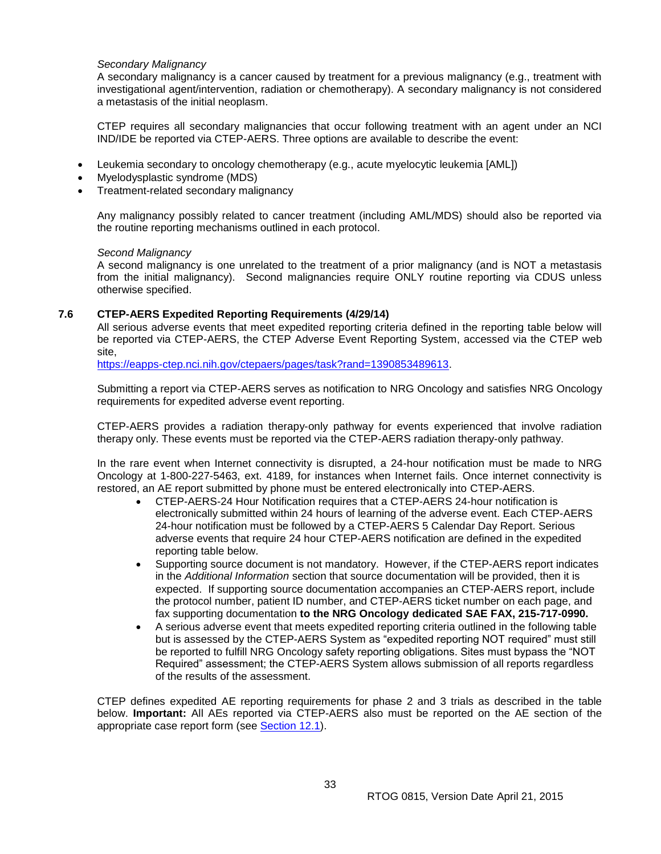#### *Secondary Malignancy*

A secondary malignancy is a cancer caused by treatment for a previous malignancy (e.g., treatment with investigational agent/intervention, radiation or chemotherapy). A secondary malignancy is not considered a metastasis of the initial neoplasm.

CTEP requires all secondary malignancies that occur following treatment with an agent under an NCI IND/IDE be reported via CTEP-AERS. Three options are available to describe the event:

- Leukemia secondary to oncology chemotherapy (e.g., acute myelocytic leukemia [AML])
- Myelodysplastic syndrome (MDS)
- Treatment-related secondary malignancy

Any malignancy possibly related to cancer treatment (including AML/MDS) should also be reported via the routine reporting mechanisms outlined in each protocol.

#### *Second Malignancy*

A second malignancy is one unrelated to the treatment of a prior malignancy (and is NOT a metastasis from the initial malignancy). Second malignancies require ONLY routine reporting via CDUS unless otherwise specified.

#### <span id="page-32-0"></span>**7.6 CTEP-AERS Expedited Reporting Requirements (4/29/14)**

All serious adverse events that meet expedited reporting criteria defined in the reporting table below will be reported via CTEP-AERS, the CTEP Adverse Event Reporting System, accessed via the CTEP web site,

https://eapps-ctep.nci.nih.gov/ctepaers/pages/task?rand=1390853489613.

Submitting a report via CTEP-AERS serves as notification to NRG Oncology and satisfies NRG Oncology requirements for expedited adverse event reporting.

CTEP-AERS provides a radiation therapy-only pathway for events experienced that involve radiation therapy only. These events must be reported via the CTEP-AERS radiation therapy-only pathway.

In the rare event when Internet connectivity is disrupted, a 24-hour notification must be made to NRG Oncology at 1-800-227-5463, ext. 4189, for instances when Internet fails. Once internet connectivity is restored, an AE report submitted by phone must be entered electronically into CTEP-AERS.

- CTEP-AERS-24 Hour Notification requires that a CTEP-AERS 24-hour notification is electronically submitted within 24 hours of learning of the adverse event. Each CTEP-AERS 24-hour notification must be followed by a CTEP-AERS 5 Calendar Day Report. Serious adverse events that require 24 hour CTEP-AERS notification are defined in the expedited reporting table below.
- Supporting source document is not mandatory. However, if the CTEP-AERS report indicates in the *Additional Information* section that source documentation will be provided, then it is expected. If supporting source documentation accompanies an CTEP-AERS report, include the protocol number, patient ID number, and CTEP-AERS ticket number on each page, and fax supporting documentation **to the NRG Oncology dedicated SAE FAX, 215-717-0990.**
- A serious adverse event that meets expedited reporting criteria outlined in the following table but is assessed by the CTEP-AERS System as "expedited reporting NOT required" must still be reported to fulfill NRG Oncology safety reporting obligations. Sites must bypass the "NOT Required" assessment; the CTEP-AERS System allows submission of all reports regardless of the results of the assessment.

CTEP defines expedited AE reporting requirements for phase 2 and 3 trials as described in the table below. **Important:** All AEs reported via CTEP-AERS also must be reported on the AE section of the appropriate case report form (see [Section 12.1\)](#page-39-0).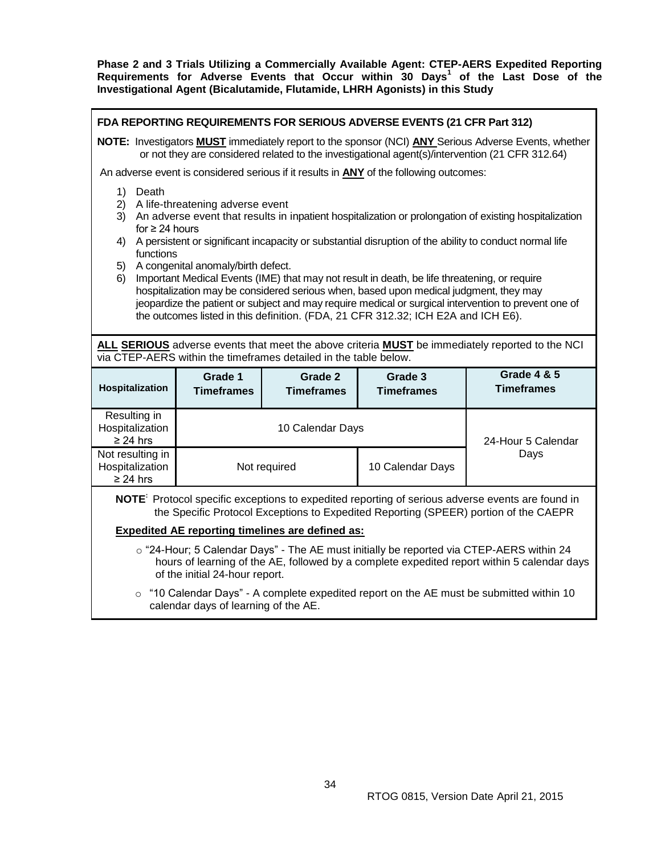**Phase 2 and 3 Trials Utilizing a Commercially Available Agent: CTEP-AERS Expedited Reporting Requirements for Adverse Events that Occur within 30 Days<sup>1</sup> of the Last Dose of the Investigational Agent (Bicalutamide, Flutamide, LHRH Agonists) in this Study**

| FDA REPORTING REQUIREMENTS FOR SERIOUS ADVERSE EVENTS (21 CFR Part 312)                                                                                                                                                                                                                                                                                                                                                                                                                                                                                                                                                                                                                                                                                                                                                                                                     |                                          |                                                                                                  |                                                                                               |                                                                                                              |  |
|-----------------------------------------------------------------------------------------------------------------------------------------------------------------------------------------------------------------------------------------------------------------------------------------------------------------------------------------------------------------------------------------------------------------------------------------------------------------------------------------------------------------------------------------------------------------------------------------------------------------------------------------------------------------------------------------------------------------------------------------------------------------------------------------------------------------------------------------------------------------------------|------------------------------------------|--------------------------------------------------------------------------------------------------|-----------------------------------------------------------------------------------------------|--------------------------------------------------------------------------------------------------------------|--|
| NOTE: Investigators <b>MUST</b> immediately report to the sponsor (NCI) <b>ANY</b> Serious Adverse Events, whether<br>or not they are considered related to the investigational agent(s)/intervention (21 CFR 312.64)                                                                                                                                                                                                                                                                                                                                                                                                                                                                                                                                                                                                                                                       |                                          |                                                                                                  |                                                                                               |                                                                                                              |  |
|                                                                                                                                                                                                                                                                                                                                                                                                                                                                                                                                                                                                                                                                                                                                                                                                                                                                             |                                          |                                                                                                  | An adverse event is considered serious if it results in <b>ANY</b> of the following outcomes: |                                                                                                              |  |
| 1)<br>Death<br>2)<br>A life-threatening adverse event<br>3)<br>An adverse event that results in inpatient hospitalization or prolongation of existing hospitalization<br>for $\geq$ 24 hours<br>A persistent or significant incapacity or substantial disruption of the ability to conduct normal life<br>4)<br>functions<br>A congenital anomaly/birth defect.<br>5)<br>Important Medical Events (IME) that may not result in death, be life threatening, or require<br>6)<br>hospitalization may be considered serious when, based upon medical judgment, they may<br>jeopardize the patient or subject and may require medical or surgical intervention to prevent one of<br>the outcomes listed in this definition. (FDA, 21 CFR 312.32; ICH E2A and ICH E6).<br>ALL SERIOUS adverse events that meet the above criteria <b>MUST</b> be immediately reported to the NCI |                                          |                                                                                                  |                                                                                               |                                                                                                              |  |
| Hospitalization                                                                                                                                                                                                                                                                                                                                                                                                                                                                                                                                                                                                                                                                                                                                                                                                                                                             | Grade 1<br><b>Timeframes</b>             | via CTEP-AERS within the timeframes detailed in the table below.<br>Grade 2<br><b>Timeframes</b> | Grade 3<br><b>Timeframes</b>                                                                  | <b>Grade 4 &amp; 5</b><br><b>Timeframes</b>                                                                  |  |
| Resulting in<br>Hospitalization<br>$\geq$ 24 hrs                                                                                                                                                                                                                                                                                                                                                                                                                                                                                                                                                                                                                                                                                                                                                                                                                            | 10 Calendar Days<br>24-Hour 5 Calendar   |                                                                                                  |                                                                                               |                                                                                                              |  |
| Not resulting in                                                                                                                                                                                                                                                                                                                                                                                                                                                                                                                                                                                                                                                                                                                                                                                                                                                            | Days<br>Not required<br>10 Calendar Days |                                                                                                  |                                                                                               |                                                                                                              |  |
| Hospitalization<br>$\geq$ 24 hrs                                                                                                                                                                                                                                                                                                                                                                                                                                                                                                                                                                                                                                                                                                                                                                                                                                            |                                          |                                                                                                  |                                                                                               |                                                                                                              |  |
|                                                                                                                                                                                                                                                                                                                                                                                                                                                                                                                                                                                                                                                                                                                                                                                                                                                                             |                                          |                                                                                                  | the Specific Protocol Exceptions to Expedited Reporting (SPEER) portion of the CAEPR          | NOTE <sup>:</sup> Protocol specific exceptions to expedited reporting of serious adverse events are found in |  |
|                                                                                                                                                                                                                                                                                                                                                                                                                                                                                                                                                                                                                                                                                                                                                                                                                                                                             |                                          | <b>Expedited AE reporting timelines are defined as:</b>                                          |                                                                                               |                                                                                                              |  |

o "10 Calendar Days" - A complete expedited report on the AE must be submitted within 10 calendar days of learning of the AE.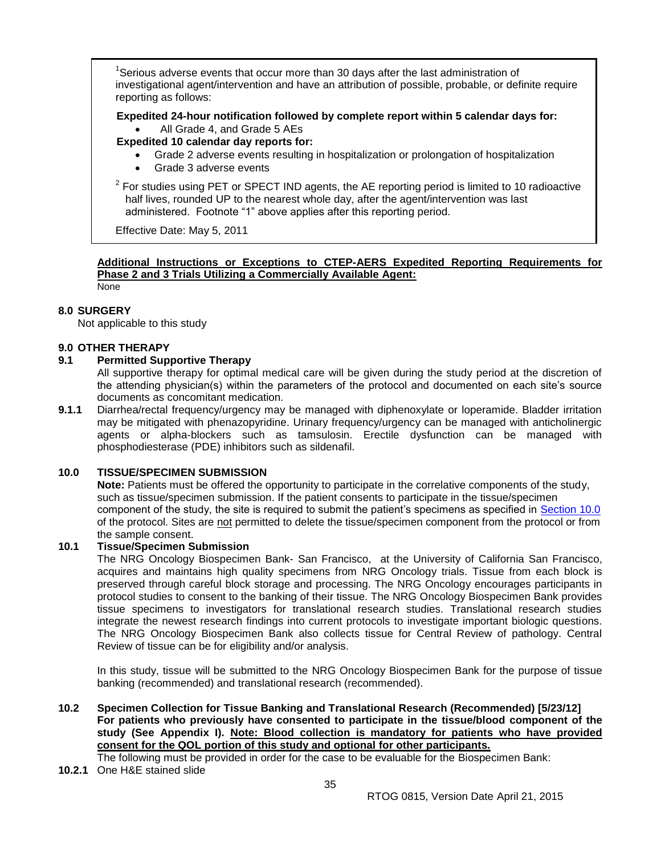<sup>1</sup>Serious adverse events that occur more than 30 days after the last administration of investigational agent/intervention and have an attribution of possible, probable, or definite require reporting as follows:

**Expedited 24-hour notification followed by complete report within 5 calendar days for:**

- All Grade 4, and Grade 5 AEs
- **Expedited 10 calendar day reports for:**
	- Grade 2 adverse events resulting in hospitalization or prolongation of hospitalization
	- Grade 3 adverse events

 $2$  For studies using PET or SPECT IND agents, the AE reporting period is limited to 10 radioactive half lives, rounded UP to the nearest whole day, after the agent/intervention was last administered. Footnote "1" above applies after this reporting period.

Effective Date: May 5, 2011

# **Additional Instructions or Exceptions to CTEP-AERS Expedited Reporting Requirements for Phase 2 and 3 Trials Utilizing a Commercially Available Agent:**

None

# <span id="page-34-0"></span>**8.0 SURGERY**

Not applicable to this study

## <span id="page-34-1"></span>**9.0 OTHER THERAPY**

## <span id="page-34-2"></span>**9.1 Permitted Supportive Therapy**

All supportive therapy for optimal medical care will be given during the study period at the discretion of the attending physician(s) within the parameters of the protocol and documented on each site's source documents as concomitant medication.

**9.1.1** Diarrhea/rectal frequency/urgency may be managed with diphenoxylate or loperamide. Bladder irritation may be mitigated with phenazopyridine. Urinary frequency/urgency can be managed with anticholinergic agents or alpha-blockers such as tamsulosin. Erectile dysfunction can be managed with phosphodiesterase (PDE) inhibitors such as sildenafil.

## <span id="page-34-3"></span>**10.0 TISSUE/SPECIMEN SUBMISSION**

**Note:** Patients must be offered the opportunity to participate in the correlative components of the study, such as tissue/specimen submission. If the patient consents to participate in the tissue/specimen component of the study, the site is required to submit the patient's specimens as specified in [Section](#page-34-3) 10.0 of the protocol. Sites are not permitted to delete the tissue/specimen component from the protocol or from the sample consent.

## <span id="page-34-4"></span>**10.1 Tissue/Specimen Submission**

The NRG Oncology Biospecimen Bank- San Francisco, at the University of California San Francisco, acquires and maintains high quality specimens from NRG Oncology trials. Tissue from each block is preserved through careful block storage and processing. The NRG Oncology encourages participants in protocol studies to consent to the banking of their tissue. The NRG Oncology Biospecimen Bank provides tissue specimens to investigators for translational research studies. Translational research studies integrate the newest research findings into current protocols to investigate important biologic questions. The NRG Oncology Biospecimen Bank also collects tissue for Central Review of pathology. Central Review of tissue can be for eligibility and/or analysis.

In this study, tissue will be submitted to the NRG Oncology Biospecimen Bank for the purpose of tissue banking (recommended) and translational research (recommended).

<span id="page-34-5"></span>**10.2 Specimen Collection for Tissue Banking and Translational Research (Recommended) [5/23/12] For patients who previously have consented to participate in the tissue/blood component of the study (See Appendix I). Note: Blood collection is mandatory for patients who have provided consent for the QOL portion of this study and optional for other participants.**

The following must be provided in order for the case to be evaluable for the Biospecimen Bank:

**10.2.1** One H&E stained slide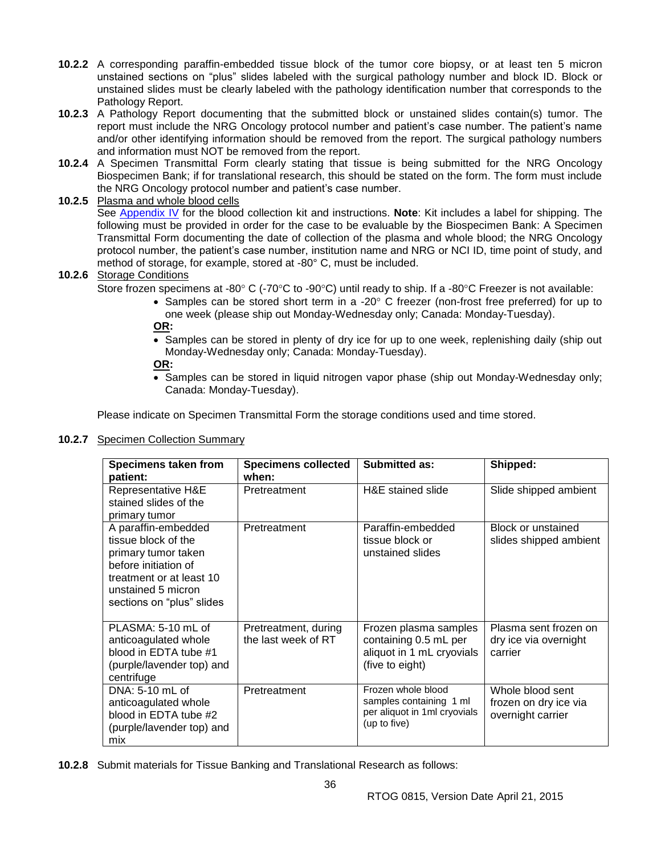- **10.2.2** A corresponding paraffin-embedded tissue block of the tumor core biopsy, or at least ten 5 micron unstained sections on "plus" slides labeled with the surgical pathology number and block ID. Block or unstained slides must be clearly labeled with the pathology identification number that corresponds to the Pathology Report.
- **10.2.3** A Pathology Report documenting that the submitted block or unstained slides contain(s) tumor. The report must include the NRG Oncology protocol number and patient's case number. The patient's name and/or other identifying information should be removed from the report. The surgical pathology numbers and information must NOT be removed from the report.
- **10.2.4** A Specimen Transmittal Form clearly stating that tissue is being submitted for the NRG Oncology Biospecimen Bank; if for translational research, this should be stated on the form. The form must include the NRG Oncology protocol number and patient's case number.

## **10.2.5** Plasma and whole blood cells

See [Appendix IV](#page-58-0) for the blood collection kit and instructions. **Note**: Kit includes a label for shipping. The following must be provided in order for the case to be evaluable by the Biospecimen Bank: A Specimen Transmittal Form documenting the date of collection of the plasma and whole blood; the NRG Oncology protocol number, the patient's case number, institution name and NRG or NCI ID, time point of study, and method of storage, for example, stored at -80° C, must be included.

## **10.2.6** Storage Conditions

Store frozen specimens at -80 $^{\circ}$  C (-70 $^{\circ}$ C to -90 $^{\circ}$ C) until ready to ship. If a -80 $^{\circ}$ C Freezer is not available:

 $\bullet$  Samples can be stored short term in a -20 $\degree$  C freezer (non-frost free preferred) for up to one week (please ship out Monday-Wednesday only; Canada: Monday-Tuesday).

**OR:**

• Samples can be stored in plenty of dry ice for up to one week, replenishing daily (ship out Monday-Wednesday only; Canada: Monday-Tuesday).

**OR:**

• Samples can be stored in liquid nitrogen vapor phase (ship out Monday-Wednesday only; Canada: Monday-Tuesday).

Please indicate on Specimen Transmittal Form the storage conditions used and time stored.

#### **10.2.7** Specimen Collection Summary

| <b>Specimens taken from</b><br>patient:                                                                                                                                  | <b>Specimens collected</b><br>when:         | <b>Submitted as:</b>                                                                           | Shipped:                                                       |
|--------------------------------------------------------------------------------------------------------------------------------------------------------------------------|---------------------------------------------|------------------------------------------------------------------------------------------------|----------------------------------------------------------------|
| Representative H&E<br>stained slides of the<br>primary tumor                                                                                                             | Pretreatment                                | H&E stained slide                                                                              | Slide shipped ambient                                          |
| A paraffin-embedded<br>tissue block of the<br>primary tumor taken<br>before initiation of<br>treatment or at least 10<br>unstained 5 micron<br>sections on "plus" slides | Pretreatment                                | Paraffin-embedded<br>tissue block or<br>unstained slides                                       | Block or unstained<br>slides shipped ambient                   |
| PLASMA: 5-10 mL of<br>anticoagulated whole<br>blood in EDTA tube #1<br>(purple/lavender top) and<br>centrifuge                                                           | Pretreatment, during<br>the last week of RT | Frozen plasma samples<br>containing 0.5 mL per<br>aliquot in 1 mL cryovials<br>(five to eight) | Plasma sent frozen on<br>dry ice via overnight<br>carrier      |
| DNA: 5-10 mL of<br>anticoagulated whole<br>blood in EDTA tube #2<br>(purple/lavender top) and<br>mix                                                                     | Pretreatment                                | Frozen whole blood<br>samples containing 1 ml<br>per aliquot in 1ml cryovials<br>(up to five)  | Whole blood sent<br>frozen on dry ice via<br>overnight carrier |

**10.2.8** Submit materials for Tissue Banking and Translational Research as follows: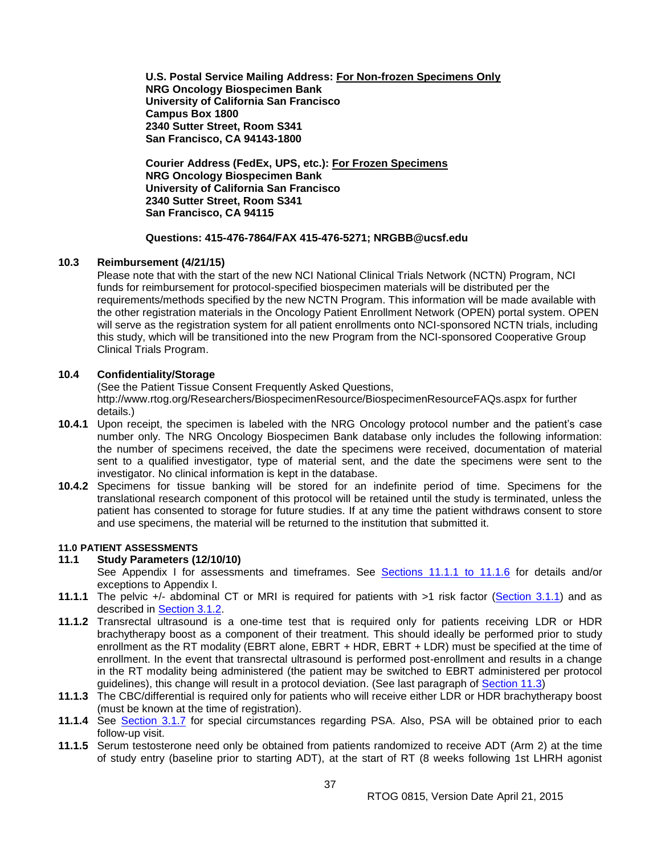**U.S. Postal Service Mailing Address: For Non-frozen Specimens Only NRG Oncology Biospecimen Bank University of California San Francisco Campus Box 1800 2340 Sutter Street, Room S341 San Francisco, CA 94143-1800**

**Courier Address (FedEx, UPS, etc.): For Frozen Specimens NRG Oncology Biospecimen Bank University of California San Francisco 2340 Sutter Street, Room S341 San Francisco, CA 94115**

#### **Questions: 415-476-7864/FAX 415-476-5271; NRGBB@ucsf.edu**

#### <span id="page-36-0"></span>**10.3 Reimbursement (4/21/15)**

Please note that with the start of the new NCI National Clinical Trials Network (NCTN) Program, NCI funds for reimbursement for protocol-specified biospecimen materials will be distributed per the requirements/methods specified by the new NCTN Program. This information will be made available with the other registration materials in the Oncology Patient Enrollment Network (OPEN) portal system. OPEN will serve as the registration system for all patient enrollments onto NCI-sponsored NCTN trials, including this study, which will be transitioned into the new Program from the NCI-sponsored Cooperative Group Clinical Trials Program.

#### <span id="page-36-1"></span>**10.4 Confidentiality/Storage**

(See the Patient Tissue Consent Frequently Asked Questions, http://www.rtog.org/Researchers/BiospecimenResource/BiospecimenResourceFAQs.aspx for further details.)

- **10.4.1** Upon receipt, the specimen is labeled with the NRG Oncology protocol number and the patient's case number only. The NRG Oncology Biospecimen Bank database only includes the following information: the number of specimens received, the date the specimens were received, documentation of material sent to a qualified investigator, type of material sent, and the date the specimens were sent to the investigator. No clinical information is kept in the database.
- **10.4.2** Specimens for tissue banking will be stored for an indefinite period of time. Specimens for the translational research component of this protocol will be retained until the study is terminated, unless the patient has consented to storage for future studies. If at any time the patient withdraws consent to store and use specimens, the material will be returned to the institution that submitted it.

#### <span id="page-36-2"></span>**11.0 PATIENT ASSESSMENTS**

#### <span id="page-36-3"></span>**11.1 Study Parameters (12/10/10)**

See Appendix I for assessments and timeframes. See [Sections 11.1.1 to](#page-36-3) 11.1.6 for details and/or exceptions to Appendix I.

- **11.1.1** The pelvic +/- abdominal CT or MRI is required for patients with >1 risk factor [\(Section 3.1.1\)](#page-15-2) and as described in [Section 3.1.2.](#page-15-2)
- **11.1.2** Transrectal ultrasound is a one-time test that is required only for patients receiving LDR or HDR brachytherapy boost as a component of their treatment. This should ideally be performed prior to study enrollment as the RT modality (EBRT alone, EBRT + HDR, EBRT + LDR) must be specified at the time of enrollment. In the event that transrectal ultrasound is performed post-enrollment and results in a change in the RT modality being administered (the patient may be switched to EBRT administered per protocol guidelines), this change will result in a protocol deviation. (See last paragraph of [Section 11.3\)](#page-37-1)
- **11.1.3** The CBC/differential is required only for patients who will receive either LDR or HDR brachytherapy boost (must be known at the time of registration).
- **11.1.4** See [Section 3.1.7](#page-15-2) for special circumstances regarding PSA. Also, PSA will be obtained prior to each follow-up visit.
- **11.1.5** Serum testosterone need only be obtained from patients randomized to receive ADT (Arm 2) at the time of study entry (baseline prior to starting ADT), at the start of RT (8 weeks following 1st LHRH agonist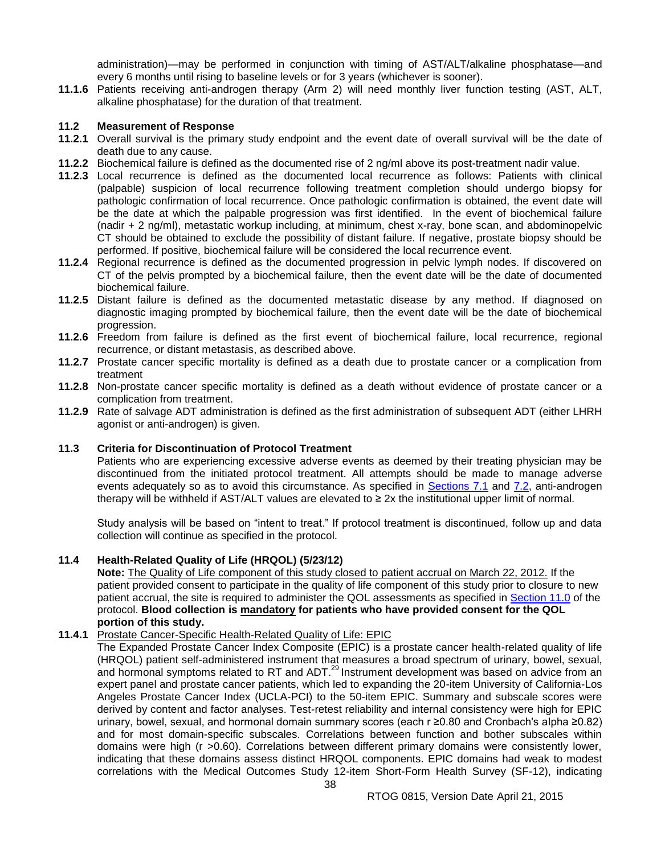administration)—may be performed in conjunction with timing of AST/ALT/alkaline phosphatase—and every 6 months until rising to baseline levels or for 3 years (whichever is sooner).

**11.1.6** Patients receiving anti-androgen therapy (Arm 2) will need monthly liver function testing (AST, ALT, alkaline phosphatase) for the duration of that treatment.

#### <span id="page-37-0"></span>**11.2 Measurement of Response**

- **11.2.1** Overall survival is the primary study endpoint and the event date of overall survival will be the date of death due to any cause.
- **11.2.2** Biochemical failure is defined as the documented rise of 2 ng/ml above its post-treatment nadir value.
- **11.2.3** Local recurrence is defined as the documented local recurrence as follows: Patients with clinical (palpable) suspicion of local recurrence following treatment completion should undergo biopsy for pathologic confirmation of local recurrence. Once pathologic confirmation is obtained, the event date will be the date at which the palpable progression was first identified. In the event of biochemical failure (nadir + 2 ng/ml), metastatic workup including, at minimum, chest x-ray, bone scan, and abdominopelvic CT should be obtained to exclude the possibility of distant failure. If negative, prostate biopsy should be performed. If positive, biochemical failure will be considered the local recurrence event.
- **11.2.4** Regional recurrence is defined as the documented progression in pelvic lymph nodes. If discovered on CT of the pelvis prompted by a biochemical failure, then the event date will be the date of documented biochemical failure.
- **11.2.5** Distant failure is defined as the documented metastatic disease by any method. If diagnosed on diagnostic imaging prompted by biochemical failure, then the event date will be the date of biochemical progression.
- **11.2.6** Freedom from failure is defined as the first event of biochemical failure, local recurrence, regional recurrence, or distant metastasis, as described above.
- **11.2.7** Prostate cancer specific mortality is defined as a death due to prostate cancer or a complication from treatment
- **11.2.8** Non-prostate cancer specific mortality is defined as a death without evidence of prostate cancer or a complication from treatment.
- **11.2.9** Rate of salvage ADT administration is defined as the first administration of subsequent ADT (either LHRH agonist or anti-androgen) is given.

#### <span id="page-37-1"></span>**11.3 Criteria for Discontinuation of Protocol Treatment**

Patients who are experiencing excessive adverse events as deemed by their treating physician may be discontinued from the initiated protocol treatment. All attempts should be made to manage adverse events adequately so as to avoid this circumstance. As specified in [Sections 7.1](#page-28-4) and [7.2,](#page-29-0) anti-androgen therapy will be withheld if AST/ALT values are elevated to  $\geq 2x$  the institutional upper limit of normal.

Study analysis will be based on "intent to treat." If protocol treatment is discontinued, follow up and data collection will continue as specified in the protocol.

## <span id="page-37-2"></span>**11.4 Health-Related Quality of Life (HRQOL) (5/23/12)**

**Note:** The Quality of Life component of this study closed to patient accrual on March 22, 2012. If the patient provided consent to participate in the quality of life component of this study prior to closure to new patient accrual, the site is required to administer the QOL assessments as specified in [Section 11.0](#page-36-2) of the protocol. **Blood collection is mandatory for patients who have provided consent for the QOL portion of this study.**

#### **11.4.1** Prostate Cancer-Specific Health-Related Quality of Life: EPIC

The Expanded Prostate Cancer Index Composite (EPIC) is a prostate cancer health-related quality of life (HRQOL) patient self-administered instrument that measures a broad spectrum of urinary, bowel, sexual, and hormonal symptoms related to RT and ADT.<sup>29</sup> Instrument development was based on advice from an expert panel and prostate cancer patients, which led to expanding the 20-item University of California-Los Angeles Prostate Cancer Index (UCLA-PCI) to the 50-item EPIC. Summary and subscale scores were derived by content and factor analyses. Test-retest reliability and internal consistency were high for EPIC urinary, bowel, sexual, and hormonal domain summary scores (each r ≥0.80 and Cronbach's alpha ≥0.82) and for most domain-specific subscales. Correlations between function and bother subscales within domains were high (r >0.60). Correlations between different primary domains were consistently lower, indicating that these domains assess distinct HRQOL components. EPIC domains had weak to modest correlations with the Medical Outcomes Study 12-item Short-Form Health Survey (SF-12), indicating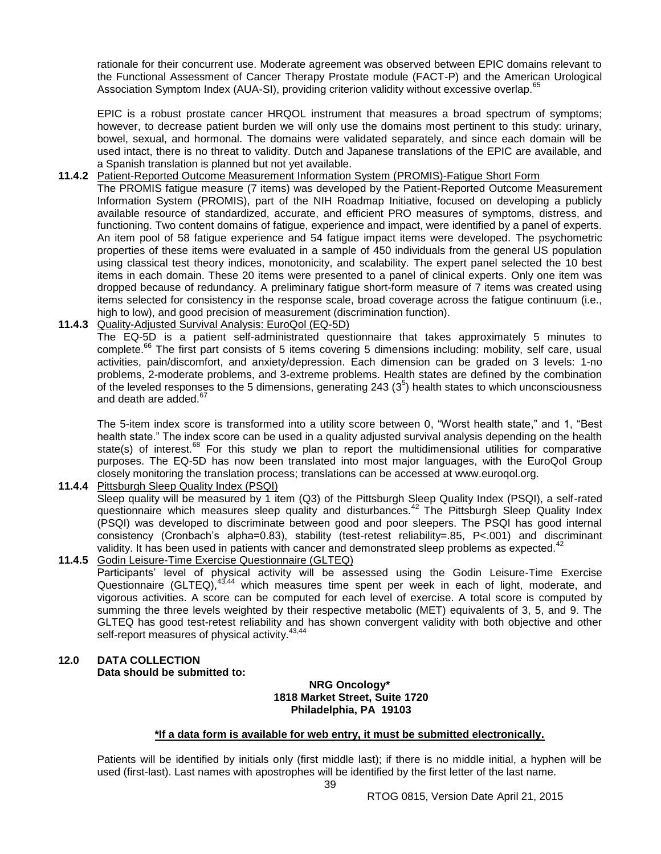rationale for their concurrent use. Moderate agreement was observed between EPIC domains relevant to the Functional Assessment of Cancer Therapy Prostate module (FACT-P) and the American Urological Association Symptom Index (AUA-SI), providing criterion validity without excessive overlap.<sup>6</sup>

EPIC is a robust prostate cancer HRQOL instrument that measures a broad spectrum of symptoms; however, to decrease patient burden we will only use the domains most pertinent to this study: urinary, bowel, sexual, and hormonal. The domains were validated separately, and since each domain will be used intact, there is no threat to validity. Dutch and Japanese translations of the EPIC are available, and a Spanish translation is planned but not yet available.

**11.4.2** Patient-Reported Outcome Measurement Information System (PROMIS)-Fatigue Short Form

The PROMIS fatigue measure (7 items) was developed by the Patient-Reported Outcome Measurement Information System (PROMIS), part of the NIH Roadmap Initiative, focused on developing a publicly available resource of standardized, accurate, and efficient PRO measures of symptoms, distress, and functioning. Two content domains of fatigue, experience and impact, were identified by a panel of experts. An item pool of 58 fatigue experience and 54 fatigue impact items were developed. The psychometric properties of these items were evaluated in a sample of 450 individuals from the general US population using classical test theory indices, monotonicity, and scalability. The expert panel selected the 10 best items in each domain. These 20 items were presented to a panel of clinical experts. Only one item was dropped because of redundancy. A preliminary fatigue short-form measure of 7 items was created using items selected for consistency in the response scale, broad coverage across the fatigue continuum (i.e., high to low), and good precision of measurement (discrimination function).

## **11.4.3** Quality-Adjusted Survival Analysis: EuroQol (EQ-5D)

The EQ-5D is a patient self-administrated questionnaire that takes approximately 5 minutes to complete.<sup>66</sup> The first part consists of 5 items covering 5 dimensions including: mobility, self care, usual activities, pain/discomfort, and anxiety/depression. Each dimension can be graded on 3 levels: 1-no problems, 2-moderate problems, and 3-extreme problems. Health states are defined by the combination of the leveled responses to the 5 dimensions, generating 243 ( $3<sup>5</sup>$ ) health states to which unconsciousness and death are added.<sup>67</sup>

The 5-item index score is transformed into a utility score between 0, "Worst health state," and 1, "Best health state." The index score can be used in a quality adjusted survival analysis depending on the health state(s) of interest.<sup>68</sup> For this study we plan to report the multidimensional utilities for comparative purposes. The EQ-5D has now been translated into most major languages, with the EuroQol Group closely monitoring the translation process; translations can be accessed at www.euroqol.org.

**11.4.4** Pittsburgh Sleep Quality Index (PSQI)

Sleep quality will be measured by 1 item (Q3) of the Pittsburgh Sleep Quality Index (PSQI), a self-rated questionnaire which measures sleep quality and disturbances.<sup>42</sup> The Pittsburgh Sleep Quality Index (PSQI) was developed to discriminate between good and poor sleepers. The PSQI has good internal consistency (Cronbach's alpha=0.83), stability (test-retest reliability=.85, P<.001) and discriminant validity. It has been used in patients with cancer and demonstrated sleep problems as expected.<sup>42</sup>

**11.4.5** Godin Leisure-Time Exercise Questionnaire (GLTEQ) Participants' level of physical activity will be assessed using the Godin Leisure-Time Exercise Questionnaire (GLTEQ),  $43,44$  which measures time spent per week in each of light, moderate, and vigorous activities. A score can be computed for each level of exercise. A total score is computed by summing the three levels weighted by their respective metabolic (MET) equivalents of 3, 5, and 9. The GLTEQ has good test-retest reliability and has shown convergent validity with both objective and other self-report measures of physical activity.<sup>43,44</sup>

## <span id="page-38-0"></span>**12.0 DATA COLLECTION Data should be submitted to:**

#### **NRG Oncology\* 1818 Market Street, Suite 1720 Philadelphia, PA 19103**

## **\*If a data form is available for web entry, it must be submitted electronically.**

Patients will be identified by initials only (first middle last); if there is no middle initial, a hyphen will be used (first-last). Last names with apostrophes will be identified by the first letter of the last name.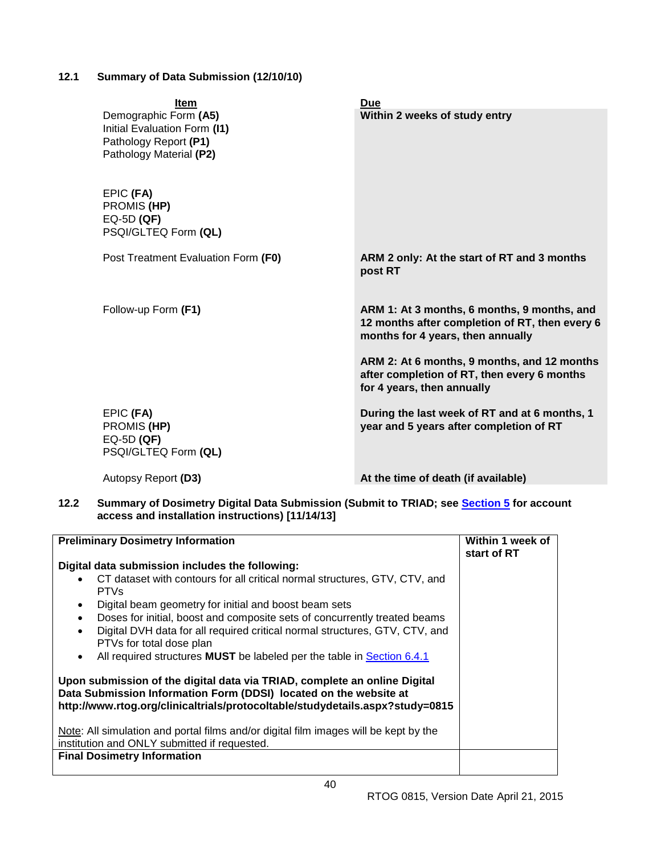# <span id="page-39-0"></span>**12.1 Summary of Data Submission (12/10/10)**

| <b>Item</b><br>Demographic Form (A5)<br>Initial Evaluation Form (I1)<br>Pathology Report (P1)<br>Pathology Material (P2) | <b>Due</b><br>Within 2 weeks of study entry                                                                                                                                                                                                                    |  |
|--------------------------------------------------------------------------------------------------------------------------|----------------------------------------------------------------------------------------------------------------------------------------------------------------------------------------------------------------------------------------------------------------|--|
| EPIC (FA)<br>PROMIS (HP)<br>$EQ-5D(QF)$<br>PSQI/GLTEQ Form (QL)                                                          |                                                                                                                                                                                                                                                                |  |
| Post Treatment Evaluation Form (F0)                                                                                      | ARM 2 only: At the start of RT and 3 months<br>post RT                                                                                                                                                                                                         |  |
| Follow-up Form (F1)                                                                                                      | ARM 1: At 3 months, 6 months, 9 months, and<br>12 months after completion of RT, then every 6<br>months for 4 years, then annually<br>ARM 2: At 6 months, 9 months, and 12 months<br>after completion of RT, then every 6 months<br>for 4 years, then annually |  |
| EPIC (FA)<br>PROMIS (HP)<br>$EQ-5D(QF)$<br>PSQI/GLTEQ Form (QL)                                                          | During the last week of RT and at 6 months, 1<br>year and 5 years after completion of RT                                                                                                                                                                       |  |
| Autopsy Report (D3)                                                                                                      | At the time of death (if available)                                                                                                                                                                                                                            |  |

# <span id="page-39-1"></span>**12.2 Summary of Dosimetry Digital Data Submission (Submit to TRIAD; see [Section 5](#page-17-0) for account access and installation instructions) [11/14/13]**

| <b>Preliminary Dosimetry Information</b>                                                                                                                                                                                                                                                                                                                                                                                                                       | Within 1 week of<br>start of RT |
|----------------------------------------------------------------------------------------------------------------------------------------------------------------------------------------------------------------------------------------------------------------------------------------------------------------------------------------------------------------------------------------------------------------------------------------------------------------|---------------------------------|
| Digital data submission includes the following:<br>CT dataset with contours for all critical normal structures, GTV, CTV, and<br><b>PTVs</b><br>Digital beam geometry for initial and boost beam sets<br>$\bullet$<br>Doses for initial, boost and composite sets of concurrently treated beams<br>$\bullet$<br>Digital DVH data for all required critical normal structures, GTV, CTV, and<br>$\bullet$<br>PTVs for total dose plan                           |                                 |
| All required structures MUST be labeled per the table in Section 6.4.1<br>$\bullet$<br>Upon submission of the digital data via TRIAD, complete an online Digital<br>Data Submission Information Form (DDSI) located on the website at<br>http://www.rtog.org/clinicaltrials/protocoltable/studydetails.aspx?study=0815<br>Note: All simulation and portal films and/or digital film images will be kept by the<br>institution and ONLY submitted if requested. |                                 |
| <b>Final Dosimetry Information</b>                                                                                                                                                                                                                                                                                                                                                                                                                             |                                 |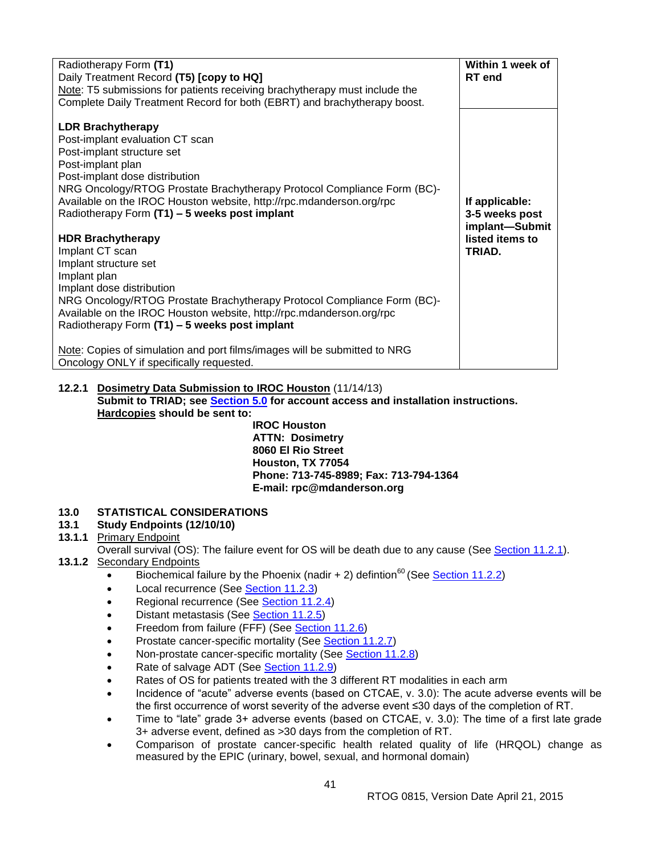| Radiotherapy Form (T1)<br>Daily Treatment Record (T5) [copy to HQ]<br>Note: T5 submissions for patients receiving brachytherapy must include the<br>Complete Daily Treatment Record for both (EBRT) and brachytherapy boost.                                                                                                                                                                                                                                                                                                                                                                                                                                                                                                                                                                           | Within 1 week of<br><b>RT</b> end                                               |
|--------------------------------------------------------------------------------------------------------------------------------------------------------------------------------------------------------------------------------------------------------------------------------------------------------------------------------------------------------------------------------------------------------------------------------------------------------------------------------------------------------------------------------------------------------------------------------------------------------------------------------------------------------------------------------------------------------------------------------------------------------------------------------------------------------|---------------------------------------------------------------------------------|
| <b>LDR Brachytherapy</b><br>Post-implant evaluation CT scan<br>Post-implant structure set<br>Post-implant plan<br>Post-implant dose distribution<br>NRG Oncology/RTOG Prostate Brachytherapy Protocol Compliance Form (BC)-<br>Available on the IROC Houston website, http://rpc.mdanderson.org/rpc<br>Radiotherapy Form (T1) - 5 weeks post implant<br><b>HDR Brachytherapy</b><br>Implant CT scan<br>Implant structure set<br>Implant plan<br>Implant dose distribution<br>NRG Oncology/RTOG Prostate Brachytherapy Protocol Compliance Form (BC)-<br>Available on the IROC Houston website, http://rpc.mdanderson.org/rpc<br>Radiotherapy Form (T1) - 5 weeks post implant<br>Note: Copies of simulation and port films/images will be submitted to NRG<br>Oncology ONLY if specifically requested. | If applicable:<br>3-5 weeks post<br>implant-Submit<br>listed items to<br>TRIAD. |

#### **12.2.1 Dosimetry Data Submission to IROC Houston** (11/14/13) **Submit to TRIAD; see [Section 5.0](#page-17-0) for account access and installation instructions. Hardcopies should be sent to:**

**IROC Houston ATTN: Dosimetry 8060 El Rio Street Houston, TX 77054 Phone: 713-745-8989; Fax: 713-794-1364 E-mail: rpc@mdanderson.org**

# <span id="page-40-0"></span>**13.0 STATISTICAL CONSIDERATIONS**

## <span id="page-40-1"></span>**13.1 Study Endpoints (12/10/10)**

## **13.1.1** Primary Endpoint

Overall survival (OS): The failure event for OS will be death due to any cause (See [Section 11.2.1\)](#page-37-0).

## **13.1.2** Secondary Endpoints

- Biochemical failure by the Phoenix (nadir  $+ 2$ ) defintion<sup>60</sup> (See [Section 11.2.2\)](#page-37-0)
- Local recurrence (See [Section 11.2.3\)](#page-37-0)
- Regional recurrence (See [Section 11.2.4\)](#page-37-0)
- Distant metastasis (See [Section 11.2.5\)](#page-37-0)
- Freedom from failure (FFF) (See [Section 11.2.6\)](#page-37-0)
- Prostate cancer-specific mortality (See [Section 11.2.7\)](#page-37-0)
- Non-prostate cancer-specific mortality (See [Section 11.2.8\)](#page-37-0)
- Rate of salvage ADT (See [Section 11.2.9\)](#page-37-0)
- Rates of OS for patients treated with the 3 different RT modalities in each arm
- Incidence of "acute" adverse events (based on CTCAE, v. 3.0): The acute adverse events will be the first occurrence of worst severity of the adverse event ≤30 days of the completion of RT.
- Time to "late" grade 3+ adverse events (based on CTCAE, v. 3.0): The time of a first late grade 3+ adverse event, defined as >30 days from the completion of RT.
- Comparison of prostate cancer-specific health related quality of life (HRQOL) change as measured by the EPIC (urinary, bowel, sexual, and hormonal domain)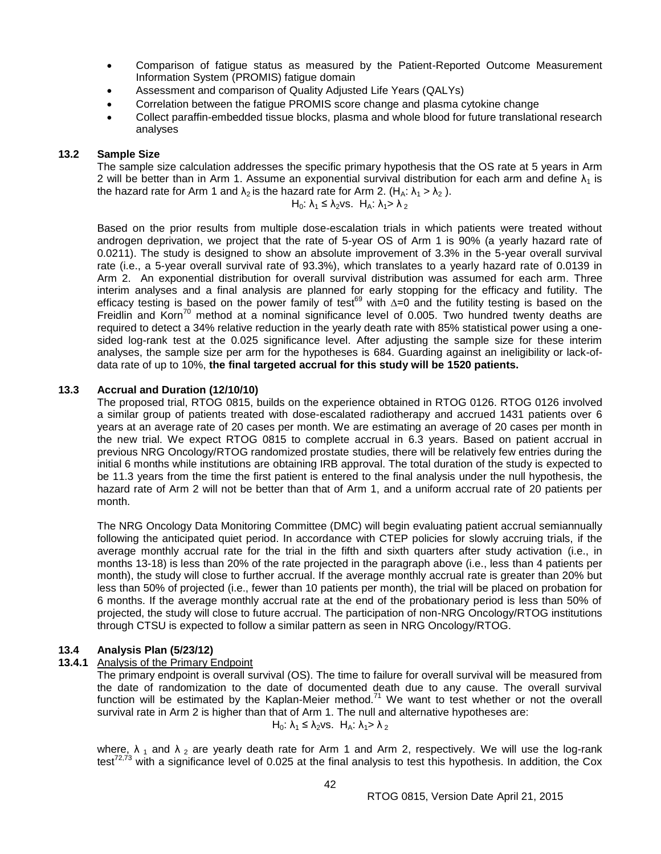- Comparison of fatigue status as measured by the Patient-Reported Outcome Measurement Information System (PROMIS) fatigue domain
- Assessment and comparison of Quality Adjusted Life Years (QALYs)
- Correlation between the fatigue PROMIS score change and plasma cytokine change
- Collect paraffin-embedded tissue blocks, plasma and whole blood for future translational research analyses

#### <span id="page-41-0"></span>**13.2 Sample Size**

The sample size calculation addresses the specific primary hypothesis that the OS rate at 5 years in Arm 2 will be better than in Arm 1. Assume an exponential survival distribution for each arm and define  $\lambda_1$  is the hazard rate for Arm 1 and  $\lambda_2$  is the hazard rate for Arm 2. (H<sub>A</sub>:  $\lambda_1 > \lambda_2$ ).

 $H_0$ :  $\lambda_1 \leq \lambda_2$ vs.  $H_A$ :  $\lambda_1 > \lambda_2$ 

Based on the prior results from multiple dose-escalation trials in which patients were treated without androgen deprivation, we project that the rate of 5-year OS of Arm 1 is 90% (a yearly hazard rate of 0.0211). The study is designed to show an absolute improvement of 3.3% in the 5-year overall survival rate (i.e., a 5-year overall survival rate of 93.3%), which translates to a yearly hazard rate of 0.0139 in Arm 2. An exponential distribution for overall survival distribution was assumed for each arm. Three interim analyses and a final analysis are planned for early stopping for the efficacy and futility. The efficacy testing is based on the power family of test<sup>69</sup> with ∆=0 and the futility testing is based on the efficacy testing is based on the Freidlin and Korn<sup>70</sup> method at a nominal significance level of 0.005. Two hundred twenty deaths are required to detect a 34% relative reduction in the yearly death rate with 85% statistical power using a onesided log-rank test at the 0.025 significance level. After adjusting the sample size for these interim analyses, the sample size per arm for the hypotheses is 684. Guarding against an ineligibility or lack-ofdata rate of up to 10%, **the final targeted accrual for this study will be 1520 patients.**

#### <span id="page-41-1"></span>**13.3 Accrual and Duration (12/10/10)**

The proposed trial, RTOG 0815, builds on the experience obtained in RTOG 0126. RTOG 0126 involved a similar group of patients treated with dose-escalated radiotherapy and accrued 1431 patients over 6 years at an average rate of 20 cases per month. We are estimating an average of 20 cases per month in the new trial. We expect RTOG 0815 to complete accrual in 6.3 years. Based on patient accrual in previous NRG Oncology/RTOG randomized prostate studies, there will be relatively few entries during the initial 6 months while institutions are obtaining IRB approval. The total duration of the study is expected to be 11.3 years from the time the first patient is entered to the final analysis under the null hypothesis, the hazard rate of Arm 2 will not be better than that of Arm 1, and a uniform accrual rate of 20 patients per month.

The NRG Oncology Data Monitoring Committee (DMC) will begin evaluating patient accrual semiannually following the anticipated quiet period. In accordance with CTEP policies for slowly accruing trials, if the average monthly accrual rate for the trial in the fifth and sixth quarters after study activation (i.e., in months 13-18) is less than 20% of the rate projected in the paragraph above (i.e., less than 4 patients per month), the study will close to further accrual. If the average monthly accrual rate is greater than 20% but less than 50% of projected (i.e., fewer than 10 patients per month), the trial will be placed on probation for 6 months. If the average monthly accrual rate at the end of the probationary period is less than 50% of projected, the study will close to future accrual. The participation of non-NRG Oncology/RTOG institutions through CTSU is expected to follow a similar pattern as seen in NRG Oncology/RTOG.

#### <span id="page-41-2"></span>**13.4 Analysis Plan (5/23/12)**

#### **13.4.1** Analysis of the Primary Endpoint

The primary endpoint is overall survival (OS). The time to failure for overall survival will be measured from the date of randomization to the date of documented death due to any cause. The overall survival function will be estimated by the Kaplan-Meier method.<sup>71</sup> We want to test whether or not the overall survival rate in Arm 2 is higher than that of Arm 1. The null and alternative hypotheses are:  $H_0$ :  $\lambda_1 \leq \lambda_2$ vs.  $H_A$ :  $\lambda_1 > \lambda_2$ 

where,  $\lambda_1$  and  $\lambda_2$  are yearly death rate for Arm 1 and Arm 2, respectively. We will use the log-rank test<sup>72,73</sup> with a significance level of 0.025 at the final analysis to test this hypothesis. In addition, the Cox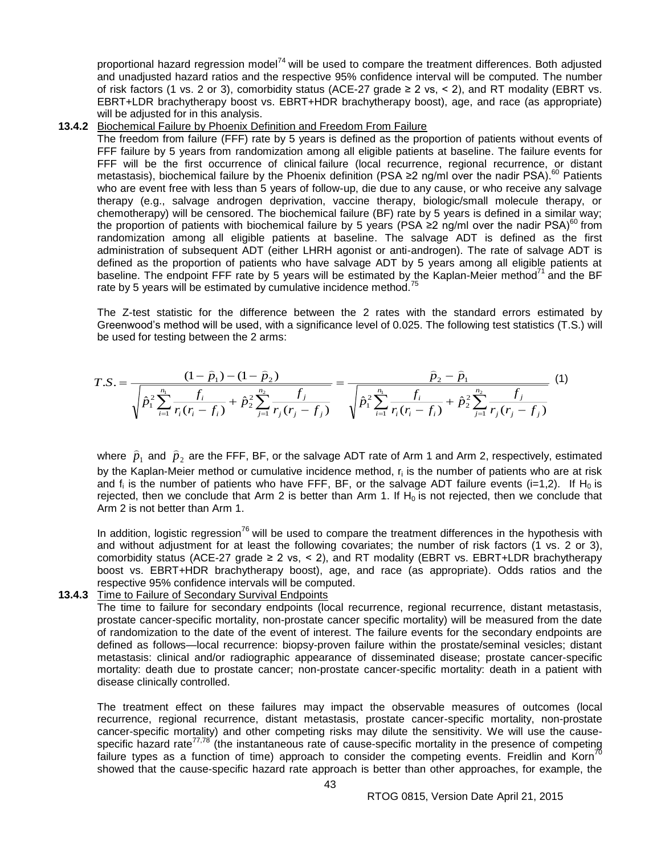proportional hazard regression model<sup>74</sup> will be used to compare the treatment differences. Both adjusted and unadjusted hazard ratios and the respective 95% confidence interval will be computed. The number of risk factors (1 vs. 2 or 3), comorbidity status (ACE-27 grade ≥ 2 vs, < 2), and RT modality (EBRT vs. EBRT+LDR brachytherapy boost vs. EBRT+HDR brachytherapy boost), age, and race (as appropriate) will be adjusted for in this analysis.

#### **13.4.2** Biochemical Failure by Phoenix Definition and Freedom From Failure

The freedom from failure (FFF) rate by 5 years is defined as the proportion of patients without events of FFF failure by 5 years from randomization among all eligible patients at baseline. The failure events for FFF will be the first occurrence of clinical failure (local recurrence, regional recurrence, or distant metastasis), biochemical failure by the Phoenix definition (PSA ≥2 ng/ml over the nadir PSA).<sup>60</sup> Patients who are event free with less than 5 years of follow-up, die due to any cause, or who receive any salvage therapy (e.g., salvage androgen deprivation, vaccine therapy, biologic/small molecule therapy, or chemotherapy) will be censored. The biochemical failure (BF) rate by 5 years is defined in a similar way; the proportion of patients with biochemical failure by 5 years (PSA ≥2 ng/ml over the nadir PSA)<sup>60</sup> from randomization among all eligible patients at baseline. The salvage ADT is defined as the first administration of subsequent ADT (either LHRH agonist or anti-androgen). The rate of salvage ADT is defined as the proportion of patients who have salvage ADT by 5 years among all eligible patients at baseline. The endpoint FFF rate by 5 years will be estimated by the Kaplan-Meier method<sup>71</sup> and the BF rate by 5 years will be estimated by cumulative incidence method.<sup>75</sup>

The Z-test statistic for the difference between the 2 rates with the standard errors estimated by Greenwood's method will be used, with a significance level of 0.025. The following test statistics (T.S.) will be used for testing between the 2 arms:

$$
T.S. = \frac{(1-\hat{p}_1) - (1-\hat{p}_2)}{\sqrt{\hat{p}_1^2 \sum_{i=1}^{n_1} \frac{f_i}{r_i(r_i - f_i)} + \hat{p}_2^2 \sum_{j=1}^{n_2} \frac{f_j}{r_j(r_j - f_j)}}} = \frac{\hat{p}_2 - \hat{p}_1}{\sqrt{\hat{p}_1^2 \sum_{i=1}^{n_1} \frac{f_i}{r_i(r_i - f_i)} + \hat{p}_2^2 \sum_{j=1}^{n_2} \frac{f_j}{r_j(r_j - f_j)}}}
$$
(1)

where  $\,\widehat{p}_1^{}\,$  and  $\,\widehat{p}_2^{}\,$  are the FFF, BF, or the salvage ADT rate of Arm 1 and Arm 2, respectively, estimated by the Kaplan-Meier method or cumulative incidence method,  $r_i$  is the number of patients who are at risk and  $f_i$  is the number of patients who have FFF, BF, or the salvage ADT failure events (i=1,2). If H<sub>0</sub> is rejected, then we conclude that Arm 2 is better than Arm 1. If  $H_0$  is not rejected, then we conclude that Arm 2 is not better than Arm 1.

In addition, logistic regression<sup>76</sup> will be used to compare the treatment differences in the hypothesis with and without adjustment for at least the following covariates; the number of risk factors (1 vs. 2 or 3), comorbidity status (ACE-27 grade  $\geq 2$  vs, < 2), and RT modality (EBRT vs. EBRT+LDR brachytherapy boost vs. EBRT+HDR brachytherapy boost), age, and race (as appropriate). Odds ratios and the respective 95% confidence intervals will be computed.

#### **13.4.3** Time to Failure of Secondary Survival Endpoints

The time to failure for secondary endpoints (local recurrence, regional recurrence, distant metastasis, prostate cancer-specific mortality, non-prostate cancer specific mortality) will be measured from the date of randomization to the date of the event of interest. The failure events for the secondary endpoints are defined as follows—local recurrence: biopsy-proven failure within the prostate/seminal vesicles; distant metastasis: clinical and/or radiographic appearance of disseminated disease; prostate cancer-specific mortality: death due to prostate cancer; non-prostate cancer-specific mortality: death in a patient with disease clinically controlled.

The treatment effect on these failures may impact the observable measures of outcomes (local recurrence, regional recurrence, distant metastasis, prostate cancer-specific mortality, non-prostate cancer-specific mortality) and other competing risks may dilute the sensitivity. We will use the causespecific hazard rate<sup>77,78</sup> (the instantaneous rate of cause-specific mortality in the presence of competing failure types as a function of time) approach to consider the competing events. Freidlin and Korn<sup>7</sup> showed that the cause-specific hazard rate approach is better than other approaches, for example, the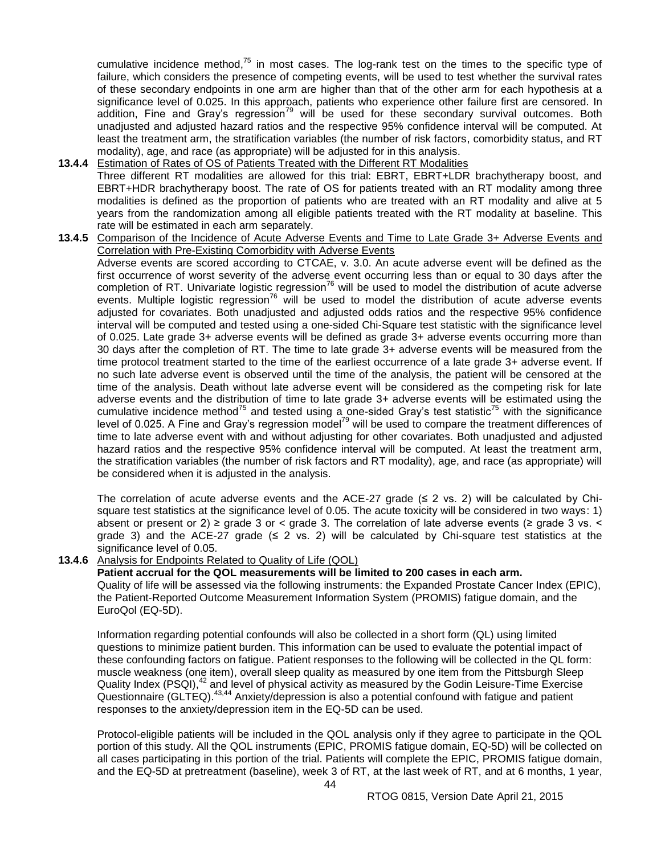cumulative incidence method,<sup>75</sup> in most cases. The log-rank test on the times to the specific type of failure, which considers the presence of competing events, will be used to test whether the survival rates of these secondary endpoints in one arm are higher than that of the other arm for each hypothesis at a significance level of 0.025. In this approach, patients who experience other failure first are censored. In addition, Fine and Gray's regression<sup>79</sup> will be used for these secondary survival outcomes. Both unadjusted and adjusted hazard ratios and the respective 95% confidence interval will be computed. At least the treatment arm, the stratification variables (the number of risk factors, comorbidity status, and RT modality), age, and race (as appropriate) will be adjusted for in this analysis.

- **13.4.4** Estimation of Rates of OS of Patients Treated with the Different RT Modalities Three different RT modalities are allowed for this trial: EBRT, EBRT+LDR brachytherapy boost, and EBRT+HDR brachytherapy boost. The rate of OS for patients treated with an RT modality among three modalities is defined as the proportion of patients who are treated with an RT modality and alive at 5 years from the randomization among all eligible patients treated with the RT modality at baseline. This rate will be estimated in each arm separately.
- **13.4.5** Comparison of the Incidence of Acute Adverse Events and Time to Late Grade 3+ Adverse Events and Correlation with Pre-Existing Comorbidity with Adverse Events Adverse events are scored according to CTCAE, v. 3.0. An acute adverse event will be defined as the first occurrence of worst severity of the adverse event occurring less than or equal to 30 days after the completion of RT. Univariate logistic regression<sup>76</sup> will be used to model the distribution of acute adverse events. Multiple logistic regression<sup>76</sup> will be used to model the distribution of acute adverse events adjusted for covariates. Both unadjusted and adjusted odds ratios and the respective 95% confidence interval will be computed and tested using a one-sided Chi-Square test statistic with the significance level of 0.025. Late grade 3+ adverse events will be defined as grade 3+ adverse events occurring more than 30 days after the completion of RT. The time to late grade 3+ adverse events will be measured from the time protocol treatment started to the time of the earliest occurrence of a late grade 3+ adverse event. If no such late adverse event is observed until the time of the analysis, the patient will be censored at the time of the analysis. Death without late adverse event will be considered as the competing risk for late adverse events and the distribution of time to late grade 3+ adverse events will be estimated using the cumulative incidence method<sup>75</sup> and tested using a one-sided Gray's test statistic<sup>75</sup> with the significance level of 0.025. A Fine and Gray's regression model<sup>79</sup> will be used to compare the treatment differences of time to late adverse event with and without adjusting for other covariates. Both unadjusted and adjusted hazard ratios and the respective 95% confidence interval will be computed. At least the treatment arm, the stratification variables (the number of risk factors and RT modality), age, and race (as appropriate) will be considered when it is adjusted in the analysis.

The correlation of acute adverse events and the ACE-27 grade  $(≤ 2$  vs. 2) will be calculated by Chisquare test statistics at the significance level of 0.05. The acute toxicity will be considered in two ways: 1) absent or present or 2) ≥ grade 3 or < grade 3. The correlation of late adverse events ( $\geq$  grade 3 vs. < grade 3) and the ACE-27 grade  $(\leq 2 \text{ vs. 2})$  will be calculated by Chi-square test statistics at the significance level of 0.05.

#### **13.4.6** Analysis for Endpoints Related to Quality of Life (QOL)

#### **Patient accrual for the QOL measurements will be limited to 200 cases in each arm.**

Quality of life will be assessed via the following instruments: the Expanded Prostate Cancer Index (EPIC), the Patient-Reported Outcome Measurement Information System (PROMIS) fatigue domain, and the EuroQol (EQ-5D).

Information regarding potential confounds will also be collected in a short form (QL) using limited questions to minimize patient burden. This information can be used to evaluate the potential impact of these confounding factors on fatigue. Patient responses to the following will be collected in the QL form: muscle weakness (one item), overall sleep quality as measured by one item from the Pittsburgh Sleep Quality Index (PSQI),<sup>42</sup> and level of physical activity as measured by the Godin Leisure-Time Exercise Questionnaire (GLTEQ).<sup>43,44</sup> Anxiety/depression is also a potential confound with fatigue and patient responses to the anxiety/depression item in the EQ-5D can be used.

Protocol-eligible patients will be included in the QOL analysis only if they agree to participate in the QOL portion of this study. All the QOL instruments (EPIC, PROMIS fatigue domain, EQ-5D) will be collected on all cases participating in this portion of the trial. Patients will complete the EPIC, PROMIS fatigue domain, and the EQ-5D at pretreatment (baseline), week 3 of RT, at the last week of RT, and at 6 months, 1 year,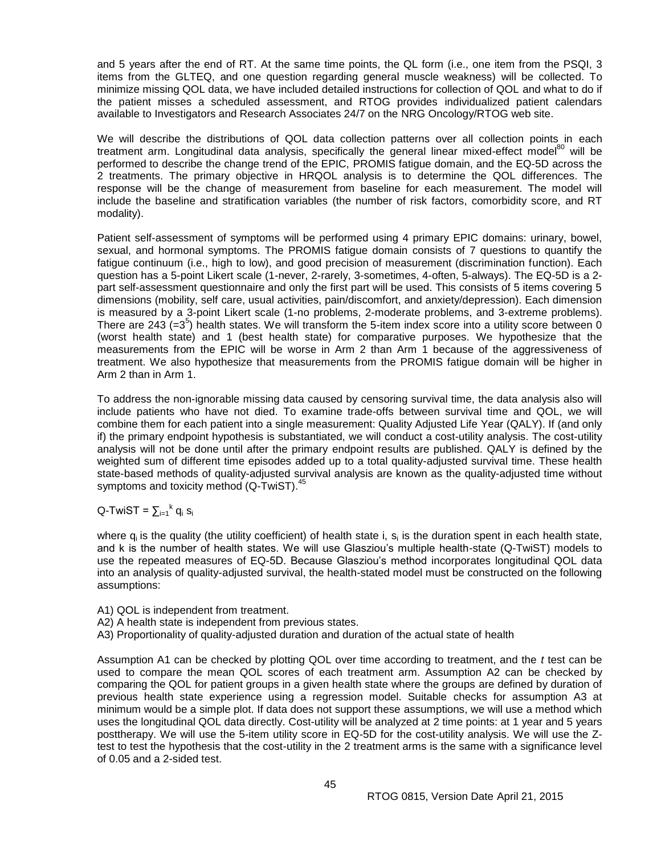and 5 years after the end of RT. At the same time points, the QL form (i.e., one item from the PSQI, 3 items from the GLTEQ, and one question regarding general muscle weakness) will be collected. To minimize missing QOL data, we have included detailed instructions for collection of QOL and what to do if the patient misses a scheduled assessment, and RTOG provides individualized patient calendars available to Investigators and Research Associates 24/7 on the NRG Oncology/RTOG web site.

We will describe the distributions of QOL data collection patterns over all collection points in each treatment arm. Longitudinal data analysis, specifically the general linear mixed-effect model<sup>80</sup> will be performed to describe the change trend of the EPIC, PROMIS fatigue domain, and the EQ-5D across the 2 treatments. The primary objective in HRQOL analysis is to determine the QOL differences. The response will be the change of measurement from baseline for each measurement. The model will include the baseline and stratification variables (the number of risk factors, comorbidity score, and RT modality).

Patient self-assessment of symptoms will be performed using 4 primary EPIC domains: urinary, bowel, sexual, and hormonal symptoms. The PROMIS fatigue domain consists of 7 questions to quantify the fatigue continuum (i.e., high to low), and good precision of measurement (discrimination function). Each question has a 5-point Likert scale (1-never, 2-rarely, 3-sometimes, 4-often, 5-always). The EQ-5D is a 2 part self-assessment questionnaire and only the first part will be used. This consists of 5 items covering 5 dimensions (mobility, self care, usual activities, pain/discomfort, and anxiety/depression). Each dimension is measured by a 3-point Likert scale (1-no problems, 2-moderate problems, and 3-extreme problems). There are 243  $(=3^5)$  health states. We will transform the 5-item index score into a utility score between 0 (worst health state) and 1 (best health state) for comparative purposes. We hypothesize that the measurements from the EPIC will be worse in Arm 2 than Arm 1 because of the aggressiveness of treatment. We also hypothesize that measurements from the PROMIS fatigue domain will be higher in Arm 2 than in Arm 1.

To address the non-ignorable missing data caused by censoring survival time, the data analysis also will include patients who have not died. To examine trade-offs between survival time and QOL, we will combine them for each patient into a single measurement: Quality Adjusted Life Year (QALY). If (and only if) the primary endpoint hypothesis is substantiated, we will conduct a cost-utility analysis. The cost-utility analysis will not be done until after the primary endpoint results are published. QALY is defined by the weighted sum of different time episodes added up to a total quality-adjusted survival time. These health state-based methods of quality-adjusted survival analysis are known as the quality-adjusted time without symptoms and toxicity method  $(Q-TwIST).$ <sup>45</sup>

# Q-TwiST =  $\sum_{i=1}^{k} q_i s_i$

where q<sub>i</sub> is the quality (the utility coefficient) of health state i, s<sub>i</sub> is the duration spent in each health state, and k is the number of health states. We will use Glasziou's multiple health-state (Q-TwiST) models to use the repeated measures of EQ-5D. Because Glasziou's method incorporates longitudinal QOL data into an analysis of quality-adjusted survival, the health-stated model must be constructed on the following assumptions:

- A1) QOL is independent from treatment.
- A2) A health state is independent from previous states.
- A3) Proportionality of quality-adjusted duration and duration of the actual state of health

Assumption A1 can be checked by plotting QOL over time according to treatment, and the *t* test can be used to compare the mean QOL scores of each treatment arm. Assumption A2 can be checked by comparing the QOL for patient groups in a given health state where the groups are defined by duration of previous health state experience using a regression model. Suitable checks for assumption A3 at minimum would be a simple plot. If data does not support these assumptions, we will use a method which uses the longitudinal QOL data directly. Cost-utility will be analyzed at 2 time points: at 1 year and 5 years posttherapy. We will use the 5-item utility score in EQ-5D for the cost-utility analysis. We will use the Ztest to test the hypothesis that the cost-utility in the 2 treatment arms is the same with a significance level of 0.05 and a 2-sided test.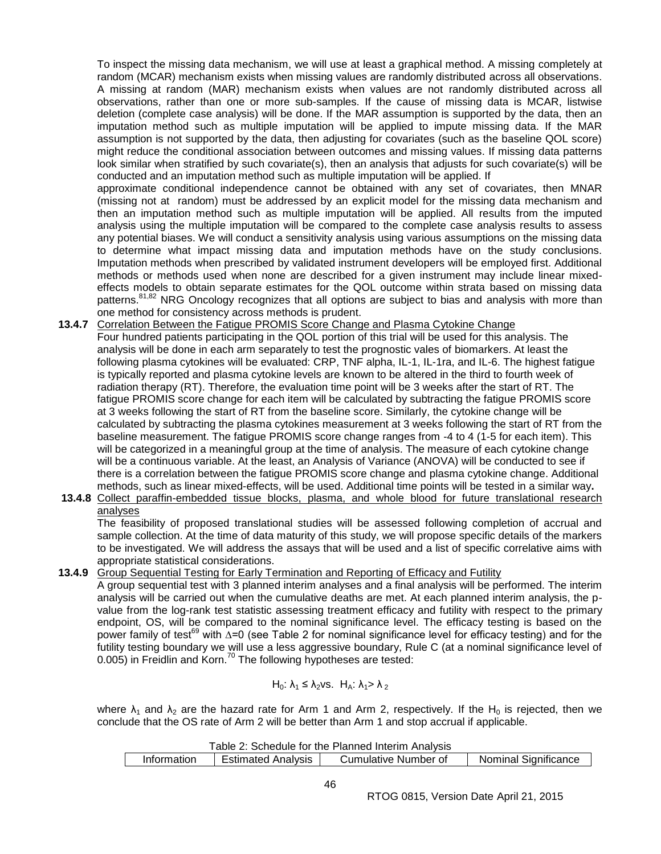To inspect the missing data mechanism, we will use at least a graphical method. A missing completely at random (MCAR) mechanism exists when missing values are randomly distributed across all observations. A missing at random (MAR) mechanism exists when values are not randomly distributed across all observations, rather than one or more sub-samples. If the cause of missing data is MCAR, listwise deletion (complete case analysis) will be done. If the MAR assumption is supported by the data, then an imputation method such as multiple imputation will be applied to impute missing data. If the MAR assumption is not supported by the data, then adjusting for covariates (such as the baseline QOL score) might reduce the conditional association between outcomes and missing values. If missing data patterns look similar when stratified by such covariate(s), then an analysis that adjusts for such covariate(s) will be conducted and an imputation method such as multiple imputation will be applied. If

approximate conditional independence cannot be obtained with any set of covariates, then MNAR (missing not at random) must be addressed by an explicit model for the missing data mechanism and then an imputation method such as multiple imputation will be applied. All results from the imputed analysis using the multiple imputation will be compared to the complete case analysis results to assess any potential biases. We will conduct a sensitivity analysis using various assumptions on the missing data to determine what impact missing data and imputation methods have on the study conclusions. Imputation methods when prescribed by validated instrument developers will be employed first. Additional methods or methods used when none are described for a given instrument may include linear mixedeffects models to obtain separate estimates for the QOL outcome within strata based on missing data patterns.<sup>81,82</sup> NRG Oncology recognizes that all options are subject to bias and analysis with more than one method for consistency across methods is prudent.

- **13.4.7** Correlation Between the Fatigue PROMIS Score Change and Plasma Cytokine Change Four hundred patients participating in the QOL portion of this trial will be used for this analysis. The analysis will be done in each arm separately to test the prognostic vales of biomarkers. At least the following plasma cytokines will be evaluated: CRP, TNF alpha, IL-1, IL-1ra, and IL-6. The highest fatigue is typically reported and plasma cytokine levels are known to be altered in the third to fourth week of radiation therapy (RT). Therefore, the evaluation time point will be 3 weeks after the start of RT. The fatigue PROMIS score change for each item will be calculated by subtracting the fatigue PROMIS score at 3 weeks following the start of RT from the baseline score. Similarly, the cytokine change will be calculated by subtracting the plasma cytokines measurement at 3 weeks following the start of RT from the baseline measurement. The fatigue PROMIS score change ranges from -4 to 4 (1-5 for each item). This will be categorized in a meaningful group at the time of analysis. The measure of each cytokine change will be a continuous variable. At the least, an Analysis of Variance (ANOVA) will be conducted to see if there is a correlation between the fatigue PROMIS score change and plasma cytokine change. Additional methods, such as linear mixed-effects, will be used. Additional time points will be tested in a similar way**. 13.4.8** Collect paraffin-embedded tissue blocks, plasma, and whole blood for future translational research
- analyses

The feasibility of proposed translational studies will be assessed following completion of accrual and sample collection. At the time of data maturity of this study, we will propose specific details of the markers to be investigated. We will address the assays that will be used and a list of specific correlative aims with appropriate statistical considerations.

**13.4.9** Group Sequential Testing for Early Termination and Reporting of Efficacy and Futility

A group sequential test with 3 planned interim analyses and a final analysis will be performed. The interim analysis will be carried out when the cumulative deaths are met. At each planned interim analysis, the pvalue from the log-rank test statistic assessing treatment efficacy and futility with respect to the primary endpoint, OS, will be compared to the nominal significance level. The efficacy testing is based on the power family of test<sup>69</sup> with ∆=0 (see Table 2 for nominal significance level for efficacy testing) and for the futility testing boundary we will use a less aggressive boundary, Rule C (at a nominal significance level of  $0.005$ ) in Freidlin and Korn.<sup>70</sup> The following hypotheses are tested:

 $H_0$ :  $\lambda_1 \leq \lambda_2$ vs.  $H_A$ :  $\lambda_1 > \lambda_2$ 

where  $\lambda_1$  and  $\lambda_2$  are the hazard rate for Arm 1 and Arm 2, respectively. If the H<sub>0</sub> is rejected, then we conclude that the OS rate of Arm 2 will be better than Arm 1 and stop accrual if applicable.

| Table 2: Schedule for the Planned Interim Analysis |                           |                      |                             |
|----------------------------------------------------|---------------------------|----------------------|-----------------------------|
| Information                                        | <b>Estimated Analysis</b> | Cumulative Number of | <b>Nominal Significance</b> |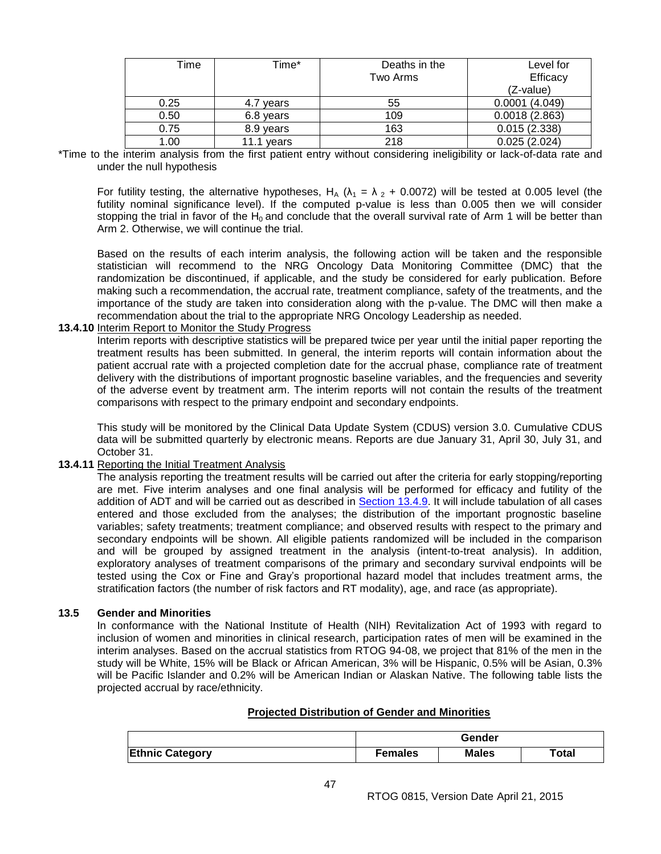| Time | Time*      | Deaths in the | Level for     |
|------|------------|---------------|---------------|
|      |            | Two Arms      | Efficacy      |
|      |            |               | (Z-value)     |
| 0.25 | 4.7 years  | 55            | 0.0001(4.049) |
| 0.50 | 6.8 years  | 109           | 0.0018(2.863) |
| 0.75 | 8.9 years  | 163           | 0.015(2.338)  |
| 1.00 | 11.1 vears | 218           | 0.025(2.024)  |

\*Time to the interim analysis from the first patient entry without considering ineligibility or lack-of-data rate and under the null hypothesis

For futility testing, the alternative hypotheses, H<sub>A</sub> ( $\lambda_1 = \lambda_2 + 0.0072$ ) will be tested at 0.005 level (the futility nominal significance level). If the computed p-value is less than 0.005 then we will consider stopping the trial in favor of the H<sub>0</sub> and conclude that the overall survival rate of Arm 1 will be better than Arm 2. Otherwise, we will continue the trial.

Based on the results of each interim analysis, the following action will be taken and the responsible statistician will recommend to the NRG Oncology Data Monitoring Committee (DMC) that the randomization be discontinued, if applicable, and the study be considered for early publication. Before making such a recommendation, the accrual rate, treatment compliance, safety of the treatments, and the importance of the study are taken into consideration along with the p-value. The DMC will then make a recommendation about the trial to the appropriate NRG Oncology Leadership as needed.

## **13.4.10** Interim Report to Monitor the Study Progress

Interim reports with descriptive statistics will be prepared twice per year until the initial paper reporting the treatment results has been submitted. In general, the interim reports will contain information about the patient accrual rate with a projected completion date for the accrual phase, compliance rate of treatment delivery with the distributions of important prognostic baseline variables, and the frequencies and severity of the adverse event by treatment arm. The interim reports will not contain the results of the treatment comparisons with respect to the primary endpoint and secondary endpoints.

This study will be monitored by the Clinical Data Update System (CDUS) version 3.0. Cumulative CDUS data will be submitted quarterly by electronic means. Reports are due January 31, April 30, July 31, and October 31.

#### **13.4.11** Reporting the Initial Treatment Analysis

The analysis reporting the treatment results will be carried out after the criteria for early stopping/reporting are met. Five interim analyses and one final analysis will be performed for efficacy and futility of the addition of ADT and will be carried out as described in [Section 13.4.9.](#page-41-2) It will include tabulation of all cases entered and those excluded from the analyses; the distribution of the important prognostic baseline variables; safety treatments; treatment compliance; and observed results with respect to the primary and secondary endpoints will be shown. All eligible patients randomized will be included in the comparison and will be grouped by assigned treatment in the analysis (intent-to-treat analysis). In addition, exploratory analyses of treatment comparisons of the primary and secondary survival endpoints will be tested using the Cox or Fine and Gray's proportional hazard model that includes treatment arms, the stratification factors (the number of risk factors and RT modality), age, and race (as appropriate).

#### <span id="page-46-0"></span>**13.5 Gender and Minorities**

In conformance with the National Institute of Health (NIH) Revitalization Act of 1993 with regard to inclusion of women and minorities in clinical research, participation rates of men will be examined in the interim analyses. Based on the accrual statistics from RTOG 94-08, we project that 81% of the men in the study will be White, 15% will be Black or African American, 3% will be Hispanic, 0.5% will be Asian, 0.3% will be Pacific Islander and 0.2% will be American Indian or Alaskan Native. The following table lists the projected accrual by race/ethnicity.

## **Projected Distribution of Gender and Minorities**

|                        | Gender         |              |       |
|------------------------|----------------|--------------|-------|
| <b>Ethnic Category</b> | <b>Females</b> | <b>Males</b> | Total |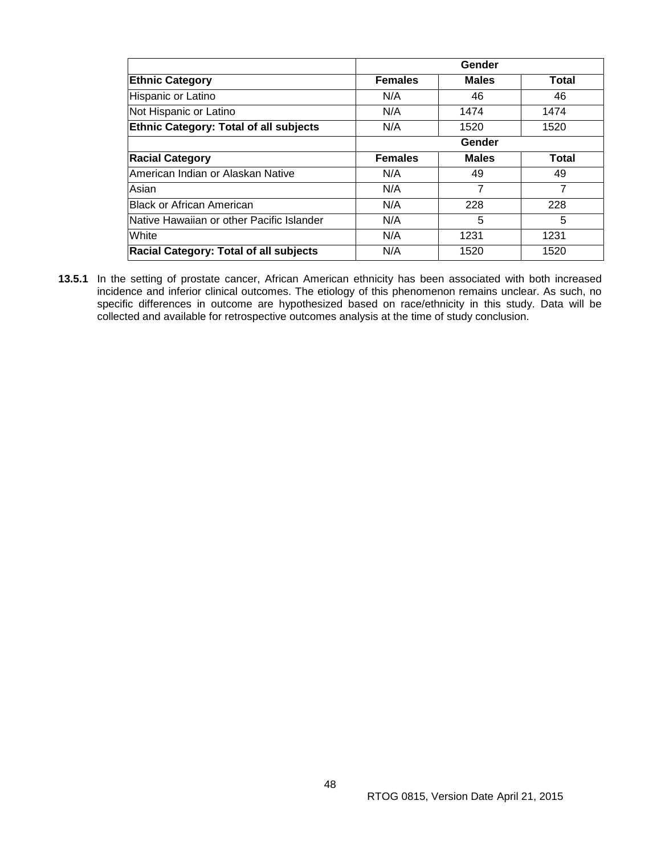|                                               |                | Gender       |              |
|-----------------------------------------------|----------------|--------------|--------------|
| <b>Ethnic Category</b>                        | <b>Females</b> | <b>Males</b> | <b>Total</b> |
| Hispanic or Latino                            | N/A            | 46           | 46           |
| Not Hispanic or Latino                        | N/A            | 1474         | 1474         |
| <b>Ethnic Category: Total of all subjects</b> | N/A            | 1520         | 1520         |
|                                               |                | Gender       |              |
| <b>Racial Category</b>                        | <b>Females</b> | <b>Males</b> | <b>Total</b> |
| American Indian or Alaskan Native             | N/A            | 49           | 49           |
| Asian                                         | N/A            | 7            | 7            |
| <b>IBlack or African American</b>             | N/A            | 228          | 228          |
| Native Hawaiian or other Pacific Islander     | N/A            | 5            | 5            |
| White                                         | N/A            | 1231         | 1231         |
| <b>Racial Category: Total of all subjects</b> | N/A            | 1520         | 1520         |

**13.5.1** In the setting of prostate cancer, African American ethnicity has been associated with both increased incidence and inferior clinical outcomes. The etiology of this phenomenon remains unclear. As such, no specific differences in outcome are hypothesized based on race/ethnicity in this study. Data will be collected and available for retrospective outcomes analysis at the time of study conclusion.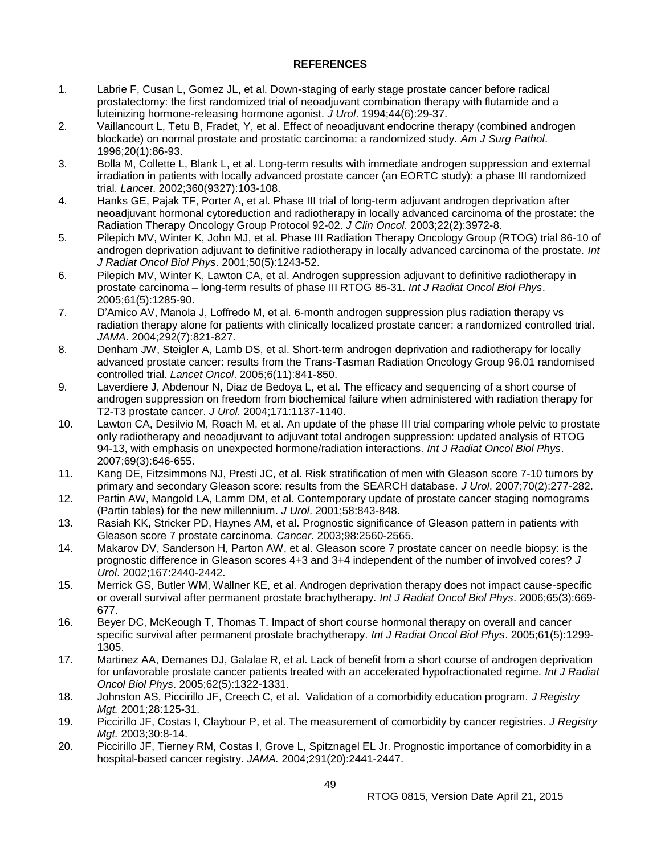## **REFERENCES**

- <span id="page-48-0"></span>1. Labrie F, Cusan L, Gomez JL, et al. Down-staging of early stage prostate cancer before radical prostatectomy: the first randomized trial of neoadjuvant combination therapy with flutamide and a luteinizing hormone-releasing hormone agonist. *J Urol*. 1994;44(6):29-37.
- 2. Vaillancourt L, Tetu B, Fradet, Y, et al. Effect of neoadjuvant endocrine therapy (combined androgen blockade) on normal prostate and prostatic carcinoma: a randomized study. *Am J Surg Pathol*. 1996;20(1):86-93.
- 3. Bolla M, Collette L, Blank L, et al. Long-term results with immediate androgen suppression and external irradiation in patients with locally advanced prostate cancer (an EORTC study): a phase III randomized trial. *Lancet*. 2002;360(9327):103-108.
- 4. Hanks GE, Pajak TF, Porter A, et al. Phase III trial of long-term adjuvant androgen deprivation after neoadjuvant hormonal cytoreduction and radiotherapy in locally advanced carcinoma of the prostate: the Radiation Therapy Oncology Group Protocol 92-02. *J Clin Oncol*. 2003;22(2):3972-8.
- 5. Pilepich MV, Winter K, John MJ, et al. Phase III Radiation Therapy Oncology Group (RTOG) trial 86-10 of androgen deprivation adjuvant to definitive radiotherapy in locally advanced carcinoma of the prostate. *Int J Radiat Oncol Biol Phys*. 2001;50(5):1243-52.
- 6. Pilepich MV, Winter K, Lawton CA, et al. Androgen suppression adjuvant to definitive radiotherapy in prostate carcinoma – long-term results of phase III RTOG 85-31. *Int J Radiat Oncol Biol Phys*. 2005;61(5):1285-90.
- 7. D'Amico AV, Manola J, Loffredo M, et al. 6-month androgen suppression plus radiation therapy vs radiation therapy alone for patients with clinically localized prostate cancer: a randomized controlled trial. *JAMA*. 2004;292(7):821-827.
- 8. Denham JW, Steigler A, Lamb DS, et al. Short-term androgen deprivation and radiotherapy for locally advanced prostate cancer: results from the Trans-Tasman Radiation Oncology Group 96.01 randomised controlled trial. *Lancet Oncol*. 2005;6(11):841-850.
- 9. Laverdiere J, Abdenour N, Diaz de Bedoya L, et al. The efficacy and sequencing of a short course of androgen suppression on freedom from biochemical failure when administered with radiation therapy for T2-T3 prostate cancer. *J Urol*. 2004;171:1137-1140.
- 10. Lawton CA, Desilvio M, Roach M, et al. An update of the phase III trial comparing whole pelvic to prostate only radiotherapy and neoadjuvant to adjuvant total androgen suppression: updated analysis of RTOG 94-13, with emphasis on unexpected hormone/radiation interactions. *Int J Radiat Oncol Biol Phys*. 2007;69(3):646-655.
- 11. Kang DE, Fitzsimmons NJ, Presti JC, et al. Risk stratification of men with Gleason score 7-10 tumors by primary and secondary Gleason score: results from the SEARCH database. *J Urol*. 2007;70(2):277-282.
- 12. Partin AW, Mangold LA, Lamm DM, et al. Contemporary update of prostate cancer staging nomograms (Partin tables) for the new millennium. *J Urol*. 2001;58:843-848.
- 13. Rasiah KK, Stricker PD, Haynes AM, et al. Prognostic significance of Gleason pattern in patients with Gleason score 7 prostate carcinoma. *Cancer*. 2003;98:2560-2565.
- 14. Makarov DV, Sanderson H, Parton AW, et al. Gleason score 7 prostate cancer on needle biopsy: is the prognostic difference in Gleason scores 4+3 and 3+4 independent of the number of involved cores? *J Urol*. 2002;167:2440-2442.
- 15. Merrick GS, Butler WM, Wallner KE, et al. Androgen deprivation therapy does not impact cause-specific or overall survival after permanent prostate brachytherapy. *Int J Radiat Oncol Biol Phys*. 2006;65(3):669- 677.
- 16. Beyer DC, McKeough T, Thomas T. Impact of short course hormonal therapy on overall and cancer specific survival after permanent prostate brachytherapy. *Int J Radiat Oncol Biol Phys*. 2005;61(5):1299- 1305.
- 17. Martinez AA, Demanes DJ, Galalae R, et al. Lack of benefit from a short course of androgen deprivation for unfavorable prostate cancer patients treated with an accelerated hypofractionated regime. *Int J Radiat Oncol Biol Phys*. 2005;62(5):1322-1331.
- 18. Johnston AS, Piccirillo JF, Creech C, et al. Validation of a comorbidity education program. *J Registry Mgt.* 2001;28:125-31.
- 19. Piccirillo JF, Costas I, Claybour P, et al. The measurement of comorbidity by cancer registries. *J Registry Mgt.* 2003;30:8-14.
- 20. Piccirillo JF, Tierney RM, Costas I, Grove L, Spitznagel EL Jr. Prognostic importance of comorbidity in a hospital-based cancer registry. *JAMA.* 2004;291(20):2441-2447.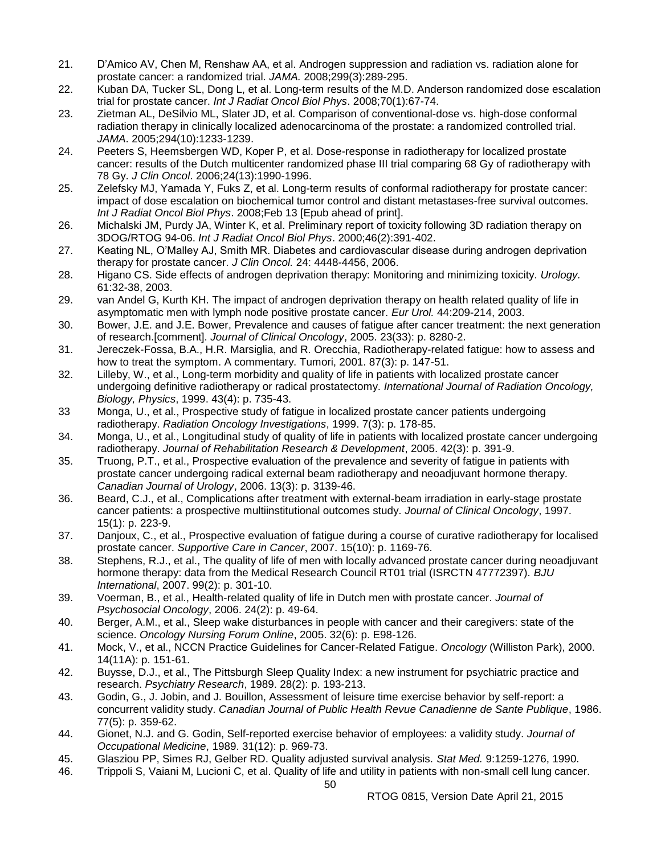- 21. D'Amico AV, Chen M, Renshaw AA, et al. Androgen suppression and radiation vs. radiation alone for prostate cancer: a randomized trial. *JAMA.* 2008;299(3):289-295.
- 22. Kuban DA, Tucker SL, Dong L, et al. Long-term results of the M.D. Anderson randomized dose escalation trial for prostate cancer. *Int J Radiat Oncol Biol Phys*. 2008;70(1):67-74.
- 23. Zietman AL, DeSilvio ML, Slater JD, et al. Comparison of conventional-dose vs. high-dose conformal radiation therapy in clinically localized adenocarcinoma of the prostate: a randomized controlled trial. *JAMA*. 2005;294(10):1233-1239.
- 24. Peeters S, Heemsbergen WD, Koper P, et al. Dose-response in radiotherapy for localized prostate cancer: results of the Dutch multicenter randomized phase III trial comparing 68 Gy of radiotherapy with 78 Gy. *J Clin Oncol*. 2006;24(13):1990-1996.
- 25. Zelefsky MJ, Yamada Y, Fuks Z, et al. Long-term results of conformal radiotherapy for prostate cancer: impact of dose escalation on biochemical tumor control and distant metastases-free survival outcomes. *Int J Radiat Oncol Biol Phys*. 2008;Feb 13 [Epub ahead of print].
- 26. Michalski JM, Purdy JA, Winter K, et al. Preliminary report of toxicity following 3D radiation therapy on 3DOG/RTOG 94-06. *Int J Radiat Oncol Biol Phys*. 2000;46(2):391-402.
- 27. Keating NL, O'Malley AJ, Smith MR. Diabetes and cardiovascular disease during androgen deprivation therapy for prostate cancer. *J Clin Oncol.* 24: 4448-4456, 2006.
- 28. Higano CS. Side effects of androgen deprivation therapy: Monitoring and minimizing toxicity. *Urology.* 61:32-38, 2003.
- 29. van Andel G, Kurth KH. The impact of androgen deprivation therapy on health related quality of life in asymptomatic men with lymph node positive prostate cancer. *Eur Urol.* 44:209-214, 2003.
- 30. Bower, J.E. and J.E. Bower, Prevalence and causes of fatigue after cancer treatment: the next generation of research.[comment]. *Journal of Clinical Oncology*, 2005. 23(33): p. 8280-2.
- 31. Jereczek-Fossa, B.A., H.R. Marsiglia, and R. Orecchia, Radiotherapy-related fatigue: how to assess and how to treat the symptom. A commentary. Tumori, 2001. 87(3): p. 147-51.
- 32. Lilleby, W., et al., Long-term morbidity and quality of life in patients with localized prostate cancer undergoing definitive radiotherapy or radical prostatectomy. *International Journal of Radiation Oncology, Biology, Physics*, 1999. 43(4): p. 735-43.
- 33 Monga, U., et al., Prospective study of fatigue in localized prostate cancer patients undergoing radiotherapy. *Radiation Oncology Investigations*, 1999. 7(3): p. 178-85.
- 34. Monga, U., et al., Longitudinal study of quality of life in patients with localized prostate cancer undergoing radiotherapy. *Journal of Rehabilitation Research & Development*, 2005. 42(3): p. 391-9.
- 35. Truong, P.T., et al., Prospective evaluation of the prevalence and severity of fatigue in patients with prostate cancer undergoing radical external beam radiotherapy and neoadjuvant hormone therapy. *Canadian Journal of Urology*, 2006. 13(3): p. 3139-46.
- 36. Beard, C.J., et al., Complications after treatment with external-beam irradiation in early-stage prostate cancer patients: a prospective multiinstitutional outcomes study. *Journal of Clinical Oncology*, 1997. 15(1): p. 223-9.
- 37. Danjoux, C., et al., Prospective evaluation of fatigue during a course of curative radiotherapy for localised prostate cancer. *Supportive Care in Cancer*, 2007. 15(10): p. 1169-76.
- 38. Stephens, R.J., et al., The quality of life of men with locally advanced prostate cancer during neoadjuvant hormone therapy: data from the Medical Research Council RT01 trial (ISRCTN 47772397). *BJU International*, 2007. 99(2): p. 301-10.
- 39. Voerman, B., et al., Health-related quality of life in Dutch men with prostate cancer. *Journal of Psychosocial Oncology*, 2006. 24(2): p. 49-64.
- 40. Berger, A.M., et al., Sleep wake disturbances in people with cancer and their caregivers: state of the science. *Oncology Nursing Forum Online*, 2005. 32(6): p. E98-126.
- 41. Mock, V., et al., NCCN Practice Guidelines for Cancer-Related Fatigue. *Oncology* (Williston Park), 2000. 14(11A): p. 151-61.
- 42. Buysse, D.J., et al., The Pittsburgh Sleep Quality Index: a new instrument for psychiatric practice and research. *Psychiatry Research*, 1989. 28(2): p. 193-213.
- 43. Godin, G., J. Jobin, and J. Bouillon, Assessment of leisure time exercise behavior by self-report: a concurrent validity study. *Canadian Journal of Public Health Revue Canadienne de Sante Publique*, 1986. 77(5): p. 359-62.
- 44. Gionet, N.J. and G. Godin, Self-reported exercise behavior of employees: a validity study. *Journal of Occupational Medicine*, 1989. 31(12): p. 969-73.
- 45. Glasziou PP, Simes RJ, Gelber RD. Quality adjusted survival analysis. *Stat Med.* 9:1259-1276, 1990.
- 46. Trippoli S, Vaiani M, Lucioni C, et al. Quality of life and utility in patients with non-small cell lung cancer.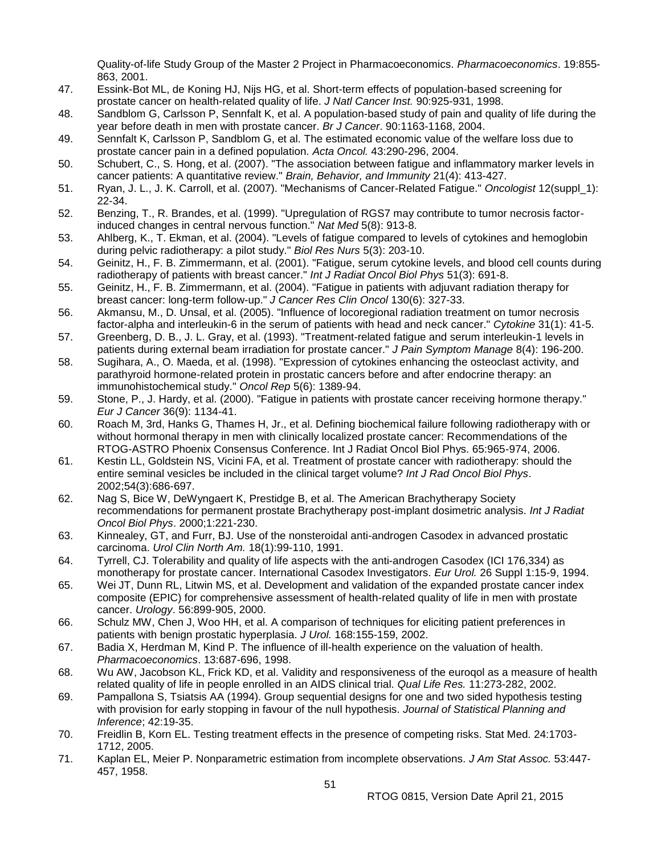Quality-of-life Study Group of the Master 2 Project in Pharmacoeconomics. *Pharmacoeconomics*. 19:855- 863, 2001.

- 47. Essink-Bot ML, de Koning HJ, Nijs HG, et al. Short-term effects of population-based screening for prostate cancer on health-related quality of life. *J Natl Cancer Inst.* 90:925-931, 1998.
- 48. Sandblom G, Carlsson P, Sennfalt K, et al. A population-based study of pain and quality of life during the year before death in men with prostate cancer. *Br J Cancer*. 90:1163-1168, 2004.
- 49. Sennfalt K, Carlsson P, Sandblom G, et al. The estimated economic value of the welfare loss due to prostate cancer pain in a defined population. *Acta Oncol.* 43:290-296, 2004.
- 50. Schubert, C., S. Hong, et al. (2007). "The association between fatigue and inflammatory marker levels in cancer patients: A quantitative review." *Brain, Behavior, and Immunity* 21(4): 413-427.
- 51. Ryan, J. L., J. K. Carroll, et al. (2007). "Mechanisms of Cancer-Related Fatigue." *Oncologist* 12(suppl\_1): 22-34.
- 52. Benzing, T., R. Brandes, et al. (1999). "Upregulation of RGS7 may contribute to tumor necrosis factorinduced changes in central nervous function." *Nat Med* 5(8): 913-8.
- 53. Ahlberg, K., T. Ekman, et al. (2004). "Levels of fatigue compared to levels of cytokines and hemoglobin during pelvic radiotherapy: a pilot study." *Biol Res Nurs* 5(3): 203-10.
- 54. Geinitz, H., F. B. Zimmermann, et al. (2001). "Fatigue, serum cytokine levels, and blood cell counts during radiotherapy of patients with breast cancer." *Int J Radiat Oncol Biol Phys* 51(3): 691-8.
- 55. Geinitz, H., F. B. Zimmermann, et al. (2004). "Fatigue in patients with adjuvant radiation therapy for breast cancer: long-term follow-up." *J Cancer Res Clin Oncol* 130(6): 327-33.
- 56. Akmansu, M., D. Unsal, et al. (2005). "Influence of locoregional radiation treatment on tumor necrosis factor-alpha and interleukin-6 in the serum of patients with head and neck cancer." *Cytokine* 31(1): 41-5.
- 57. Greenberg, D. B., J. L. Gray, et al. (1993). "Treatment-related fatigue and serum interleukin-1 levels in patients during external beam irradiation for prostate cancer." *J Pain Symptom Manage* 8(4): 196-200.
- 58. Sugihara, A., O. Maeda, et al. (1998). "Expression of cytokines enhancing the osteoclast activity, and parathyroid hormone-related protein in prostatic cancers before and after endocrine therapy: an immunohistochemical study." *Oncol Rep* 5(6): 1389-94.
- 59. Stone, P., J. Hardy, et al. (2000). "Fatigue in patients with prostate cancer receiving hormone therapy." *Eur J Cancer* 36(9): 1134-41.
- 60. Roach M, 3rd, Hanks G, Thames H, Jr., et al. Defining biochemical failure following radiotherapy with or without hormonal therapy in men with clinically localized prostate cancer: Recommendations of the RTOG-ASTRO Phoenix Consensus Conference. Int J Radiat Oncol Biol Phys. 65:965-974, 2006.
- 61. Kestin LL, Goldstein NS, Vicini FA, et al. Treatment of prostate cancer with radiotherapy: should the entire seminal vesicles be included in the clinical target volume? *Int J Rad Oncol Biol Phys*. 2002;54(3):686-697.
- 62. Nag S, Bice W, DeWyngaert K, Prestidge B, et al. The American Brachytherapy Society recommendations for permanent prostate Brachytherapy post-implant dosimetric analysis. *Int J Radiat Oncol Biol Phys*. 2000;1:221-230.
- 63. Kinnealey, GT, and Furr, BJ. Use of the nonsteroidal anti-androgen Casodex in advanced prostatic carcinoma. *Urol Clin North Am.* 18(1):99-110, 1991.
- 64. Tyrrell, CJ. Tolerability and quality of life aspects with the anti-androgen Casodex (ICI 176,334) as monotherapy for prostate cancer. International Casodex Investigators. *Eur Urol.* 26 Suppl 1:15-9, 1994.
- 65. Wei JT, Dunn RL, Litwin MS, et al. Development and validation of the expanded prostate cancer index composite (EPIC) for comprehensive assessment of health-related quality of life in men with prostate cancer. *Urology*. 56:899-905, 2000.
- 66. Schulz MW, Chen J, Woo HH, et al. A comparison of techniques for eliciting patient preferences in patients with benign prostatic hyperplasia. *J Urol.* 168:155-159, 2002.
- 67. Badia X, Herdman M, Kind P. The influence of ill-health experience on the valuation of health. *Pharmacoeconomics*. 13:687-696, 1998.
- 68. Wu AW, Jacobson KL, Frick KD, et al. Validity and responsiveness of the euroqol as a measure of health related quality of life in people enrolled in an AIDS clinical trial. *Qual Life Res.* 11:273-282, 2002.
- 69. Pampallona S, Tsiatsis AA (1994). Group sequential designs for one and two sided hypothesis testing with provision for early stopping in favour of the null hypothesis. *Journal of Statistical Planning and Inference*; 42:19-35.
- 70. Freidlin B, Korn EL. Testing treatment effects in the presence of competing risks. Stat Med. 24:1703- 1712, 2005.
- 71. Kaplan EL, Meier P. Nonparametric estimation from incomplete observations. *J Am Stat Assoc.* 53:447- 457, 1958.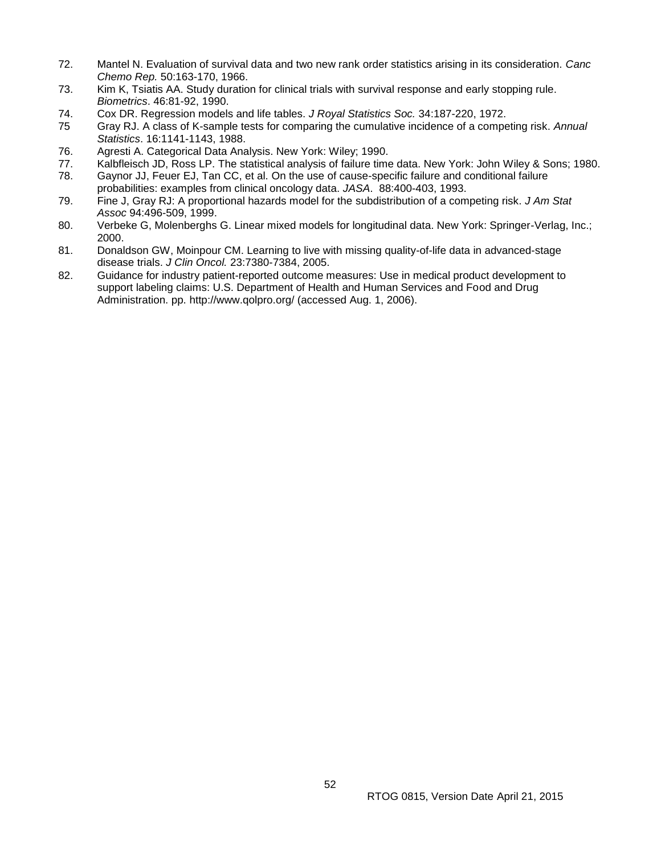- 72. Mantel N. Evaluation of survival data and two new rank order statistics arising in its consideration. *Canc Chemo Rep.* 50:163-170, 1966.
- 73. Kim K, Tsiatis AA. Study duration for clinical trials with survival response and early stopping rule. *Biometrics*. 46:81-92, 1990.
- 74. Cox DR. Regression models and life tables. *J Royal Statistics Soc.* 34:187-220, 1972.
- 75 Gray RJ. A class of K-sample tests for comparing the cumulative incidence of a competing risk. *Annual Statistics*. 16:1141-1143, 1988.
- 76. Agresti A. Categorical Data Analysis. New York: Wiley; 1990.
- 77. Kalbfleisch JD, Ross LP. The statistical analysis of failure time data. New York: John Wiley & Sons; 1980.
- 78. Gaynor JJ, Feuer EJ, Tan CC, et al. On the use of cause-specific failure and conditional failure probabilities: examples from clinical oncology data. *JASA*. 88:400-403, 1993.
- 79. Fine J, Gray RJ: A proportional hazards model for the subdistribution of a competing risk. *J Am Stat Assoc* 94:496-509, 1999.
- 80. Verbeke G, Molenberghs G. Linear mixed models for longitudinal data. New York: Springer-Verlag, Inc.; 2000.
- 81. Donaldson GW, Moinpour CM. Learning to live with missing quality-of-life data in advanced-stage disease trials. *J Clin Oncol.* 23:7380-7384, 2005.
- 82. Guidance for industry patient-reported outcome measures: Use in medical product development to support labeling claims: U.S. Department of Health and Human Services and Food and Drug Administration. pp. http://www.qolpro.org/ (accessed Aug. 1, 2006).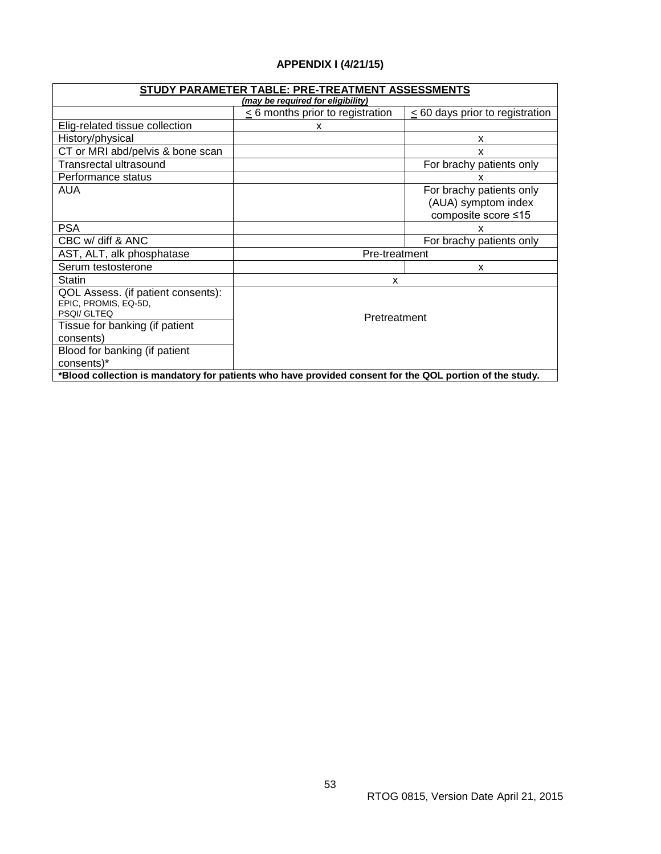# **APPENDIX I (4/21/15)**

<span id="page-52-0"></span>

| STUDY PARAMETER TABLE: PRE-TREATMENT ASSESSMENTS                                                        |                                  |                                                                        |  |  |
|---------------------------------------------------------------------------------------------------------|----------------------------------|------------------------------------------------------------------------|--|--|
| (may be required for eligibility)                                                                       |                                  |                                                                        |  |  |
|                                                                                                         | < 6 months prior to registration | < 60 days prior to registration                                        |  |  |
| Elig-related tissue collection                                                                          | x                                |                                                                        |  |  |
| History/physical                                                                                        |                                  | x                                                                      |  |  |
| CT or MRI abd/pelvis & bone scan                                                                        |                                  | X                                                                      |  |  |
| Transrectal ultrasound                                                                                  |                                  | For brachy patients only                                               |  |  |
| Performance status                                                                                      |                                  | x                                                                      |  |  |
| AUA                                                                                                     |                                  | For brachy patients only<br>(AUA) symptom index<br>composite score ≤15 |  |  |
| <b>PSA</b>                                                                                              |                                  | x                                                                      |  |  |
| CBC w/ diff & ANC                                                                                       |                                  | For brachy patients only                                               |  |  |
| AST, ALT, alk phosphatase                                                                               | Pre-treatment                    |                                                                        |  |  |
| Serum testosterone                                                                                      |                                  | X                                                                      |  |  |
| <b>Statin</b>                                                                                           | X                                |                                                                        |  |  |
| QOL Assess. (if patient consents):<br>EPIC, PROMIS, EQ-5D,<br>PSOI/ GLTEO                               | Pretreatment                     |                                                                        |  |  |
| Tissue for banking (if patient                                                                          |                                  |                                                                        |  |  |
| consents)                                                                                               |                                  |                                                                        |  |  |
| Blood for banking (if patient                                                                           |                                  |                                                                        |  |  |
| consents)*                                                                                              |                                  |                                                                        |  |  |
| *Blood collection is mandatory for patients who have provided consent for the QOL portion of the study. |                                  |                                                                        |  |  |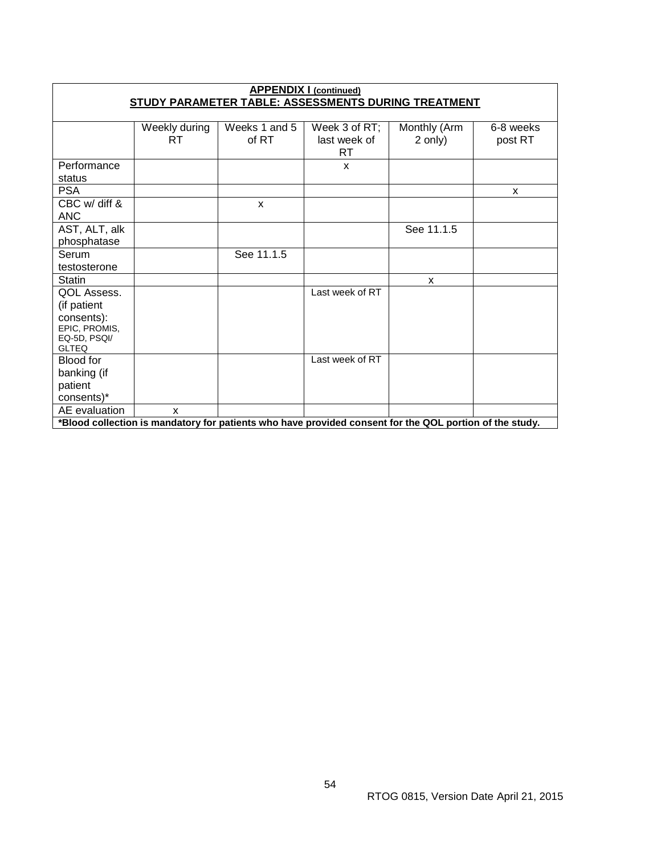| <b>APPENDIX I (continued)</b><br>STUDY PARAMETER TABLE: ASSESSMENTS DURING TREATMENT                    |                     |                        |                                      |                         |                      |  |  |
|---------------------------------------------------------------------------------------------------------|---------------------|------------------------|--------------------------------------|-------------------------|----------------------|--|--|
|                                                                                                         |                     |                        |                                      |                         |                      |  |  |
|                                                                                                         | Weekly during<br>RT | Weeks 1 and 5<br>of RT | Week 3 of RT;<br>last week of<br>RT. | Monthly (Arm<br>2 only) | 6-8 weeks<br>post RT |  |  |
| Performance<br>status                                                                                   |                     |                        | X                                    |                         |                      |  |  |
| <b>PSA</b>                                                                                              |                     |                        |                                      |                         | X                    |  |  |
| CBC w/ diff &<br><b>ANC</b>                                                                             |                     | X                      |                                      |                         |                      |  |  |
| AST, ALT, alk<br>phosphatase                                                                            |                     |                        |                                      | See 11.1.5              |                      |  |  |
| Serum<br>testosterone                                                                                   |                     | See 11.1.5             |                                      |                         |                      |  |  |
| <b>Statin</b>                                                                                           |                     |                        |                                      | X                       |                      |  |  |
| QOL Assess.<br>(if patient<br>consents):<br>EPIC, PROMIS,<br>EQ-5D, PSQI/<br><b>GLTEQ</b>               |                     |                        | Last week of RT                      |                         |                      |  |  |
| Blood for<br>banking (if<br>patient<br>consents)*                                                       |                     |                        | Last week of RT                      |                         |                      |  |  |
| AE evaluation                                                                                           | X                   |                        |                                      |                         |                      |  |  |
| *Blood collection is mandatory for patients who have provided consent for the QOL portion of the study. |                     |                        |                                      |                         |                      |  |  |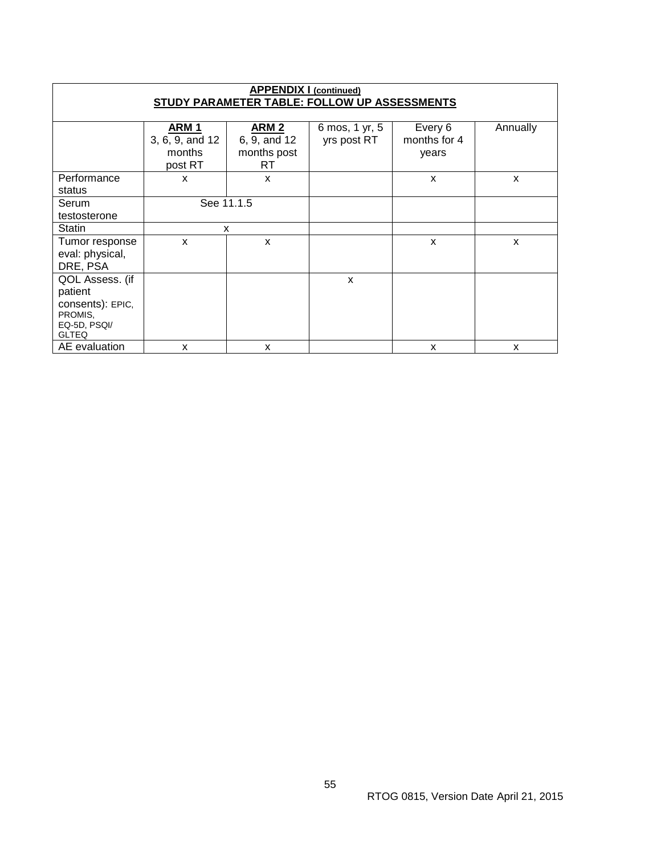| <b>APPENDIX I (continued)</b><br>STUDY PARAMETER TABLE: FOLLOW UP ASSESSMENTS |                                                          |                                                       |                               |                                  |          |  |  |  |
|-------------------------------------------------------------------------------|----------------------------------------------------------|-------------------------------------------------------|-------------------------------|----------------------------------|----------|--|--|--|
|                                                                               |                                                          |                                                       |                               |                                  |          |  |  |  |
|                                                                               | ARM <sub>1</sub><br>3, 6, 9, and 12<br>months<br>post RT | ARM <sub>2</sub><br>6, 9, and 12<br>months post<br>RT | 6 mos, 1 yr, 5<br>yrs post RT | Every 6<br>months for 4<br>years | Annually |  |  |  |
| Performance                                                                   | X                                                        | X                                                     |                               | X                                | X        |  |  |  |
| status                                                                        |                                                          |                                                       |                               |                                  |          |  |  |  |
| Serum                                                                         | See 11.1.5                                               |                                                       |                               |                                  |          |  |  |  |
| testosterone                                                                  |                                                          |                                                       |                               |                                  |          |  |  |  |
| <b>Statin</b>                                                                 | X                                                        |                                                       |                               |                                  |          |  |  |  |
| Tumor response<br>eval: physical,<br>DRE, PSA                                 | X                                                        | X                                                     |                               | X                                | X        |  |  |  |
| QOL Assess. (if                                                               |                                                          |                                                       | X                             |                                  |          |  |  |  |
| patient                                                                       |                                                          |                                                       |                               |                                  |          |  |  |  |
| consents): EPIC,<br>PROMIS,<br>EQ-5D, PSQI/<br><b>GLTEQ</b>                   |                                                          |                                                       |                               |                                  |          |  |  |  |
| AE evaluation                                                                 | X                                                        | X                                                     |                               | X                                | X        |  |  |  |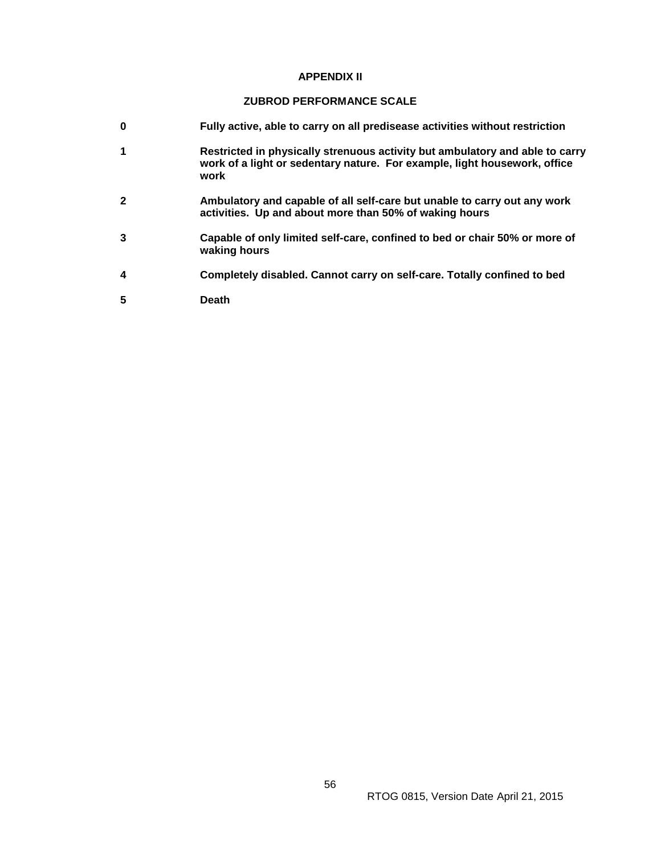#### **APPENDIX II**

## **ZUBROD PERFORMANCE SCALE**

- <span id="page-55-0"></span>**0 Fully active, able to carry on all predisease activities without restriction**
- **1 Restricted in physically strenuous activity but ambulatory and able to carry work of a light or sedentary nature. For example, light housework, office work**
- **2 Ambulatory and capable of all self-care but unable to carry out any work activities. Up and about more than 50% of waking hours**
- **3 Capable of only limited self-care, confined to bed or chair 50% or more of waking hours**
- **4 Completely disabled. Cannot carry on self-care. Totally confined to bed**
- **5 Death**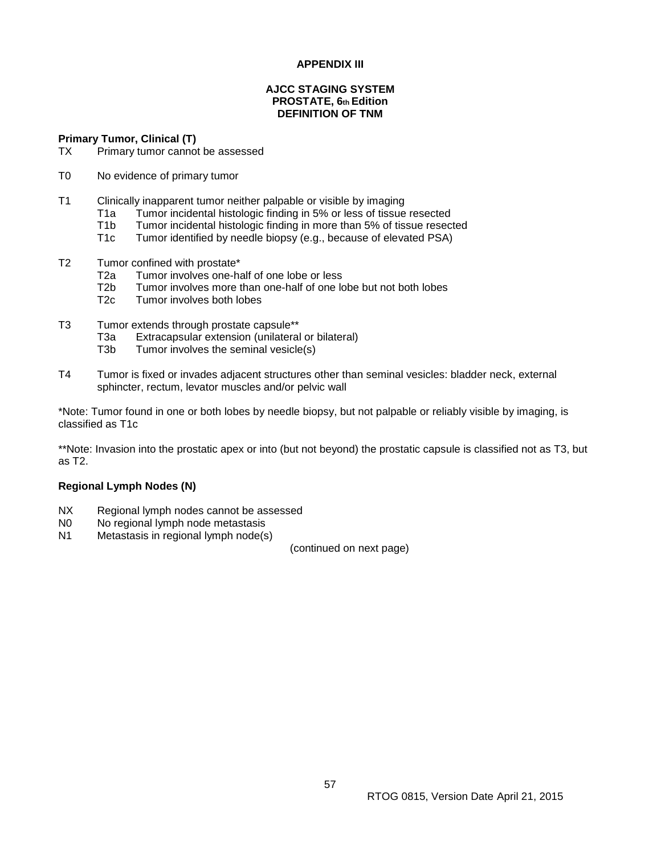## **APPENDIX III**

## **AJCC STAGING SYSTEM PROSTATE, 6th Edition DEFINITION OF TNM**

<span id="page-56-0"></span>**Primary Tumor, Clinical (T)**

- TX Primary tumor cannot be assessed
- T0 No evidence of primary tumor
- T1 Clinically inapparent tumor neither palpable or visible by imaging
	- T1a Tumor incidental histologic finding in 5% or less of tissue resected
	- T1b Tumor incidental histologic finding in more than 5% of tissue resected<br>T1c Tumor identified by needle biopsy (e.g., because of elevated PSA)
	- Tumor identified by needle biopsy (e.g., because of elevated PSA)
- T2 Tumor confined with prostate\*
	- T2a Tumor involves one-half of one lobe or less
	- T2b Tumor involves more than one-half of one lobe but not both lobes
	- T2c Tumor involves both lobes
- T3 Tumor extends through prostate capsule\*\*
	- T3a Extracapsular extension (unilateral or bilateral)<br>T3b Tumor involves the seminal vesicle(s)
	- Tumor involves the seminal vesicle(s)
- T4 Tumor is fixed or invades adjacent structures other than seminal vesicles: bladder neck, external sphincter, rectum, levator muscles and/or pelvic wall

\*Note: Tumor found in one or both lobes by needle biopsy, but not palpable or reliably visible by imaging, is classified as T1c

\*\*Note: Invasion into the prostatic apex or into (but not beyond) the prostatic capsule is classified not as T3, but as T2.

#### **Regional Lymph Nodes (N)**

- NX Regional lymph nodes cannot be assessed
- N<sub>0</sub> No regional lymph node metastasis
- N1 Metastasis in regional lymph node(s)

(continued on next page)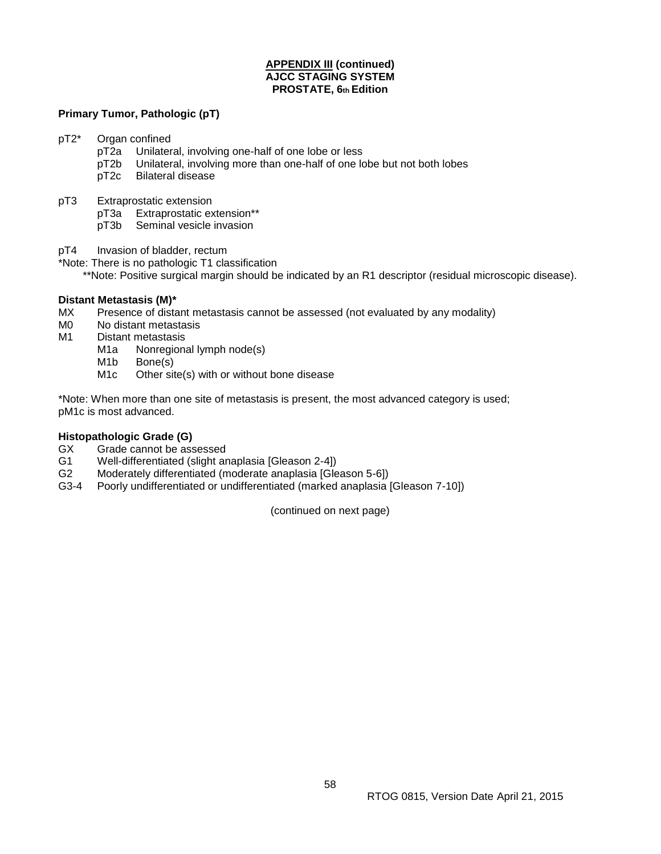## **APPENDIX III (continued) AJCC STAGING SYSTEM PROSTATE, 6th Edition**

## **Primary Tumor, Pathologic (pT)**

pT2\* Organ confined

- pT2a Unilateral, involving one-half of one lobe or less
- pT2b Unilateral, involving more than one-half of one lobe but not both lobes
- pT2c Bilateral disease
- pT3 Extraprostatic extension
	- pT3a Extraprostatic extension\*\*
	- pT3b Seminal vesicle invasion
- pT4 Invasion of bladder, rectum

\*Note: There is no pathologic T1 classification

\*\*Note: Positive surgical margin should be indicated by an R1 descriptor (residual microscopic disease).

## **Distant Metastasis (M)\***

- MX Presence of distant metastasis cannot be assessed (not evaluated by any modality)
- M0 No distant metastasis
- M1 Distant metastasis
	- M1a Nonregional lymph node(s)
	- M<sub>1</sub>b Bone(s)
	- M1c Other site(s) with or without bone disease

\*Note: When more than one site of metastasis is present, the most advanced category is used; pM1c is most advanced.

#### **Histopathologic Grade (G)**

- GX Grade cannot be assessed
- G1 Well-differentiated (slight anaplasia [Gleason 2-4])
- G2 Moderately differentiated (moderate anaplasia [Gleason 5-6])
- G3-4 Poorly undifferentiated or undifferentiated (marked anaplasia [Gleason 7-10])

(continued on next page)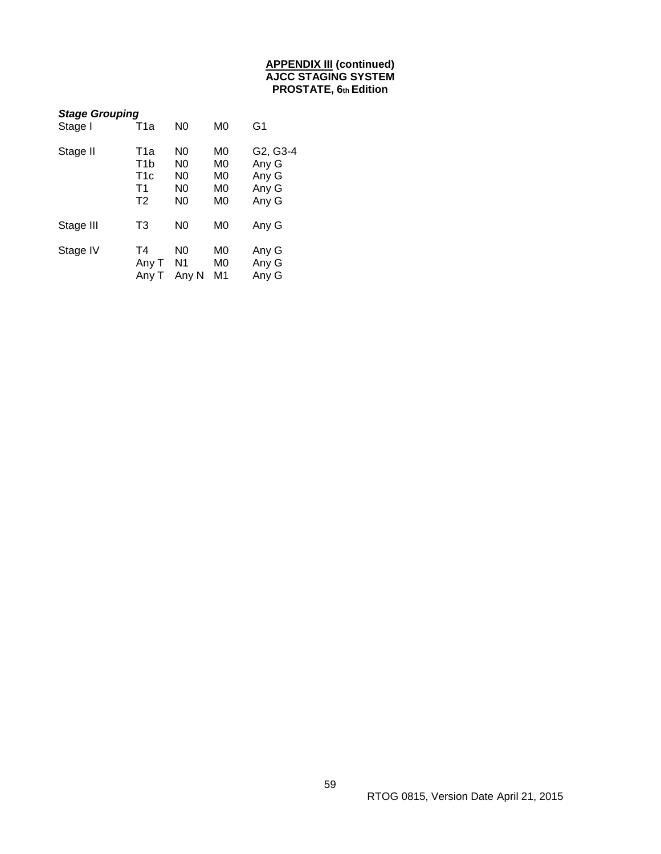## **APPENDIX III (continued) AJCC STAGING SYSTEM PROSTATE, 6th Edition**

<span id="page-58-0"></span>

| <b>Stage Grouping</b> |                                                                    |                                                                            |                            |                                              |  |  |  |
|-----------------------|--------------------------------------------------------------------|----------------------------------------------------------------------------|----------------------------|----------------------------------------------|--|--|--|
| Stage I               | T1a                                                                | N <sub>0</sub>                                                             | M0                         | G1                                           |  |  |  |
| Stage II              | T1a<br>T1b<br>T <sub>1</sub> c<br>T <sub>1</sub><br>T <sub>2</sub> | N <sub>0</sub><br>N0<br>N <sub>0</sub><br>N <sub>0</sub><br>N <sub>0</sub> | M0<br>M0<br>M0<br>M0<br>M0 | G2, G3-4<br>Any G<br>Any G<br>Any G<br>Any G |  |  |  |
| Stage III             | T3                                                                 | N <sub>0</sub>                                                             | M0                         | Any G                                        |  |  |  |
| Stage IV              | Τ4<br>Any T<br>Any T                                               | N <sub>0</sub><br>N <sub>1</sub><br>Any N                                  | M0<br>M0<br>M1             | Any G<br>Any G<br>Any G                      |  |  |  |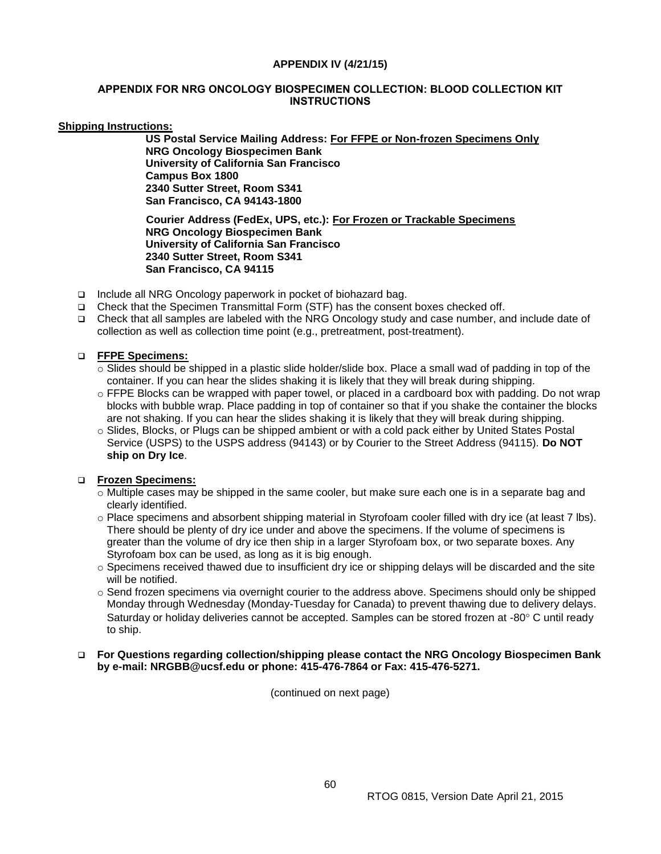#### **APPENDIX IV (4/21/15)**

## <span id="page-59-0"></span>**APPENDIX FOR NRG ONCOLOGY BIOSPECIMEN COLLECTION: BLOOD COLLECTION KIT INSTRUCTIONS**

## **Shipping Instructions:**

**US Postal Service Mailing Address: For FFPE or Non-frozen Specimens Only NRG Oncology Biospecimen Bank University of California San Francisco Campus Box 1800 2340 Sutter Street, Room S341 San Francisco, CA 94143-1800**

**Courier Address (FedEx, UPS, etc.): For Frozen or Trackable Specimens NRG Oncology Biospecimen Bank University of California San Francisco 2340 Sutter Street, Room S341 San Francisco, CA 94115**

- □ Include all NRG Oncology paperwork in pocket of biohazard bag.
- Check that the Specimen Transmittal Form (STF) has the consent boxes checked off.
- Check that all samples are labeled with the NRG Oncology study and case number, and include date of collection as well as collection time point (e.g., pretreatment, post-treatment).

## **FFPE Specimens:**

- $\circ$  Slides should be shipped in a plastic slide holder/slide box. Place a small wad of padding in top of the container. If you can hear the slides shaking it is likely that they will break during shipping.
- o FFPE Blocks can be wrapped with paper towel, or placed in a cardboard box with padding. Do not wrap blocks with bubble wrap. Place padding in top of container so that if you shake the container the blocks are not shaking. If you can hear the slides shaking it is likely that they will break during shipping.
- o Slides, Blocks, or Plugs can be shipped ambient or with a cold pack either by United States Postal Service (USPS) to the USPS address (94143) or by Courier to the Street Address (94115). **Do NOT ship on Dry Ice**.

## **Frozen Specimens:**

- o Multiple cases may be shipped in the same cooler, but make sure each one is in a separate bag and clearly identified.
- o Place specimens and absorbent shipping material in Styrofoam cooler filled with dry ice (at least 7 lbs). There should be plenty of dry ice under and above the specimens. If the volume of specimens is greater than the volume of dry ice then ship in a larger Styrofoam box, or two separate boxes. Any Styrofoam box can be used, as long as it is big enough.
- $\circ$  Specimens received thawed due to insufficient dry ice or shipping delays will be discarded and the site will be notified.
- $\circ$  Send frozen specimens via overnight courier to the address above. Specimens should only be shipped Monday through Wednesday (Monday-Tuesday for Canada) to prevent thawing due to delivery delays. Saturday or holiday deliveries cannot be accepted. Samples can be stored frozen at -80 $^{\circ}$  C until ready to ship.

#### **For Questions regarding collection/shipping please contact the NRG Oncology Biospecimen Bank by e-mail: NRGBB@ucsf.edu or phone: 415-476-7864 or Fax: 415-476-5271.**

(continued on next page)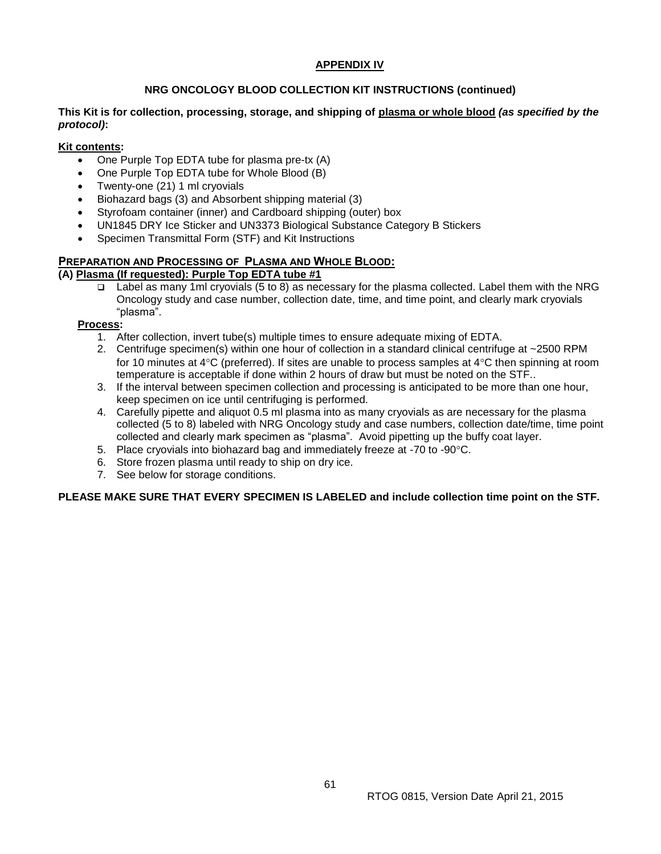## **APPENDIX IV**

## **NRG ONCOLOGY BLOOD COLLECTION KIT INSTRUCTIONS (continued)**

## **This Kit is for collection, processing, storage, and shipping of plasma or whole blood** *(as specified by the protocol)***:**

## **Kit contents:**

- One Purple Top EDTA tube for plasma pre-tx (A)
- One Purple Top EDTA tube for Whole Blood (B)
- Twenty-one (21) 1 ml cryovials
- Biohazard bags (3) and Absorbent shipping material (3)
- Styrofoam container (inner) and Cardboard shipping (outer) box
- UN1845 DRY Ice Sticker and UN3373 Biological Substance Category B Stickers
- Specimen Transmittal Form (STF) and Kit Instructions

# **PREPARATION AND PROCESSING OF PLASMA AND WHOLE BLOOD:**

## **(A) Plasma (If requested): Purple Top EDTA tube #1**

Label as many 1ml cryovials (5 to 8) as necessary for the plasma collected. Label them with the NRG Oncology study and case number, collection date, time, and time point, and clearly mark cryovials "plasma".

## **Process:**

- 1. After collection, invert tube(s) multiple times to ensure adequate mixing of EDTA.
- 2. Centrifuge specimen(s) within one hour of collection in a standard clinical centrifuge at ~2500 RPM for 10 minutes at 4 $\rm{°C}$  (preferred). If sites are unable to process samples at 4 $\rm{°C}$  then spinning at room temperature is acceptable if done within 2 hours of draw but must be noted on the STF..
- 3. If the interval between specimen collection and processing is anticipated to be more than one hour, keep specimen on ice until centrifuging is performed.
- 4. Carefully pipette and aliquot 0.5 ml plasma into as many cryovials as are necessary for the plasma collected (5 to 8) labeled with NRG Oncology study and case numbers, collection date/time, time point collected and clearly mark specimen as "plasma". Avoid pipetting up the buffy coat layer.
- 5. Place cryovials into biohazard bag and immediately freeze at -70 to -90°C.
- 6. Store frozen plasma until ready to ship on dry ice.
- 7. See below for storage conditions.

## **PLEASE MAKE SURE THAT EVERY SPECIMEN IS LABELED and include collection time point on the STF.**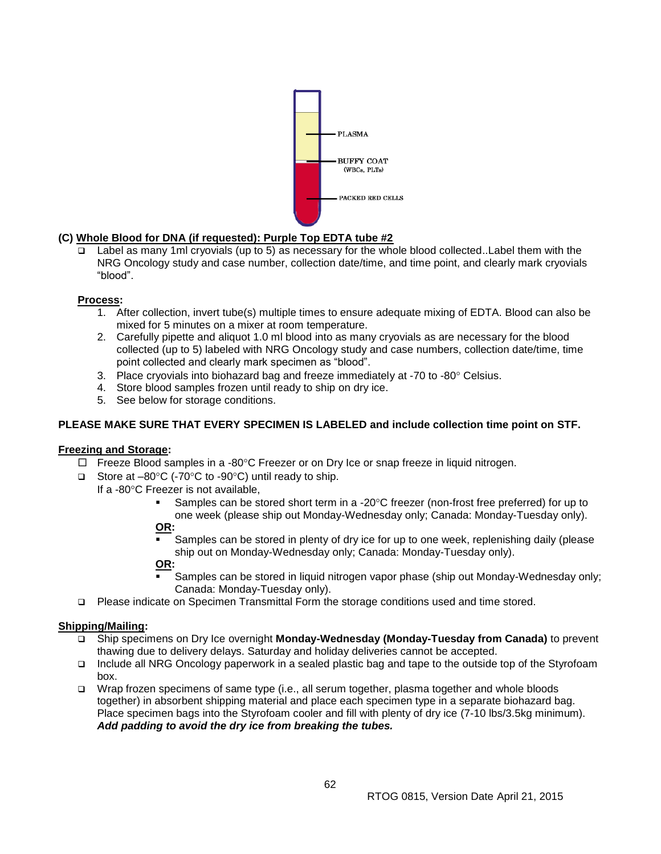

# **(C) Whole Blood for DNA (if requested): Purple Top EDTA tube #2**

 Label as many 1ml cryovials (up to 5) as necessary for the whole blood collected..Label them with the NRG Oncology study and case number, collection date/time, and time point, and clearly mark cryovials "blood".

## **Process:**

- 1. After collection, invert tube(s) multiple times to ensure adequate mixing of EDTA. Blood can also be mixed for 5 minutes on a mixer at room temperature.
- 2. Carefully pipette and aliquot 1.0 ml blood into as many cryovials as are necessary for the blood collected (up to 5) labeled with NRG Oncology study and case numbers, collection date/time, time point collected and clearly mark specimen as "blood".
- 3. Place cryovials into biohazard bag and freeze immediately at -70 to -80 $^{\circ}$  Celsius.
- 4. Store blood samples frozen until ready to ship on dry ice.
- 5. See below for storage conditions.

## **PLEASE MAKE SURE THAT EVERY SPECIMEN IS LABELED and include collection time point on STF.**

## **Freezing and Storage:**

- $\Box$  Freeze Blood samples in a -80°C Freezer or on Dry Ice or snap freeze in liquid nitrogen.
- □ Store at  $-80^{\circ}$ C (-70 $^{\circ}$ C to -90 $^{\circ}$ C) until ready to ship.
	- If a -80°C Freezer is not available.
		- Samples can be stored short term in a -20 $\degree$ C freezer (non-frost free preferred) for up to one week (please ship out Monday-Wednesday only; Canada: Monday-Tuesday only).

## **OR:**

 Samples can be stored in plenty of dry ice for up to one week, replenishing daily (please ship out on Monday-Wednesday only; Canada: Monday-Tuesday only).

**OR:**

- Samples can be stored in liquid nitrogen vapor phase (ship out Monday-Wednesday only; Canada: Monday-Tuesday only).
- Please indicate on Specimen Transmittal Form the storage conditions used and time stored.

## **Shipping/Mailing:**

- Ship specimens on Dry Ice overnight **Monday-Wednesday (Monday-Tuesday from Canada)** to prevent thawing due to delivery delays. Saturday and holiday deliveries cannot be accepted.
- Include all NRG Oncology paperwork in a sealed plastic bag and tape to the outside top of the Styrofoam box.
- Wrap frozen specimens of same type (i.e., all serum together, plasma together and whole bloods together) in absorbent shipping material and place each specimen type in a separate biohazard bag. Place specimen bags into the Styrofoam cooler and fill with plenty of dry ice (7-10 lbs/3.5kg minimum). *Add padding to avoid the dry ice from breaking the tubes.*